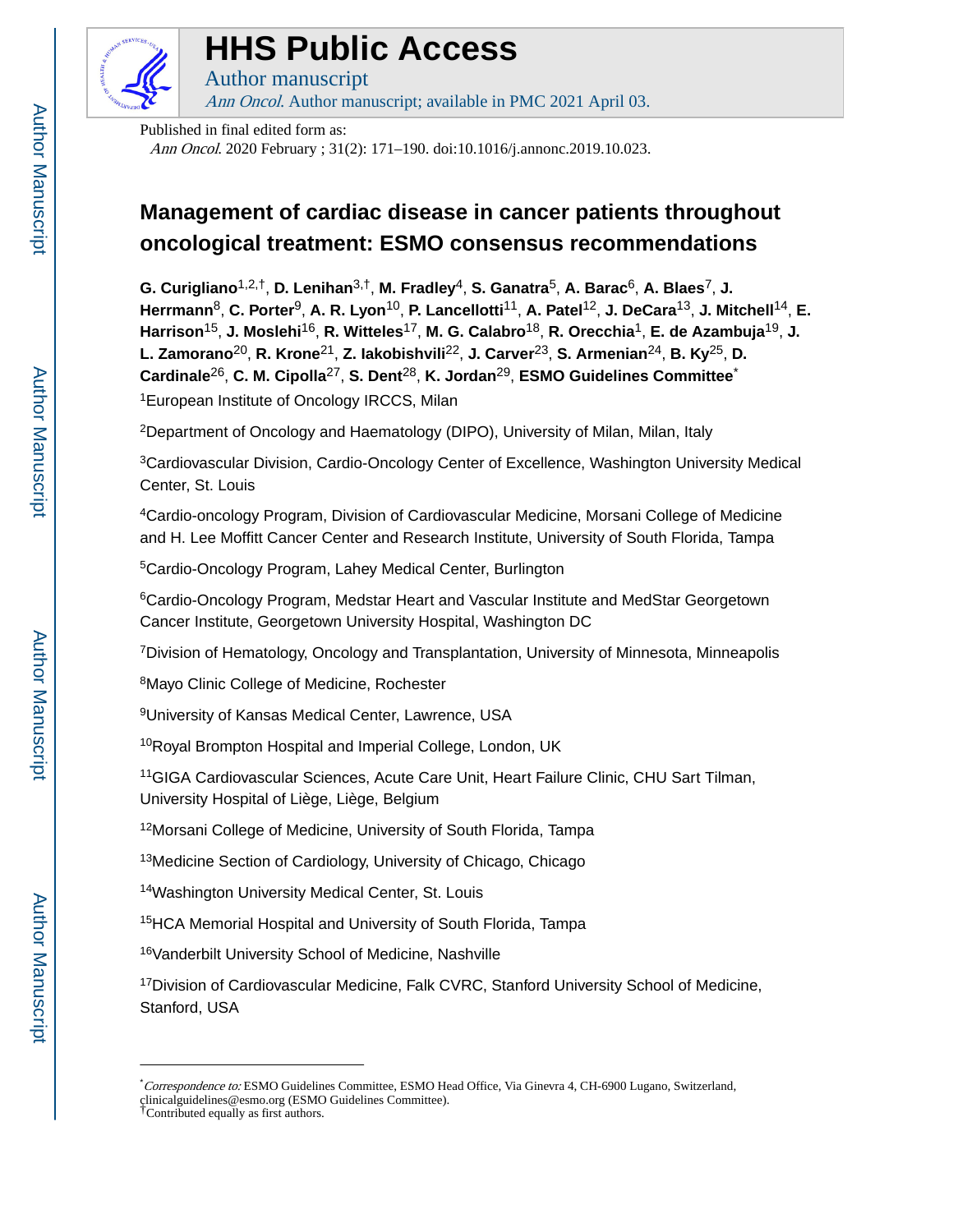

# **HHS Public Access**

Author manuscript Ann Oncol. Author manuscript; available in PMC 2021 April 03.

Published in final edited form as:

Ann Oncol. 2020 February ; 31(2): 171–190. doi:10.1016/j.annonc.2019.10.023.

# **Management of cardiac disease in cancer patients throughout oncological treatment: ESMO consensus recommendations**

**G. Curigliano**1,2,†, **D. Lenihan**3,†, **M. Fradley**4, **S. Ganatra**5, **A. Barac**6, **A. Blaes**7, **J. Herrmann**8, **C. Porter**9, **A. R. Lyon**10, **P. Lancellotti**11, **A. Patel**12, **J. DeCara**13, **J. Mitchell**14, **E. Harrison**15, **J. Moslehi**16, **R. Witteles**17, **M. G. Calabro**18, **R. Orecchia**1, **E. de Azambuja**19, **J. L. Zamorano**20, **R. Krone**21, **Z. Iakobishvili**22, **J. Carver**23, **S. Armenian**24, **B. Ky**25, **D. Cardinale**26, **C. M. Cipolla**27, **S. Dent**28, **K. Jordan**29, **ESMO Guidelines Committee**\* <sup>1</sup>European Institute of Oncology IRCCS, Milan

<sup>2</sup>Department of Oncology and Haematology (DIPO), University of Milan, Milan, Italy

<sup>3</sup>Cardiovascular Division, Cardio-Oncology Center of Excellence, Washington University Medical Center, St. Louis

<sup>4</sup>Cardio-oncology Program, Division of Cardiovascular Medicine, Morsani College of Medicine and H. Lee Moffitt Cancer Center and Research Institute, University of South Florida, Tampa

<sup>5</sup>Cardio-Oncology Program, Lahey Medical Center, Burlington

<sup>6</sup>Cardio-Oncology Program, Medstar Heart and Vascular Institute and MedStar Georgetown Cancer Institute, Georgetown University Hospital, Washington DC

<sup>7</sup>Division of Hematology, Oncology and Transplantation, University of Minnesota, Minneapolis

<sup>8</sup>Mayo Clinic College of Medicine, Rochester

<sup>9</sup>University of Kansas Medical Center, Lawrence, USA

<sup>10</sup>Royal Brompton Hospital and Imperial College, London, UK

<sup>11</sup>GIGA Cardiovascular Sciences, Acute Care Unit, Heart Failure Clinic, CHU Sart Tilman, University Hospital of Liège, Liège, Belgium

<sup>12</sup>Morsani College of Medicine, University of South Florida, Tampa

<sup>13</sup>Medicine Section of Cardiology, University of Chicago, Chicago

<sup>14</sup>Washington University Medical Center, St. Louis

<sup>15</sup>HCA Memorial Hospital and University of South Florida, Tampa

<sup>16</sup>Vanderbilt University School of Medicine, Nashville

<sup>17</sup>Division of Cardiovascular Medicine, Falk CVRC, Stanford University School of Medicine, Stanford, USA

<sup>\*</sup>Correspondence to: ESMO Guidelines Committee, ESMO Head Office, Via Ginevra 4, CH-6900 Lugano, Switzerland, clinicalguidelines@esmo.org (ESMO Guidelines Committee). †Contributed equally as first authors.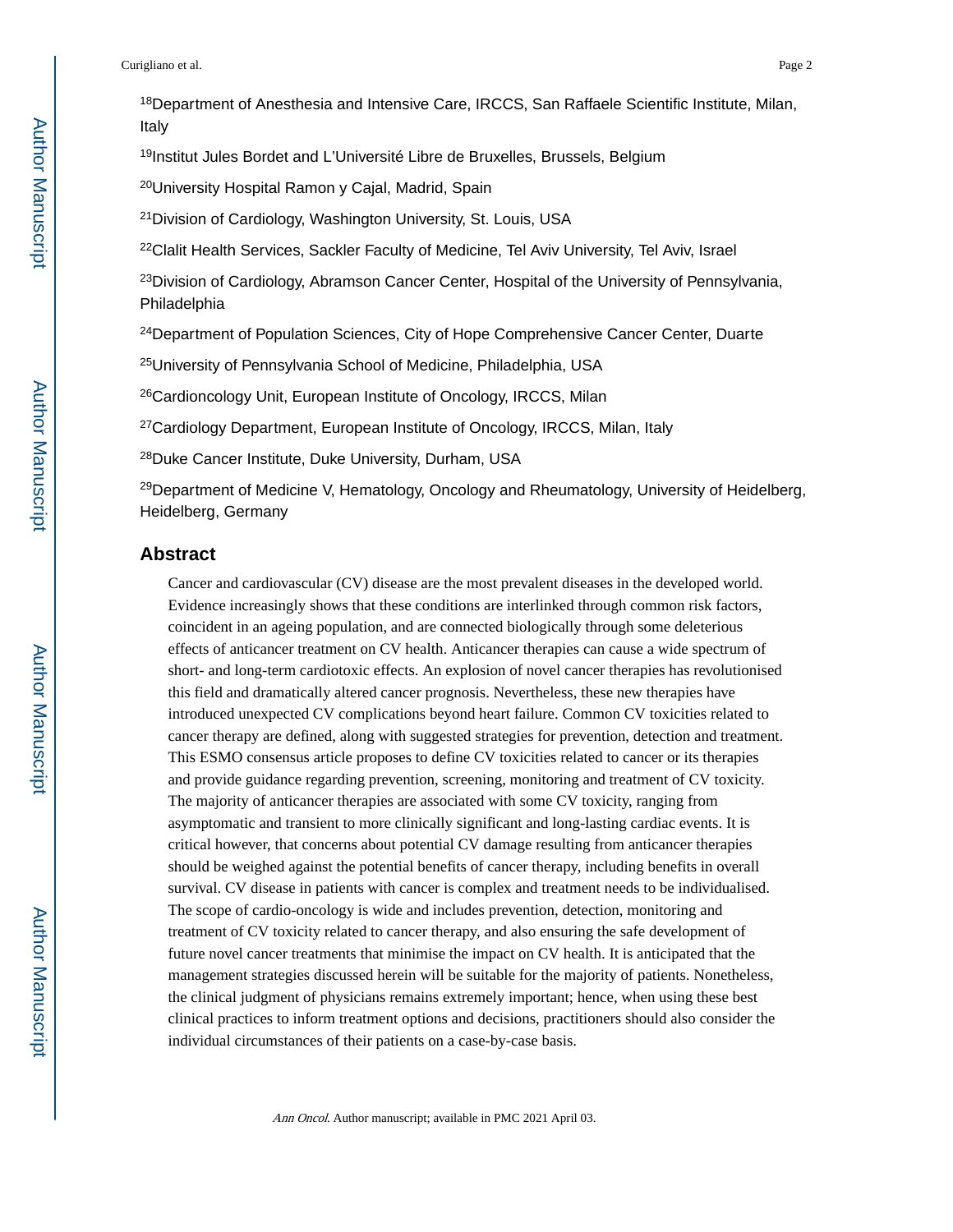<sup>18</sup>Department of Anesthesia and Intensive Care, IRCCS, San Raffaele Scientific Institute, Milan, Italy

<sup>19</sup>Institut Jules Bordet and L'Université Libre de Bruxelles, Brussels, Belgium

<sup>20</sup>University Hospital Ramon y Cajal, Madrid, Spain

<sup>21</sup>Division of Cardiology, Washington University, St. Louis, USA

<sup>22</sup>Clalit Health Services, Sackler Faculty of Medicine, Tel Aviv University, Tel Aviv, Israel

<sup>23</sup>Division of Cardiology, Abramson Cancer Center, Hospital of the University of Pennsylvania, Philadelphia

<sup>24</sup>Department of Population Sciences, City of Hope Comprehensive Cancer Center, Duarte

<sup>25</sup>University of Pennsylvania School of Medicine, Philadelphia, USA

<sup>26</sup>Cardioncology Unit, European Institute of Oncology, IRCCS, Milan

<sup>27</sup>Cardiology Department, European Institute of Oncology, IRCCS, Milan, Italy

<sup>28</sup>Duke Cancer Institute, Duke University, Durham, USA

 $29$ Department of Medicine V, Hematology, Oncology and Rheumatology, University of Heidelberg, Heidelberg, Germany

#### **Abstract**

Cancer and cardiovascular (CV) disease are the most prevalent diseases in the developed world. Evidence increasingly shows that these conditions are interlinked through common risk factors, coincident in an ageing population, and are connected biologically through some deleterious effects of anticancer treatment on CV health. Anticancer therapies can cause a wide spectrum of short- and long-term cardiotoxic effects. An explosion of novel cancer therapies has revolutionised this field and dramatically altered cancer prognosis. Nevertheless, these new therapies have introduced unexpected CV complications beyond heart failure. Common CV toxicities related to cancer therapy are defined, along with suggested strategies for prevention, detection and treatment. This ESMO consensus article proposes to define CV toxicities related to cancer or its therapies and provide guidance regarding prevention, screening, monitoring and treatment of CV toxicity. The majority of anticancer therapies are associated with some CV toxicity, ranging from asymptomatic and transient to more clinically significant and long-lasting cardiac events. It is critical however, that concerns about potential CV damage resulting from anticancer therapies should be weighed against the potential benefits of cancer therapy, including benefits in overall survival. CV disease in patients with cancer is complex and treatment needs to be individualised. The scope of cardio-oncology is wide and includes prevention, detection, monitoring and treatment of CV toxicity related to cancer therapy, and also ensuring the safe development of future novel cancer treatments that minimise the impact on CV health. It is anticipated that the management strategies discussed herein will be suitable for the majority of patients. Nonetheless, the clinical judgment of physicians remains extremely important; hence, when using these best clinical practices to inform treatment options and decisions, practitioners should also consider the individual circumstances of their patients on a case-by-case basis.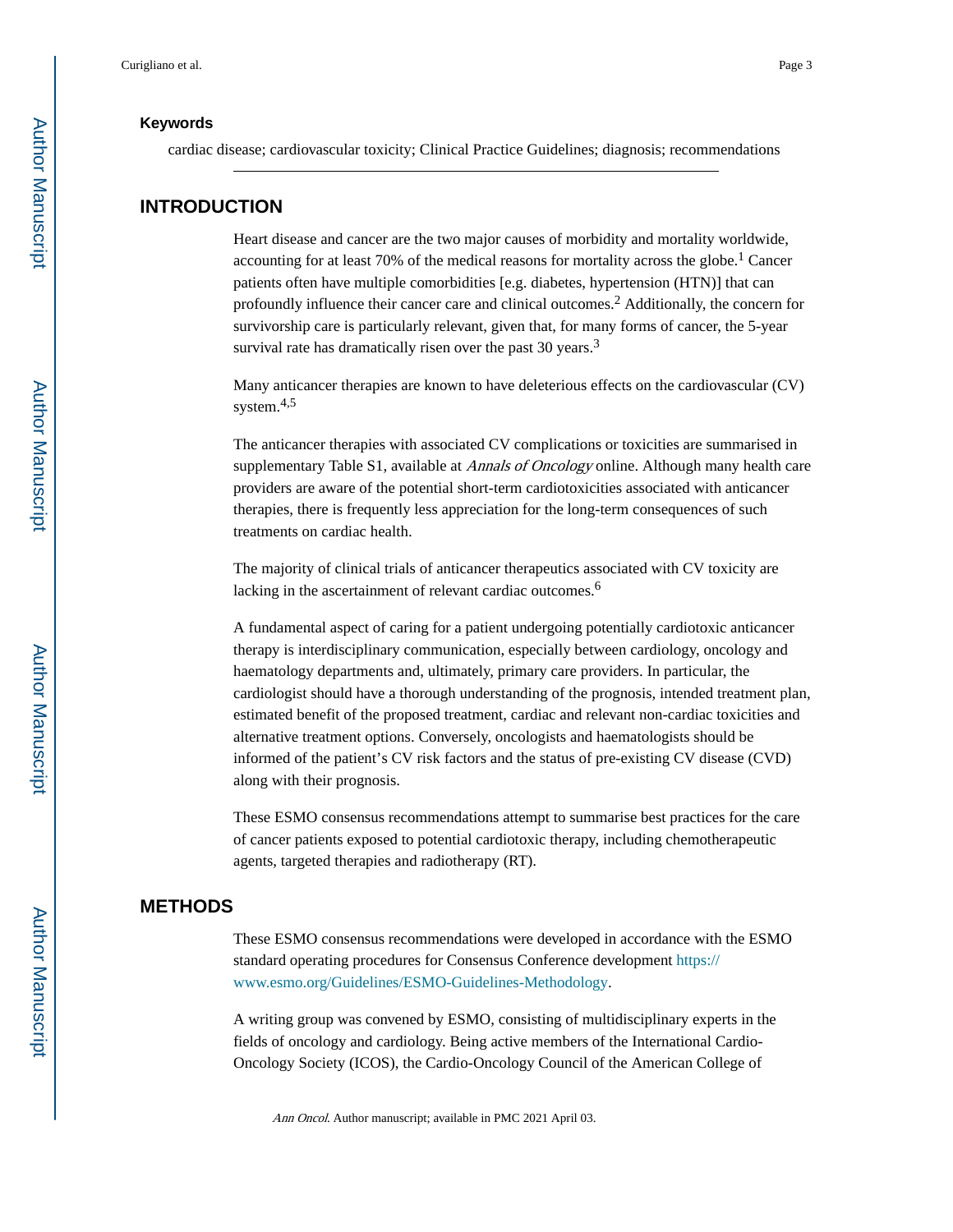#### **Keywords**

cardiac disease; cardiovascular toxicity; Clinical Practice Guidelines; diagnosis; recommendations

#### **INTRODUCTION**

Heart disease and cancer are the two major causes of morbidity and mortality worldwide, accounting for at least 70% of the medical reasons for mortality across the globe.<sup>1</sup> Cancer patients often have multiple comorbidities [e.g. diabetes, hypertension (HTN)] that can profoundly influence their cancer care and clinical outcomes.<sup>2</sup> Additionally, the concern for survivorship care is particularly relevant, given that, for many forms of cancer, the 5-year survival rate has dramatically risen over the past 30 years.<sup>3</sup>

Many anticancer therapies are known to have deleterious effects on the cardiovascular (CV) system.<sup>4,5</sup>

The anticancer therapies with associated CV complications or toxicities are summarised in supplementary Table S1, available at *Annals of Oncology* online. Although many health care providers are aware of the potential short-term cardiotoxicities associated with anticancer therapies, there is frequently less appreciation for the long-term consequences of such treatments on cardiac health.

The majority of clinical trials of anticancer therapeutics associated with CV toxicity are lacking in the ascertainment of relevant cardiac outcomes.<sup>6</sup>

A fundamental aspect of caring for a patient undergoing potentially cardiotoxic anticancer therapy is interdisciplinary communication, especially between cardiology, oncology and haematology departments and, ultimately, primary care providers. In particular, the cardiologist should have a thorough understanding of the prognosis, intended treatment plan, estimated benefit of the proposed treatment, cardiac and relevant non-cardiac toxicities and alternative treatment options. Conversely, oncologists and haematologists should be informed of the patient's CV risk factors and the status of pre-existing CV disease (CVD) along with their prognosis.

These ESMO consensus recommendations attempt to summarise best practices for the care of cancer patients exposed to potential cardiotoxic therapy, including chemotherapeutic agents, targeted therapies and radiotherapy (RT).

#### **METHODS**

These ESMO consensus recommendations were developed in accordance with the ESMO standard operating procedures for Consensus Conference development [https://](https://www.esmo.org/Guidelines/ESMO-Guidelines-Methodology) [www.esmo.org/Guidelines/ESMO-Guidelines-Methodology.](https://www.esmo.org/Guidelines/ESMO-Guidelines-Methodology)

A writing group was convened by ESMO, consisting of multidisciplinary experts in the fields of oncology and cardiology. Being active members of the International Cardio-Oncology Society (ICOS), the Cardio-Oncology Council of the American College of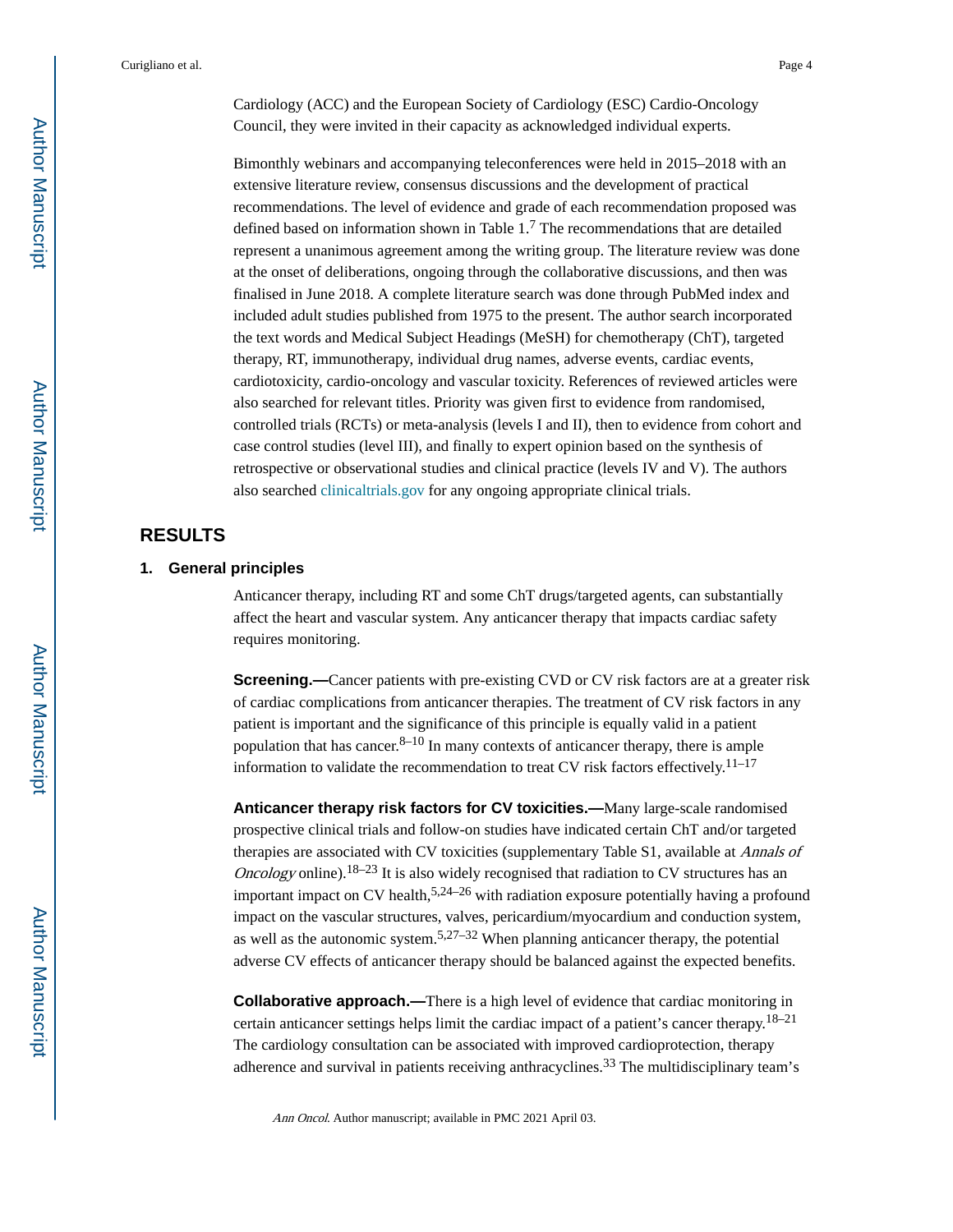Cardiology (ACC) and the European Society of Cardiology (ESC) Cardio-Oncology Council, they were invited in their capacity as acknowledged individual experts.

Bimonthly webinars and accompanying teleconferences were held in 2015–2018 with an extensive literature review, consensus discussions and the development of practical recommendations. The level of evidence and grade of each recommendation proposed was defined based on information shown in Table  $1<sup>7</sup>$  The recommendations that are detailed represent a unanimous agreement among the writing group. The literature review was done at the onset of deliberations, ongoing through the collaborative discussions, and then was finalised in June 2018. A complete literature search was done through PubMed index and included adult studies published from 1975 to the present. The author search incorporated the text words and Medical Subject Headings (MeSH) for chemotherapy (ChT), targeted therapy, RT, immunotherapy, individual drug names, adverse events, cardiac events, cardiotoxicity, cardio-oncology and vascular toxicity. References of reviewed articles were also searched for relevant titles. Priority was given first to evidence from randomised, controlled trials (RCTs) or meta-analysis (levels I and II), then to evidence from cohort and case control studies (level III), and finally to expert opinion based on the synthesis of retrospective or observational studies and clinical practice (levels IV and V). The authors also searched [clinicaltrials.gov](http://clinicaltrials.gov) for any ongoing appropriate clinical trials.

## **RESULTS**

#### **1. General principles**

Anticancer therapy, including RT and some ChT drugs/targeted agents, can substantially affect the heart and vascular system. Any anticancer therapy that impacts cardiac safety requires monitoring.

**Screening.—**Cancer patients with pre-existing CVD or CV risk factors are at a greater risk of cardiac complications from anticancer therapies. The treatment of CV risk factors in any patient is important and the significance of this principle is equally valid in a patient population that has cancer. $8-10$  In many contexts of anticancer therapy, there is ample information to validate the recommendation to treat CV risk factors effectively.<sup>11–17</sup>

**Anticancer therapy risk factors for CV toxicities.—**Many large-scale randomised prospective clinical trials and follow-on studies have indicated certain ChT and/or targeted therapies are associated with CV toxicities (supplementary Table S1, available at Annals of *Oncology* online).<sup>18–23</sup> It is also widely recognised that radiation to CV structures has an important impact on CV health,  $5.24-26$  with radiation exposure potentially having a profound impact on the vascular structures, valves, pericardium/myocardium and conduction system, as well as the autonomic system.<sup>5,27–32</sup> When planning anticancer therapy, the potential adverse CV effects of anticancer therapy should be balanced against the expected benefits.

**Collaborative approach.—There is a high level of evidence that cardiac monitoring in** certain anticancer settings helps limit the cardiac impact of a patient's cancer therapy.  $18-21$ The cardiology consultation can be associated with improved cardioprotection, therapy adherence and survival in patients receiving anthracyclines.<sup>33</sup> The multidisciplinary team's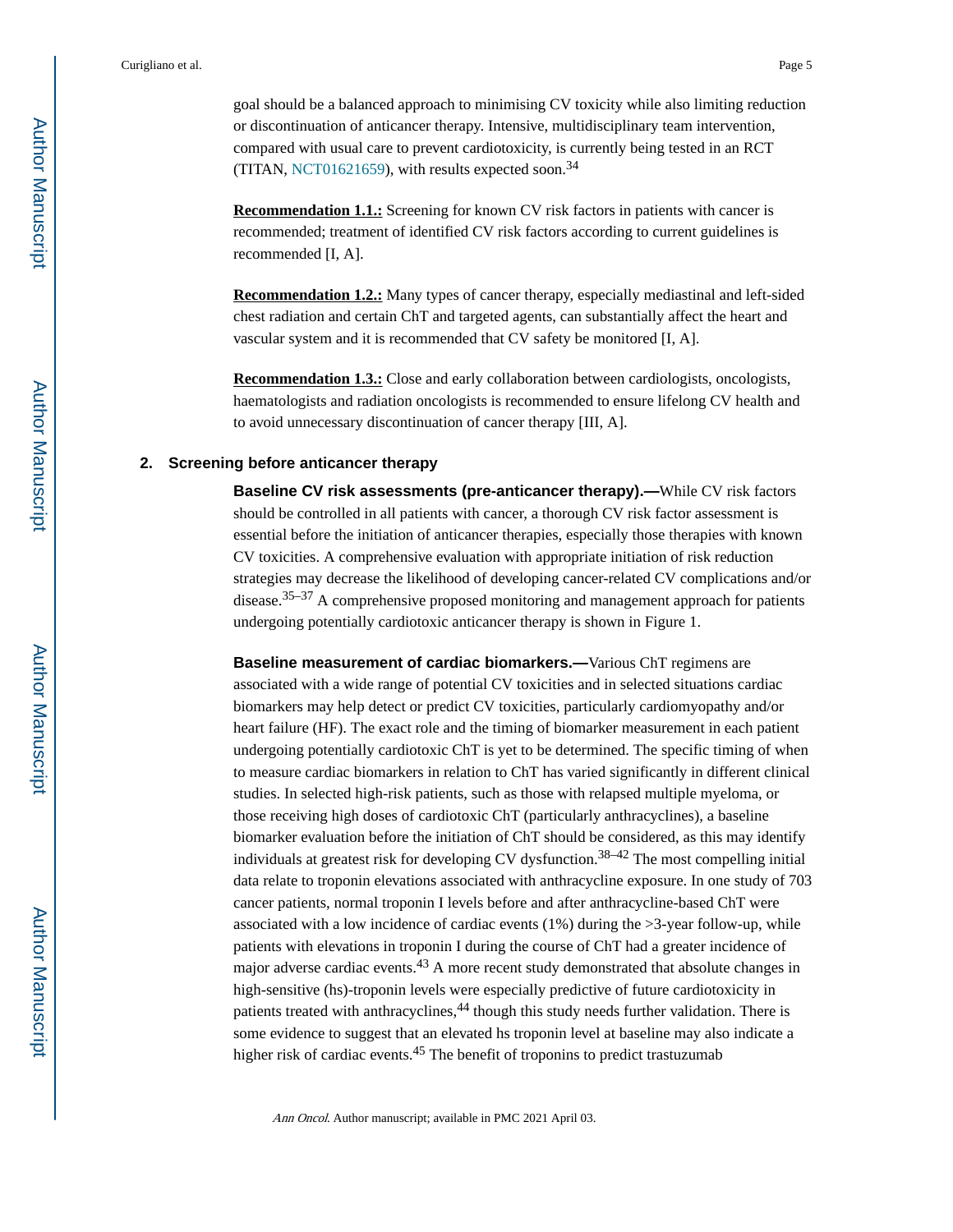goal should be a balanced approach to minimising CV toxicity while also limiting reduction or discontinuation of anticancer therapy. Intensive, multidisciplinary team intervention, compared with usual care to prevent cardiotoxicity, is currently being tested in an RCT (TITAN, [NCT01621659](https://clinicaltrials.gov/ct2/show/NCT01621659)), with results expected soon.<sup>34</sup>

**Recommendation 1.1.:** Screening for known CV risk factors in patients with cancer is recommended; treatment of identified CV risk factors according to current guidelines is recommended [I, A].

**Recommendation 1.2.:** Many types of cancer therapy, especially mediastinal and left-sided chest radiation and certain ChT and targeted agents, can substantially affect the heart and vascular system and it is recommended that CV safety be monitored [I, A].

**Recommendation 1.3.:** Close and early collaboration between cardiologists, oncologists, haematologists and radiation oncologists is recommended to ensure lifelong CV health and to avoid unnecessary discontinuation of cancer therapy [III, A].

#### **2. Screening before anticancer therapy**

**Baseline CV risk assessments (pre-anticancer therapy).—While CV risk factors** should be controlled in all patients with cancer, a thorough CV risk factor assessment is essential before the initiation of anticancer therapies, especially those therapies with known CV toxicities. A comprehensive evaluation with appropriate initiation of risk reduction strategies may decrease the likelihood of developing cancer-related CV complications and/or disease.35–37 A comprehensive proposed monitoring and management approach for patients undergoing potentially cardiotoxic anticancer therapy is shown in Figure 1.

**Baseline measurement of cardiac biomarkers.—**Various ChT regimens are associated with a wide range of potential CV toxicities and in selected situations cardiac biomarkers may help detect or predict CV toxicities, particularly cardiomyopathy and/or heart failure (HF). The exact role and the timing of biomarker measurement in each patient undergoing potentially cardiotoxic ChT is yet to be determined. The specific timing of when to measure cardiac biomarkers in relation to ChT has varied significantly in different clinical studies. In selected high-risk patients, such as those with relapsed multiple myeloma, or those receiving high doses of cardiotoxic ChT (particularly anthracyclines), a baseline biomarker evaluation before the initiation of ChT should be considered, as this may identify individuals at greatest risk for developing CV dysfunction.38–42 The most compelling initial data relate to troponin elevations associated with anthracycline exposure. In one study of 703 cancer patients, normal troponin I levels before and after anthracycline-based ChT were associated with a low incidence of cardiac events (1%) during the >3-year follow-up, while patients with elevations in troponin I during the course of ChT had a greater incidence of major adverse cardiac events.<sup>43</sup> A more recent study demonstrated that absolute changes in high-sensitive (hs)-troponin levels were especially predictive of future cardiotoxicity in patients treated with anthracyclines,<sup>44</sup> though this study needs further validation. There is some evidence to suggest that an elevated hs troponin level at baseline may also indicate a higher risk of cardiac events.<sup>45</sup> The benefit of troponins to predict trastuzumab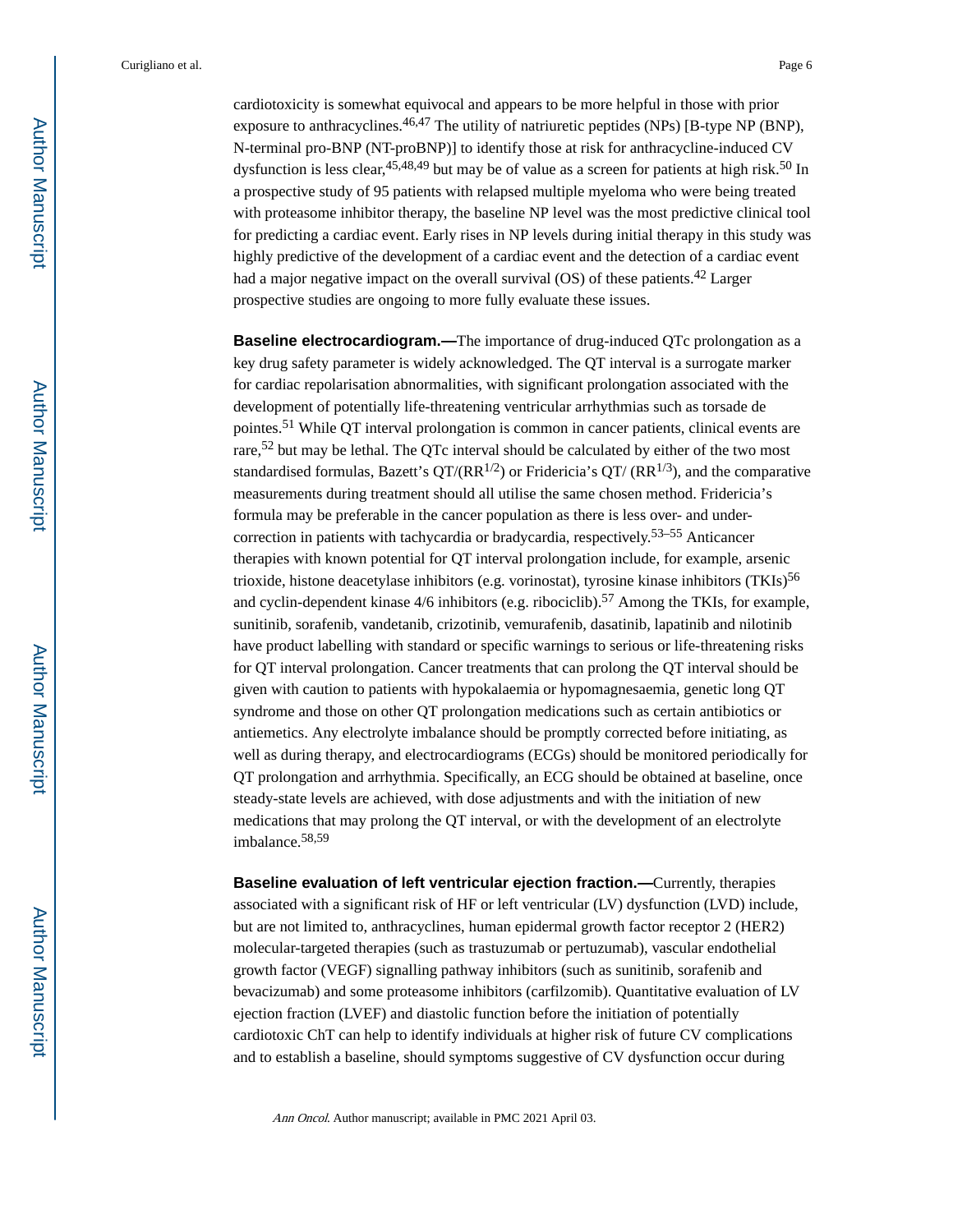cardiotoxicity is somewhat equivocal and appears to be more helpful in those with prior exposure to anthracyclines.<sup>46,47</sup> The utility of natriuretic peptides (NPs) [B-type NP (BNP), N-terminal pro-BNP (NT-proBNP)] to identify those at risk for anthracycline-induced CV dysfunction is less clear,  $45,48,49$  but may be of value as a screen for patients at high risk.<sup>50</sup> In a prospective study of 95 patients with relapsed multiple myeloma who were being treated with proteasome inhibitor therapy, the baseline NP level was the most predictive clinical tool for predicting a cardiac event. Early rises in NP levels during initial therapy in this study was highly predictive of the development of a cardiac event and the detection of a cardiac event had a major negative impact on the overall survival (OS) of these patients.<sup>42</sup> Larger prospective studies are ongoing to more fully evaluate these issues.

**Baseline electrocardiogram.—**The importance of drug-induced QTc prolongation as a key drug safety parameter is widely acknowledged. The QT interval is a surrogate marker for cardiac repolarisation abnormalities, with significant prolongation associated with the development of potentially life-threatening ventricular arrhythmias such as torsade de pointes.<sup>51</sup> While QT interval prolongation is common in cancer patients, clinical events are rare,52 but may be lethal. The QTc interval should be calculated by either of the two most standardised formulas, Bazett's  $QT/(RR^{1/2})$  or Fridericia's  $QT/(RR^{1/3})$ , and the comparative measurements during treatment should all utilise the same chosen method. Fridericia's formula may be preferable in the cancer population as there is less over- and undercorrection in patients with tachycardia or bradycardia, respectively.53–55 Anticancer therapies with known potential for QT interval prolongation include, for example, arsenic trioxide, histone deacetylase inhibitors (e.g. vorinostat), tyrosine kinase inhibitors (TKIs)<sup>56</sup> and cyclin-dependent kinase  $4/6$  inhibitors (e.g. ribociclib).<sup>57</sup> Among the TKIs, for example, sunitinib, sorafenib, vandetanib, crizotinib, vemurafenib, dasatinib, lapatinib and nilotinib have product labelling with standard or specific warnings to serious or life-threatening risks for QT interval prolongation. Cancer treatments that can prolong the QT interval should be given with caution to patients with hypokalaemia or hypomagnesaemia, genetic long QT syndrome and those on other QT prolongation medications such as certain antibiotics or antiemetics. Any electrolyte imbalance should be promptly corrected before initiating, as well as during therapy, and electrocardiograms (ECGs) should be monitored periodically for QT prolongation and arrhythmia. Specifically, an ECG should be obtained at baseline, once steady-state levels are achieved, with dose adjustments and with the initiation of new medications that may prolong the QT interval, or with the development of an electrolyte imbalance.58,59

**Baseline evaluation of left ventricular ejection fraction.—**Currently, therapies associated with a significant risk of HF or left ventricular (LV) dysfunction (LVD) include, but are not limited to, anthracyclines, human epidermal growth factor receptor 2 (HER2) molecular-targeted therapies (such as trastuzumab or pertuzumab), vascular endothelial growth factor (VEGF) signalling pathway inhibitors (such as sunitinib, sorafenib and bevacizumab) and some proteasome inhibitors (carfilzomib). Quantitative evaluation of LV ejection fraction (LVEF) and diastolic function before the initiation of potentially cardiotoxic ChT can help to identify individuals at higher risk of future CV complications and to establish a baseline, should symptoms suggestive of CV dysfunction occur during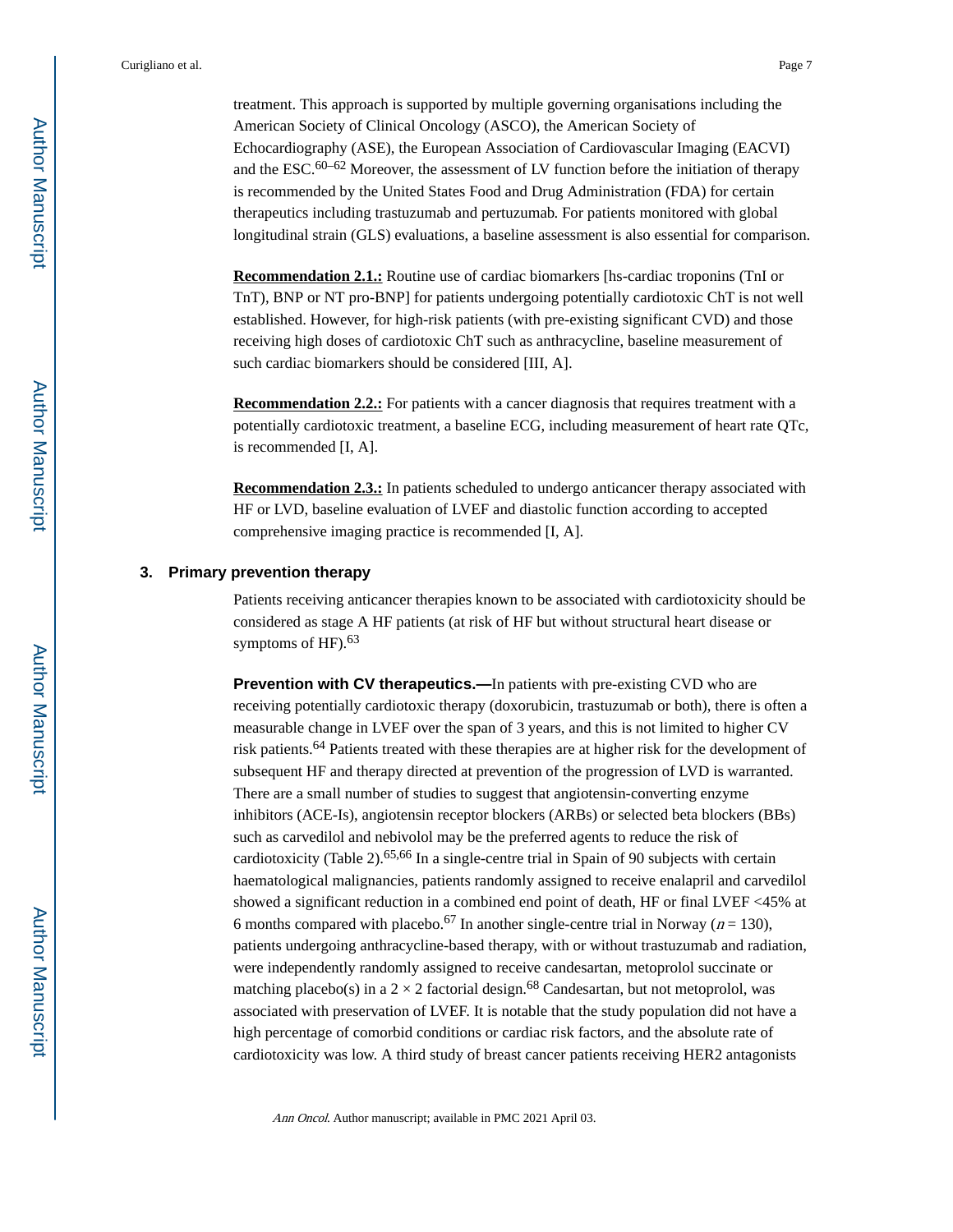treatment. This approach is supported by multiple governing organisations including the American Society of Clinical Oncology (ASCO), the American Society of Echocardiography (ASE), the European Association of Cardiovascular Imaging (EACVI) and the ESC. $60-62$  Moreover, the assessment of LV function before the initiation of therapy is recommended by the United States Food and Drug Administration (FDA) for certain therapeutics including trastuzumab and pertuzumab. For patients monitored with global longitudinal strain (GLS) evaluations, a baseline assessment is also essential for comparison.

**Recommendation 2.1.:** Routine use of cardiac biomarkers [hs-cardiac troponins (TnI or TnT), BNP or NT pro-BNP] for patients undergoing potentially cardiotoxic ChT is not well established. However, for high-risk patients (with pre-existing significant CVD) and those receiving high doses of cardiotoxic ChT such as anthracycline, baseline measurement of such cardiac biomarkers should be considered [III, A].

**Recommendation 2.2.:** For patients with a cancer diagnosis that requires treatment with a potentially cardiotoxic treatment, a baseline ECG, including measurement of heart rate QTc, is recommended [I, A].

**Recommendation 2.3.:** In patients scheduled to undergo anticancer therapy associated with HF or LVD, baseline evaluation of LVEF and diastolic function according to accepted comprehensive imaging practice is recommended [I, A].

#### **3. Primary prevention therapy**

Patients receiving anticancer therapies known to be associated with cardiotoxicity should be considered as stage A HF patients (at risk of HF but without structural heart disease or symptoms of  $HF$ ).  $63$ 

**Prevention with CV therapeutics.—In patients with pre-existing CVD who are** receiving potentially cardiotoxic therapy (doxorubicin, trastuzumab or both), there is often a measurable change in LVEF over the span of 3 years, and this is not limited to higher CV risk patients.<sup>64</sup> Patients treated with these therapies are at higher risk for the development of subsequent HF and therapy directed at prevention of the progression of LVD is warranted. There are a small number of studies to suggest that angiotensin-converting enzyme inhibitors (ACE-Is), angiotensin receptor blockers (ARBs) or selected beta blockers (BBs) such as carvedilol and nebivolol may be the preferred agents to reduce the risk of cardiotoxicity (Table 2).<sup>65,66</sup> In a single-centre trial in Spain of 90 subjects with certain haematological malignancies, patients randomly assigned to receive enalapril and carvedilol showed a significant reduction in a combined end point of death, HF or final LVEF <45% at 6 months compared with placebo.<sup>67</sup> In another single-centre trial in Norway ( $n = 130$ ), patients undergoing anthracycline-based therapy, with or without trastuzumab and radiation, were independently randomly assigned to receive candesartan, metoprolol succinate or matching placebo(s) in a  $2 \times 2$  factorial design.<sup>68</sup> Candesartan, but not metoprolol, was associated with preservation of LVEF. It is notable that the study population did not have a high percentage of comorbid conditions or cardiac risk factors, and the absolute rate of cardiotoxicity was low. A third study of breast cancer patients receiving HER2 antagonists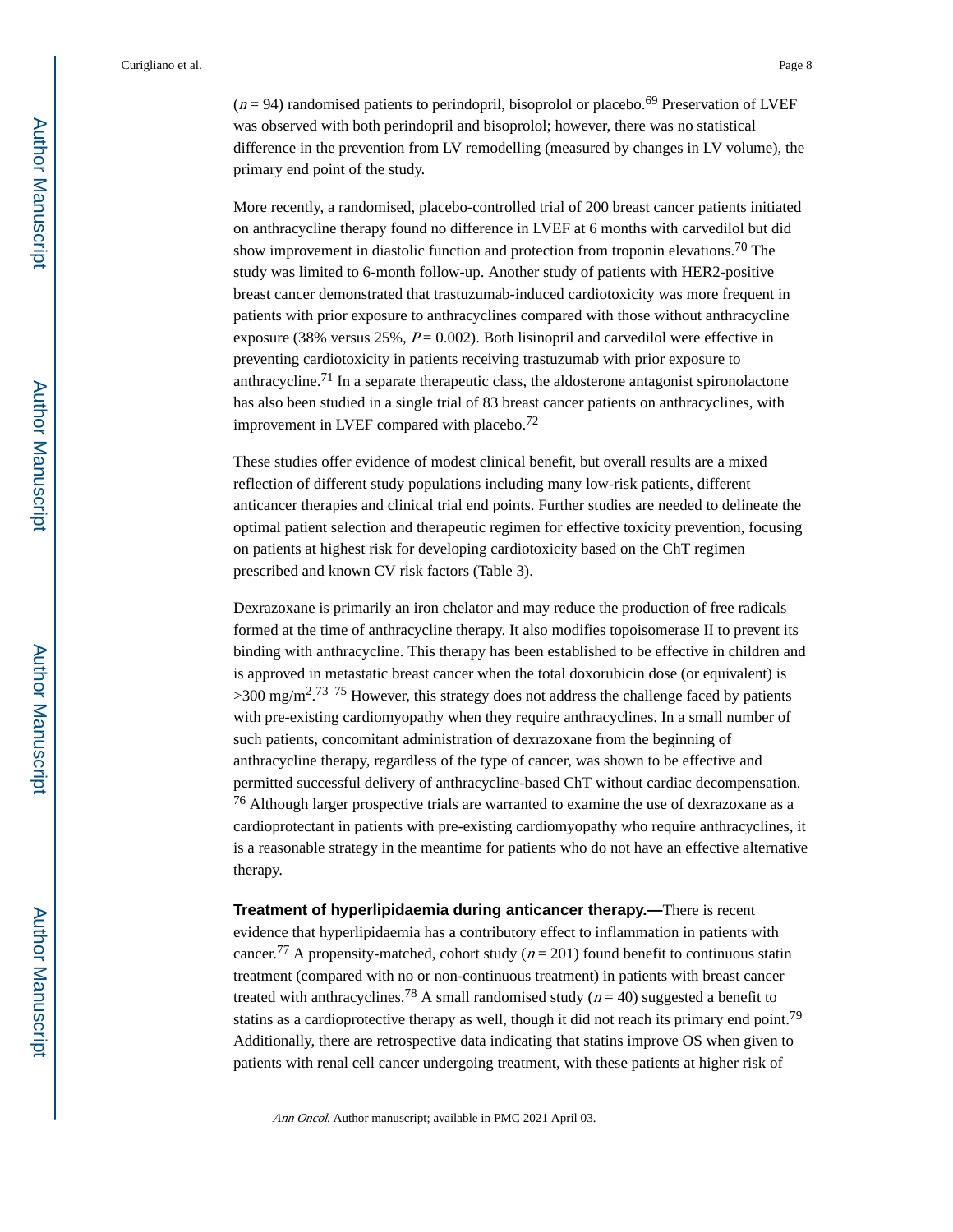$(n = 94)$  randomised patients to perindopril, bisoprolol or placebo.<sup>69</sup> Preservation of LVEF was observed with both perindopril and bisoprolol; however, there was no statistical difference in the prevention from LV remodelling (measured by changes in LV volume), the primary end point of the study.

More recently, a randomised, placebo-controlled trial of 200 breast cancer patients initiated on anthracycline therapy found no difference in LVEF at 6 months with carvedilol but did show improvement in diastolic function and protection from troponin elevations.70 The study was limited to 6-month follow-up. Another study of patients with HER2-positive breast cancer demonstrated that trastuzumab-induced cardiotoxicity was more frequent in patients with prior exposure to anthracyclines compared with those without anthracycline exposure (38% versus 25%,  $P = 0.002$ ). Both lisinopril and carvedilol were effective in preventing cardiotoxicity in patients receiving trastuzumab with prior exposure to anthracycline.71 In a separate therapeutic class, the aldosterone antagonist spironolactone has also been studied in a single trial of 83 breast cancer patients on anthracyclines, with improvement in LVEF compared with placebo.<sup>72</sup>

These studies offer evidence of modest clinical benefit, but overall results are a mixed reflection of different study populations including many low-risk patients, different anticancer therapies and clinical trial end points. Further studies are needed to delineate the optimal patient selection and therapeutic regimen for effective toxicity prevention, focusing on patients at highest risk for developing cardiotoxicity based on the ChT regimen prescribed and known CV risk factors (Table 3).

Dexrazoxane is primarily an iron chelator and may reduce the production of free radicals formed at the time of anthracycline therapy. It also modifies topoisomerase II to prevent its binding with anthracycline. This therapy has been established to be effective in children and is approved in metastatic breast cancer when the total doxorubicin dose (or equivalent) is  $>$ 300 mg/m<sup>2</sup>.<sup>73–75</sup> However, this strategy does not address the challenge faced by patients with pre-existing cardiomyopathy when they require anthracyclines. In a small number of such patients, concomitant administration of dexrazoxane from the beginning of anthracycline therapy, regardless of the type of cancer, was shown to be effective and permitted successful delivery of anthracycline-based ChT without cardiac decompensation. <sup>76</sup> Although larger prospective trials are warranted to examine the use of dexrazoxane as a cardioprotectant in patients with pre-existing cardiomyopathy who require anthracyclines, it is a reasonable strategy in the meantime for patients who do not have an effective alternative therapy.

**Treatment of hyperlipidaemia during anticancer therapy.—**There is recent evidence that hyperlipidaemia has a contributory effect to inflammation in patients with cancer.<sup>77</sup> A propensity-matched, cohort study ( $n = 201$ ) found benefit to continuous statin treatment (compared with no or non-continuous treatment) in patients with breast cancer treated with anthracyclines.<sup>78</sup> A small randomised study ( $n = 40$ ) suggested a benefit to statins as a cardioprotective therapy as well, though it did not reach its primary end point.<sup>79</sup> Additionally, there are retrospective data indicating that statins improve OS when given to patients with renal cell cancer undergoing treatment, with these patients at higher risk of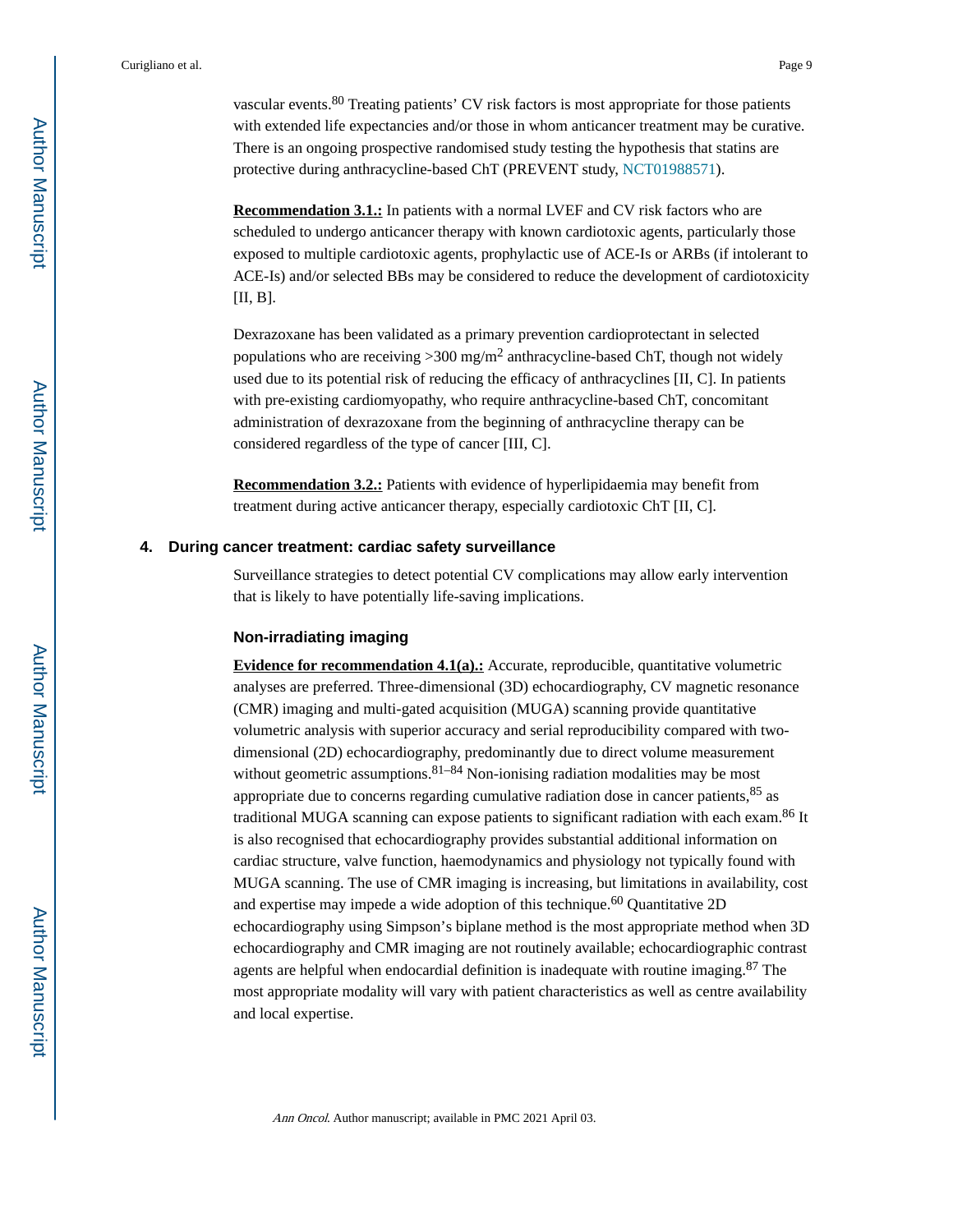vascular events.<sup>80</sup> Treating patients' CV risk factors is most appropriate for those patients with extended life expectancies and/or those in whom anticancer treatment may be curative. There is an ongoing prospective randomised study testing the hypothesis that statins are protective during anthracycline-based ChT (PREVENT study, [NCT01988571](https://clinicaltrials.gov/ct2/show/NCT01988571)).

**Recommendation 3.1.:** In patients with a normal LVEF and CV risk factors who are scheduled to undergo anticancer therapy with known cardiotoxic agents, particularly those exposed to multiple cardiotoxic agents, prophylactic use of ACE-Is or ARBs (if intolerant to ACE-Is) and/or selected BBs may be considered to reduce the development of cardiotoxicity [II, B].

Dexrazoxane has been validated as a primary prevention cardioprotectant in selected populations who are receiving  $>$  300 mg/m<sup>2</sup> anthracycline-based ChT, though not widely used due to its potential risk of reducing the efficacy of anthracyclines [II, C]. In patients with pre-existing cardiomyopathy, who require anthracycline-based ChT, concomitant administration of dexrazoxane from the beginning of anthracycline therapy can be considered regardless of the type of cancer [III, C].

**Recommendation 3.2.:** Patients with evidence of hyperlipidaemia may benefit from treatment during active anticancer therapy, especially cardiotoxic ChT [II, C].

#### **4. During cancer treatment: cardiac safety surveillance**

Surveillance strategies to detect potential CV complications may allow early intervention that is likely to have potentially life-saving implications.

#### **Non-irradiating imaging**

**Evidence for recommendation 4.1(a).:** Accurate, reproducible, quantitative volumetric analyses are preferred. Three-dimensional (3D) echocardiography, CV magnetic resonance (CMR) imaging and multi-gated acquisition (MUGA) scanning provide quantitative volumetric analysis with superior accuracy and serial reproducibility compared with twodimensional (2D) echocardiography, predominantly due to direct volume measurement without geometric assumptions.  $81-84$  Non-ionising radiation modalities may be most appropriate due to concerns regarding cumulative radiation dose in cancer patients,  $85$  as traditional MUGA scanning can expose patients to significant radiation with each exam.<sup>86</sup> It is also recognised that echocardiography provides substantial additional information on cardiac structure, valve function, haemodynamics and physiology not typically found with MUGA scanning. The use of CMR imaging is increasing, but limitations in availability, cost and expertise may impede a wide adoption of this technique. $60$  Quantitative 2D echocardiography using Simpson's biplane method is the most appropriate method when 3D echocardiography and CMR imaging are not routinely available; echocardiographic contrast agents are helpful when endocardial definition is inadequate with routine imaging. $87$  The most appropriate modality will vary with patient characteristics as well as centre availability and local expertise.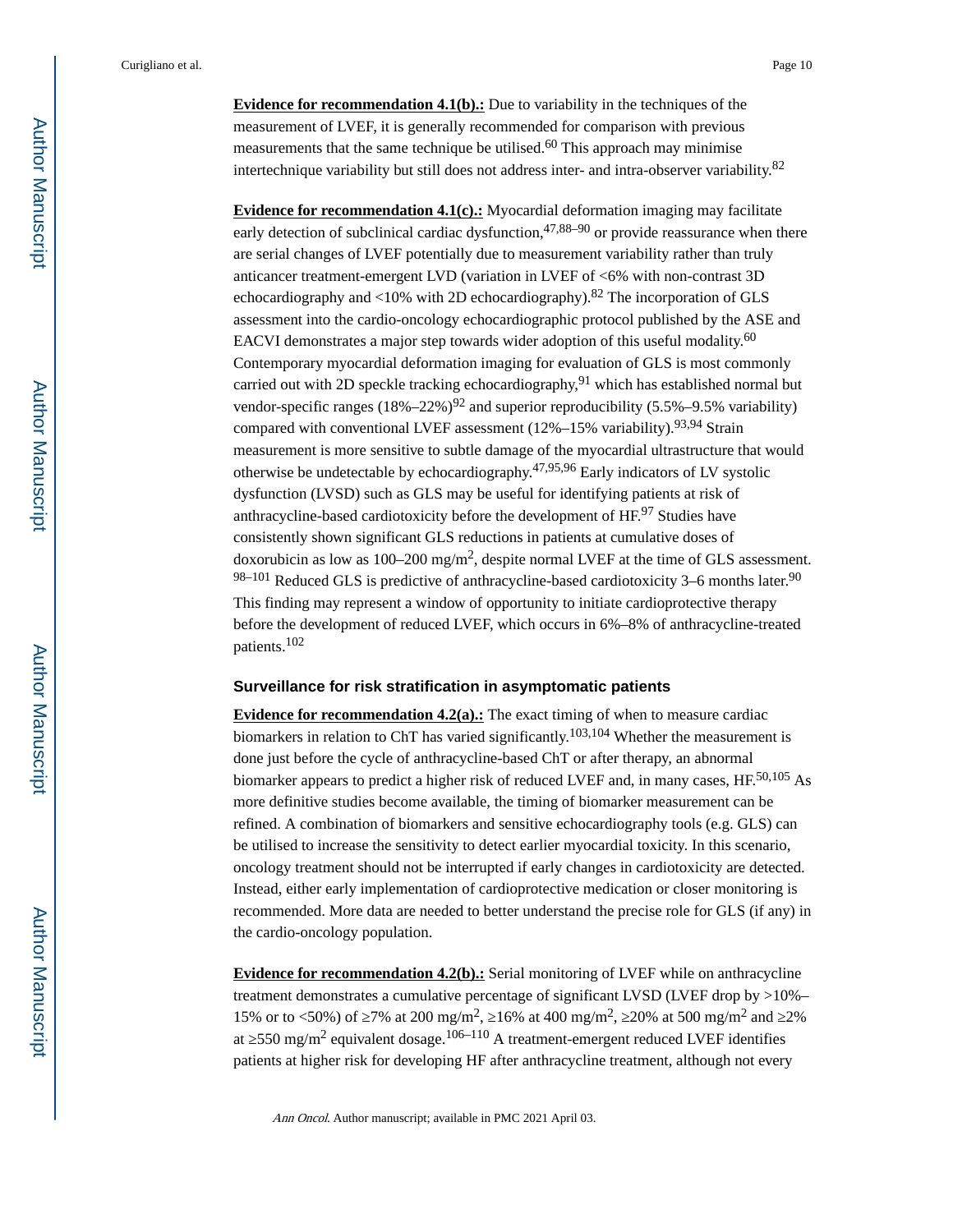**Evidence for recommendation 4.1(b).:** Due to variability in the techniques of the measurement of LVEF, it is generally recommended for comparison with previous measurements that the same technique be utilised.<sup>60</sup> This approach may minimise intertechnique variability but still does not address inter- and intra-observer variability.<sup>82</sup>

**Evidence for recommendation 4.1(c).:** Myocardial deformation imaging may facilitate early detection of subclinical cardiac dysfunction,  $47,88-90$  or provide reassurance when there are serial changes of LVEF potentially due to measurement variability rather than truly anticancer treatment-emergent LVD (variation in LVEF of <6% with non-contrast 3D echocardiography and  $\langle 10\% \right)$  with 2D echocardiography).<sup>82</sup> The incorporation of GLS assessment into the cardio-oncology echocardiographic protocol published by the ASE and EACVI demonstrates a major step towards wider adoption of this useful modality.<sup>60</sup> Contemporary myocardial deformation imaging for evaluation of GLS is most commonly carried out with 2D speckle tracking echocardiography,  $91$  which has established normal but vendor-specific ranges  $(18\% - 22\%)^{92}$  and superior reproducibility  $(5.5\% - 9.5\%)$  variability) compared with conventional LVEF assessment  $(12\% - 15\%$  variability).<sup>93,94</sup> Strain measurement is more sensitive to subtle damage of the myocardial ultrastructure that would otherwise be undetectable by echocardiography.<sup>47,95,96</sup> Early indicators of LV systolic dysfunction (LVSD) such as GLS may be useful for identifying patients at risk of anthracycline-based cardiotoxicity before the development of HF.97 Studies have consistently shown significant GLS reductions in patients at cumulative doses of doxorubicin as low as  $100-200$  mg/m<sup>2</sup>, despite normal LVEF at the time of GLS assessment.  $98-101$  Reduced GLS is predictive of anthracycline-based cardiotoxicity 3–6 months later.<sup>90</sup> This finding may represent a window of opportunity to initiate cardioprotective therapy before the development of reduced LVEF, which occurs in 6%–8% of anthracycline-treated patients.<sup>102</sup>

#### **Surveillance for risk stratification in asymptomatic patients**

**Evidence for recommendation 4.2(a).:** The exact timing of when to measure cardiac biomarkers in relation to ChT has varied significantly.<sup>103,104</sup> Whether the measurement is done just before the cycle of anthracycline-based ChT or after therapy, an abnormal biomarker appears to predict a higher risk of reduced LVEF and, in many cases, HF.<sup>50,105</sup> As more definitive studies become available, the timing of biomarker measurement can be refined. A combination of biomarkers and sensitive echocardiography tools (e.g. GLS) can be utilised to increase the sensitivity to detect earlier myocardial toxicity. In this scenario, oncology treatment should not be interrupted if early changes in cardiotoxicity are detected. Instead, either early implementation of cardioprotective medication or closer monitoring is recommended. More data are needed to better understand the precise role for GLS (if any) in the cardio-oncology population.

**Evidence for recommendation 4.2(b).:** Serial monitoring of LVEF while on anthracycline treatment demonstrates a cumulative percentage of significant LVSD (LVEF drop by >10%– 15% or to <50%) of 7% at 200 mg/m<sup>2</sup>, 16% at 400 mg/m<sup>2</sup>, 20% at 500 mg/m<sup>2</sup> and 2% at 550 mg/m<sup>2</sup> equivalent dosage.<sup>106–110</sup> A treatment-emergent reduced LVEF identifies patients at higher risk for developing HF after anthracycline treatment, although not every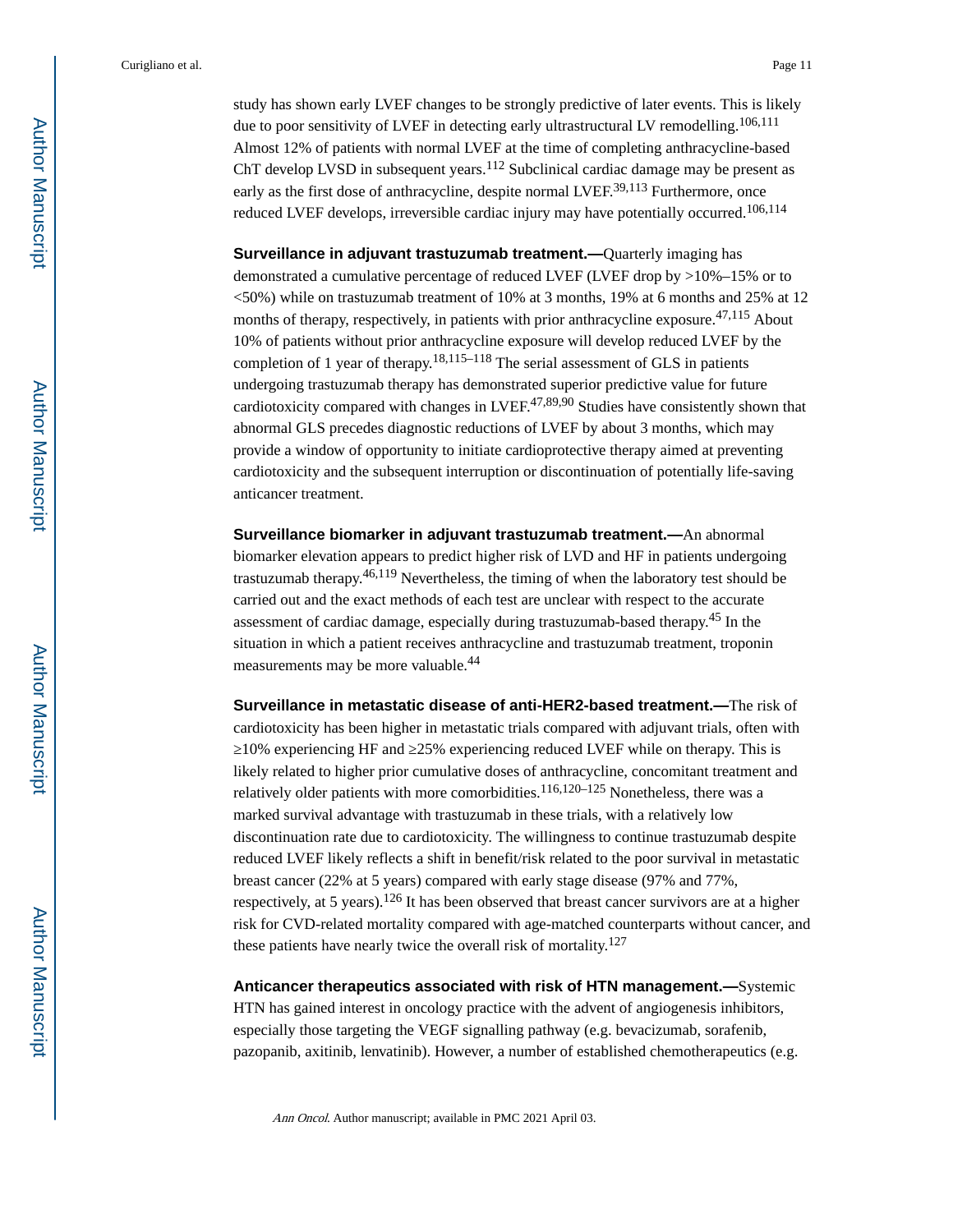study has shown early LVEF changes to be strongly predictive of later events. This is likely due to poor sensitivity of LVEF in detecting early ultrastructural LV remodelling.<sup>106,111</sup> Almost 12% of patients with normal LVEF at the time of completing anthracycline-based ChT develop LVSD in subsequent years.<sup>112</sup> Subclinical cardiac damage may be present as early as the first dose of anthracycline, despite normal LVEF.<sup>39,113</sup> Furthermore, once reduced LVEF develops, irreversible cardiac injury may have potentially occurred.<sup>106,114</sup>

**Surveillance in adjuvant trastuzumab treatment.—**Quarterly imaging has demonstrated a cumulative percentage of reduced LVEF (LVEF drop by >10%–15% or to  $\langle 50\% \rangle$  while on trastuzumab treatment of 10% at 3 months, 19% at 6 months and 25% at 12 months of therapy, respectively, in patients with prior anthracycline exposure.<sup>47,115</sup> About 10% of patients without prior anthracycline exposure will develop reduced LVEF by the completion of 1 year of therapy.<sup>18,115–118</sup> The serial assessment of GLS in patients undergoing trastuzumab therapy has demonstrated superior predictive value for future cardiotoxicity compared with changes in LVEF.<sup>47,89,90</sup> Studies have consistently shown that abnormal GLS precedes diagnostic reductions of LVEF by about 3 months, which may provide a window of opportunity to initiate cardioprotective therapy aimed at preventing cardiotoxicity and the subsequent interruption or discontinuation of potentially life-saving anticancer treatment.

**Surveillance biomarker in adjuvant trastuzumab treatment.—**An abnormal biomarker elevation appears to predict higher risk of LVD and HF in patients undergoing trastuzumab therapy.46,119 Nevertheless, the timing of when the laboratory test should be carried out and the exact methods of each test are unclear with respect to the accurate assessment of cardiac damage, especially during trastuzumab-based therapy.45 In the situation in which a patient receives anthracycline and trastuzumab treatment, troponin measurements may be more valuable.<sup>44</sup>

**Surveillance in metastatic disease of anti-HER2-based treatment.—**The risk of cardiotoxicity has been higher in metastatic trials compared with adjuvant trials, often with ≥10% experiencing HF and ≥25% experiencing reduced LVEF while on therapy. This is likely related to higher prior cumulative doses of anthracycline, concomitant treatment and relatively older patients with more comorbidities.<sup>116,120–125</sup> Nonetheless, there was a marked survival advantage with trastuzumab in these trials, with a relatively low discontinuation rate due to cardiotoxicity. The willingness to continue trastuzumab despite reduced LVEF likely reflects a shift in benefit/risk related to the poor survival in metastatic breast cancer (22% at 5 years) compared with early stage disease (97% and 77%, respectively, at 5 years).126 It has been observed that breast cancer survivors are at a higher risk for CVD-related mortality compared with age-matched counterparts without cancer, and these patients have nearly twice the overall risk of mortality.<sup>127</sup>

**Anticancer therapeutics associated with risk of HTN management.—**Systemic HTN has gained interest in oncology practice with the advent of angiogenesis inhibitors, especially those targeting the VEGF signalling pathway (e.g. bevacizumab, sorafenib, pazopanib, axitinib, lenvatinib). However, a number of established chemotherapeutics (e.g.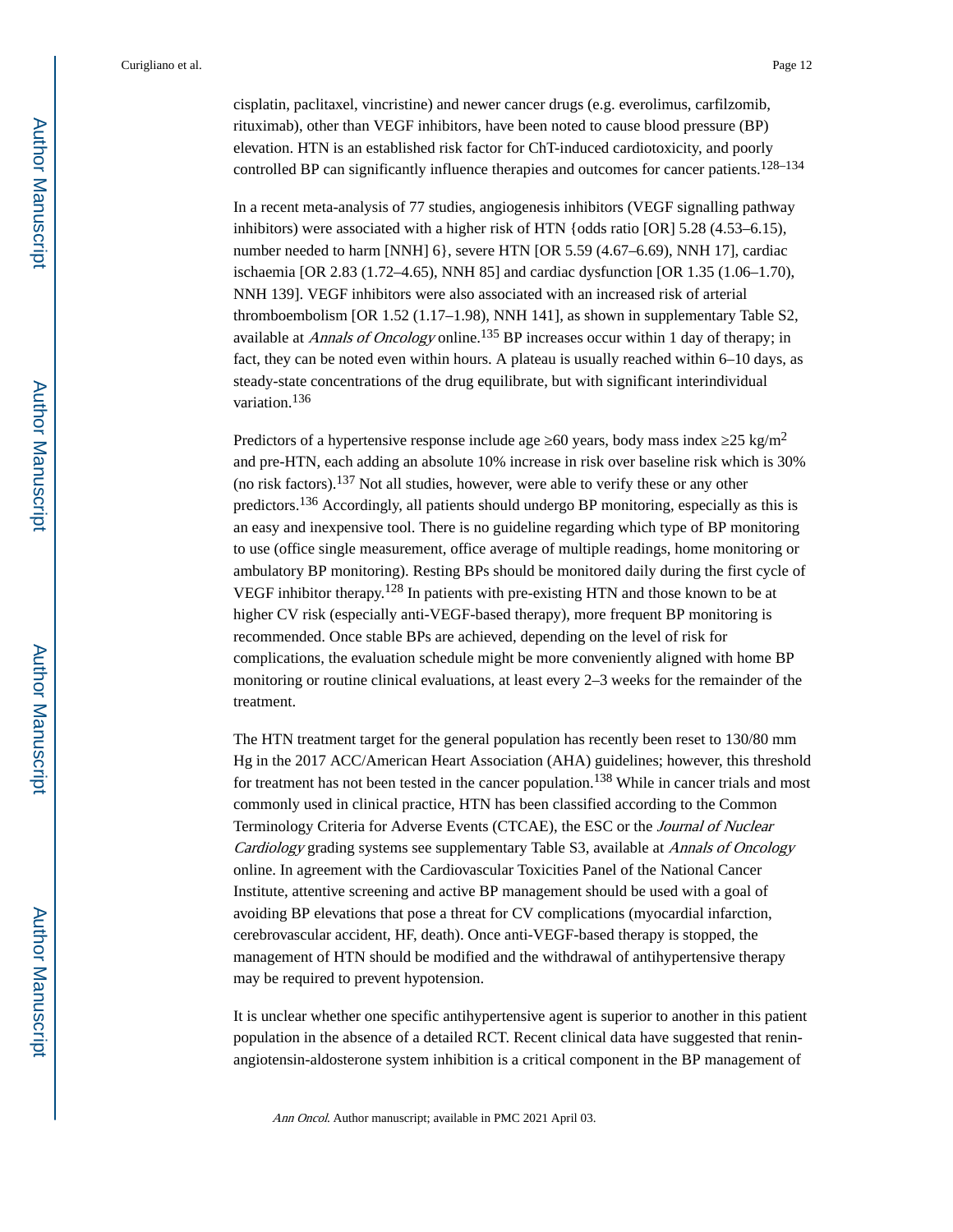cisplatin, paclitaxel, vincristine) and newer cancer drugs (e.g. everolimus, carfilzomib, rituximab), other than VEGF inhibitors, have been noted to cause blood pressure (BP) elevation. HTN is an established risk factor for ChT-induced cardiotoxicity, and poorly controlled BP can significantly influence therapies and outcomes for cancer patients.<sup>128–134</sup>

In a recent meta-analysis of 77 studies, angiogenesis inhibitors (VEGF signalling pathway inhibitors) were associated with a higher risk of HTN {odds ratio [OR] 5.28 (4.53–6.15), number needed to harm [NNH]  $6$ }, severe HTN [OR 5.59 (4.67–6.69), NNH 17], cardiac ischaemia [OR 2.83 (1.72–4.65), NNH 85] and cardiac dysfunction [OR 1.35 (1.06–1.70), NNH 139]. VEGF inhibitors were also associated with an increased risk of arterial thromboembolism [OR 1.52 (1.17–1.98), NNH 141], as shown in supplementary Table S2, available at Annals of Oncology online.<sup>135</sup> BP increases occur within 1 day of therapy; in fact, they can be noted even within hours. A plateau is usually reached within 6–10 days, as steady-state concentrations of the drug equilibrate, but with significant interindividual variation.<sup>136</sup>

Predictors of a hypertensive response include age  $\,60$  years, body mass index  $\,25 \, \text{kg/m}^2$ and pre-HTN, each adding an absolute 10% increase in risk over baseline risk which is 30% (no risk factors).<sup>137</sup> Not all studies, however, were able to verify these or any other predictors.136 Accordingly, all patients should undergo BP monitoring, especially as this is an easy and inexpensive tool. There is no guideline regarding which type of BP monitoring to use (office single measurement, office average of multiple readings, home monitoring or ambulatory BP monitoring). Resting BPs should be monitored daily during the first cycle of VEGF inhibitor therapy.128 In patients with pre-existing HTN and those known to be at higher CV risk (especially anti-VEGF-based therapy), more frequent BP monitoring is recommended. Once stable BPs are achieved, depending on the level of risk for complications, the evaluation schedule might be more conveniently aligned with home BP monitoring or routine clinical evaluations, at least every 2–3 weeks for the remainder of the treatment.

The HTN treatment target for the general population has recently been reset to 130/80 mm Hg in the 2017 ACC/American Heart Association (AHA) guidelines; however, this threshold for treatment has not been tested in the cancer population.<sup>138</sup> While in cancer trials and most commonly used in clinical practice, HTN has been classified according to the Common Terminology Criteria for Adverse Events (CTCAE), the ESC or the Journal of Nuclear Cardiology grading systems see supplementary Table S3, available at Annals of Oncology online. In agreement with the Cardiovascular Toxicities Panel of the National Cancer Institute, attentive screening and active BP management should be used with a goal of avoiding BP elevations that pose a threat for CV complications (myocardial infarction, cerebrovascular accident, HF, death). Once anti-VEGF-based therapy is stopped, the management of HTN should be modified and the withdrawal of antihypertensive therapy may be required to prevent hypotension.

It is unclear whether one specific antihypertensive agent is superior to another in this patient population in the absence of a detailed RCT. Recent clinical data have suggested that reninangiotensin-aldosterone system inhibition is a critical component in the BP management of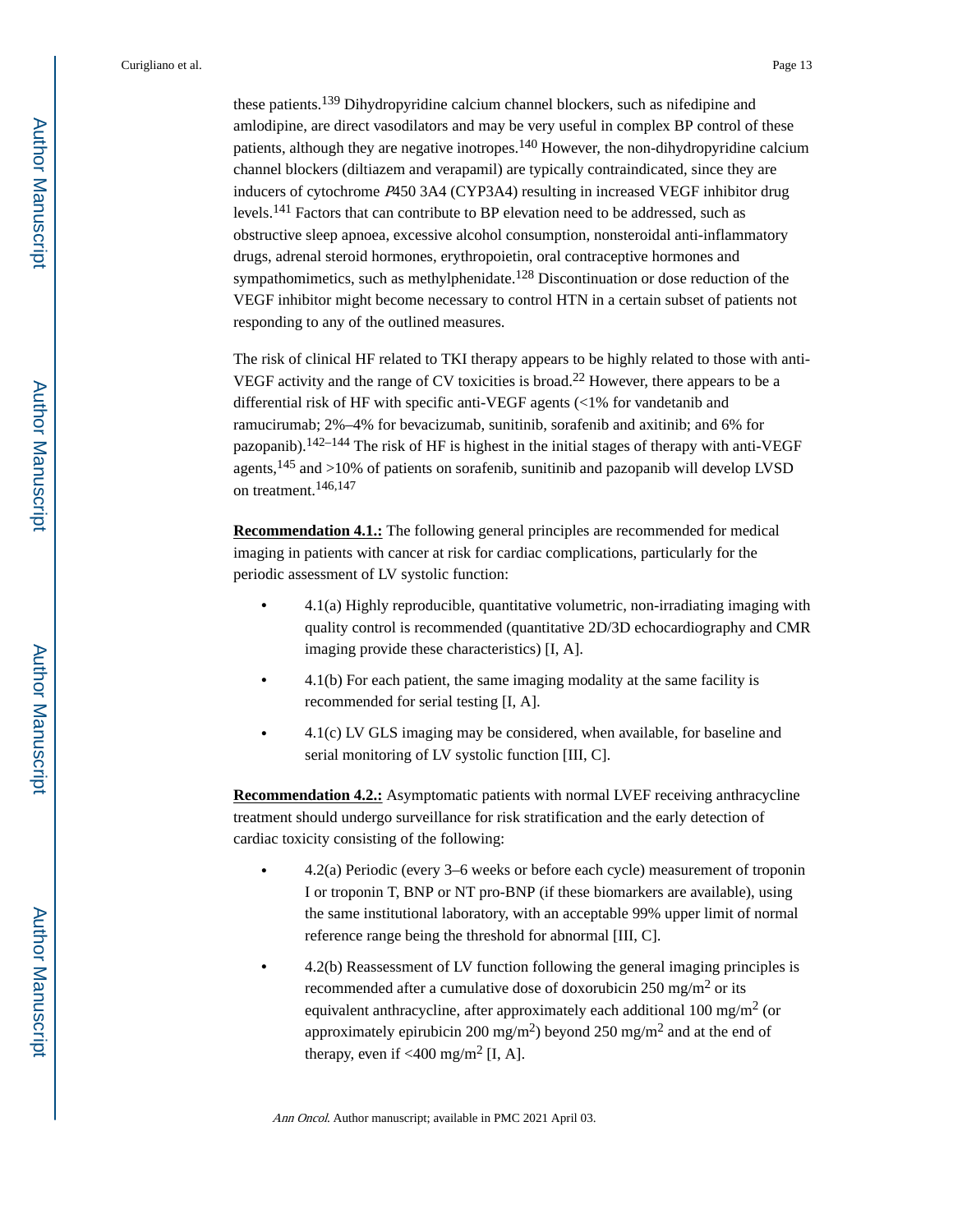these patients.139 Dihydropyridine calcium channel blockers, such as nifedipine and amlodipine, are direct vasodilators and may be very useful in complex BP control of these patients, although they are negative inotropes.140 However, the non-dihydropyridine calcium channel blockers (diltiazem and verapamil) are typically contraindicated, since they are inducers of cytochrome P450 3A4 (CYP3A4) resulting in increased VEGF inhibitor drug levels.141 Factors that can contribute to BP elevation need to be addressed, such as obstructive sleep apnoea, excessive alcohol consumption, nonsteroidal anti-inflammatory drugs, adrenal steroid hormones, erythropoietin, oral contraceptive hormones and sympathomimetics, such as methylphenidate.<sup>128</sup> Discontinuation or dose reduction of the VEGF inhibitor might become necessary to control HTN in a certain subset of patients not responding to any of the outlined measures.

The risk of clinical HF related to TKI therapy appears to be highly related to those with anti-VEGF activity and the range of CV toxicities is broad.22 However, there appears to be a differential risk of HF with specific anti-VEGF agents (<1% for vandetanib and ramucirumab; 2%–4% for bevacizumab, sunitinib, sorafenib and axitinib; and 6% for pazopanib).142–144 The risk of HF is highest in the initial stages of therapy with anti-VEGF agents,145 and >10% of patients on sorafenib, sunitinib and pazopanib will develop LVSD on treatment.146,147

**Recommendation 4.1.:** The following general principles are recommended for medical imaging in patients with cancer at risk for cardiac complications, particularly for the periodic assessment of LV systolic function:

- **•** 4.1(a) Highly reproducible, quantitative volumetric, non-irradiating imaging with quality control is recommended (quantitative 2D/3D echocardiography and CMR imaging provide these characteristics) [I, A].
- **•** 4.1(b) For each patient, the same imaging modality at the same facility is recommended for serial testing [I, A].
- **•** 4.1(c) LV GLS imaging may be considered, when available, for baseline and serial monitoring of LV systolic function [III, C].

**Recommendation 4.2.:** Asymptomatic patients with normal LVEF receiving anthracycline treatment should undergo surveillance for risk stratification and the early detection of cardiac toxicity consisting of the following:

- **•** 4.2(a) Periodic (every 3–6 weeks or before each cycle) measurement of troponin I or troponin T, BNP or NT pro-BNP (if these biomarkers are available), using the same institutional laboratory, with an acceptable 99% upper limit of normal reference range being the threshold for abnormal [III, C].
- **•** 4.2(b) Reassessment of LV function following the general imaging principles is recommended after a cumulative dose of doxorubicin 250 mg/m<sup>2</sup> or its equivalent anthracycline, after approximately each additional 100 mg/m<sup>2</sup> (or approximately epirubicin 200 mg/m<sup>2</sup>) beyond 250 mg/m<sup>2</sup> and at the end of therapy, even if  $\langle 400 \text{ mg/m}^2 \text{ [I, A]}$ .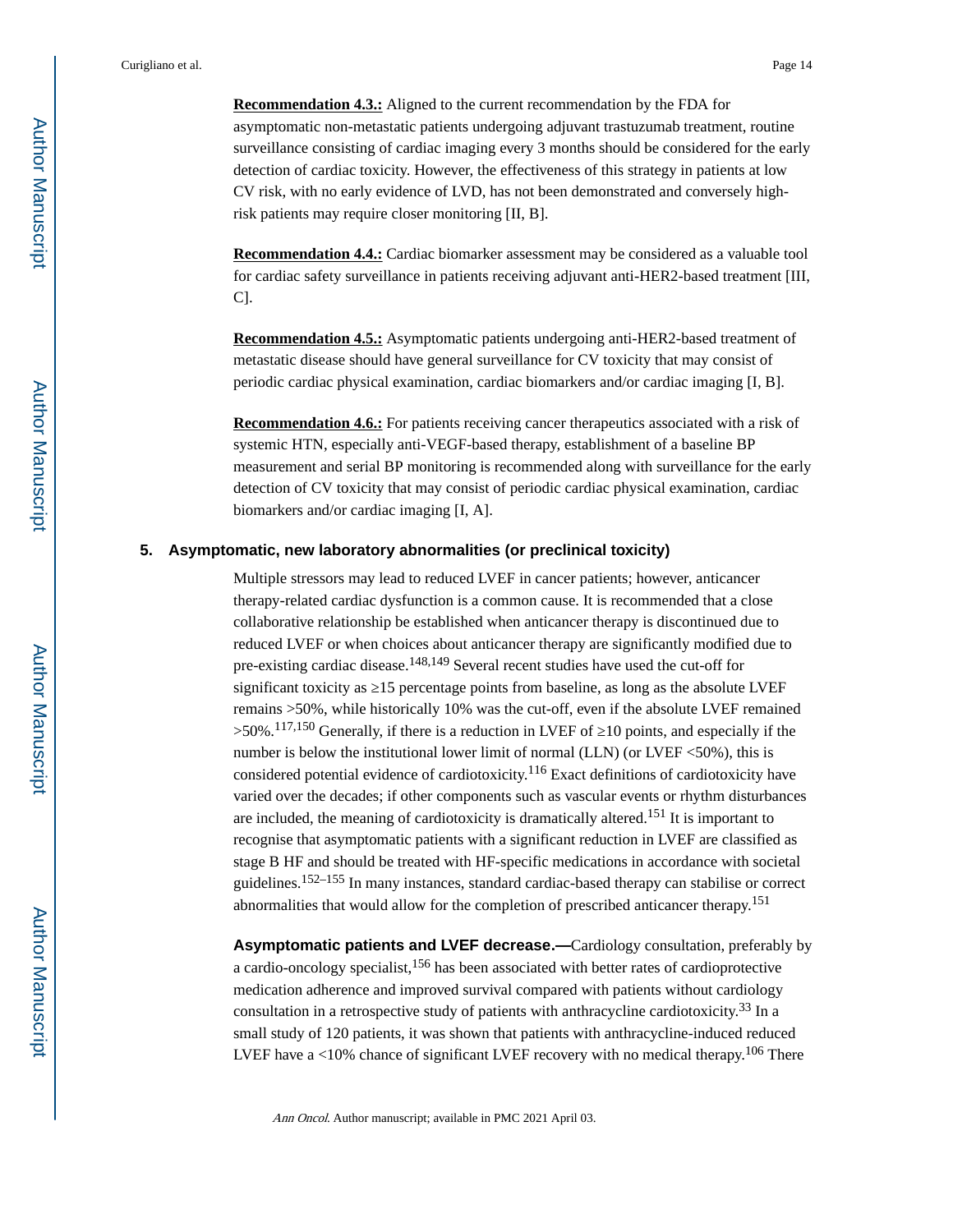**Recommendation 4.3.:** Aligned to the current recommendation by the FDA for asymptomatic non-metastatic patients undergoing adjuvant trastuzumab treatment, routine surveillance consisting of cardiac imaging every 3 months should be considered for the early detection of cardiac toxicity. However, the effectiveness of this strategy in patients at low CV risk, with no early evidence of LVD, has not been demonstrated and conversely highrisk patients may require closer monitoring [II, B].

**Recommendation 4.4.:** Cardiac biomarker assessment may be considered as a valuable tool for cardiac safety surveillance in patients receiving adjuvant anti-HER2-based treatment [III, C].

**Recommendation 4.5.:** Asymptomatic patients undergoing anti-HER2-based treatment of metastatic disease should have general surveillance for CV toxicity that may consist of periodic cardiac physical examination, cardiac biomarkers and/or cardiac imaging [I, B].

**Recommendation 4.6.:** For patients receiving cancer therapeutics associated with a risk of systemic HTN, especially anti-VEGF-based therapy, establishment of a baseline BP measurement and serial BP monitoring is recommended along with surveillance for the early detection of CV toxicity that may consist of periodic cardiac physical examination, cardiac biomarkers and/or cardiac imaging [I, A].

#### **5. Asymptomatic, new laboratory abnormalities (or preclinical toxicity)**

Multiple stressors may lead to reduced LVEF in cancer patients; however, anticancer therapy-related cardiac dysfunction is a common cause. It is recommended that a close collaborative relationship be established when anticancer therapy is discontinued due to reduced LVEF or when choices about anticancer therapy are significantly modified due to pre-existing cardiac disease.148,149 Several recent studies have used the cut-off for significant toxicity as  $15$  percentage points from baseline, as long as the absolute LVEF remains >50%, while historically 10% was the cut-off, even if the absolute LVEF remained >50%.<sup>117,150</sup> Generally, if there is a reduction in LVEF of  $\,$  10 points, and especially if the number is below the institutional lower limit of normal (LLN) (or LVEF <50%), this is considered potential evidence of cardiotoxicity.116 Exact definitions of cardiotoxicity have varied over the decades; if other components such as vascular events or rhythm disturbances are included, the meaning of cardiotoxicity is dramatically altered.151 It is important to recognise that asymptomatic patients with a significant reduction in LVEF are classified as stage B HF and should be treated with HF-specific medications in accordance with societal guidelines.152–155 In many instances, standard cardiac-based therapy can stabilise or correct abnormalities that would allow for the completion of prescribed anticancer therapy.<sup>151</sup>

**Asymptomatic patients and LVEF decrease.—**Cardiology consultation, preferably by a cardio-oncology specialist,156 has been associated with better rates of cardioprotective medication adherence and improved survival compared with patients without cardiology consultation in a retrospective study of patients with anthracycline cardiotoxicity.33 In a small study of 120 patients, it was shown that patients with anthracycline-induced reduced LVEF have a  $<10\%$  chance of significant LVEF recovery with no medical therapy.<sup>106</sup> There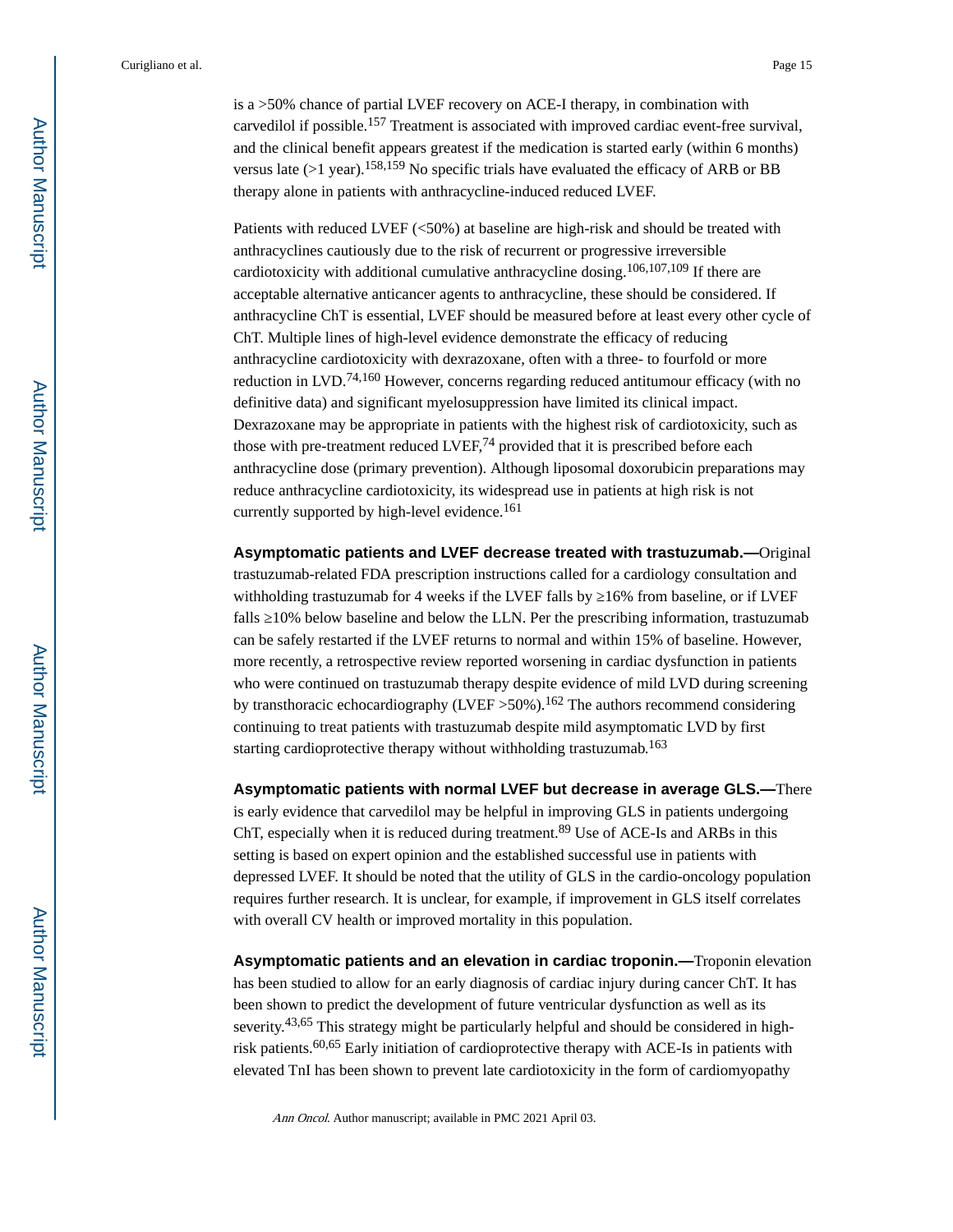is a >50% chance of partial LVEF recovery on ACE-I therapy, in combination with carvedilol if possible.157 Treatment is associated with improved cardiac event-free survival, and the clinical benefit appears greatest if the medication is started early (within 6 months) versus late ( $>1$  year).<sup>158,159</sup> No specific trials have evaluated the efficacy of ARB or BB therapy alone in patients with anthracycline-induced reduced LVEF.

Patients with reduced LVEF (<50%) at baseline are high-risk and should be treated with anthracyclines cautiously due to the risk of recurrent or progressive irreversible cardiotoxicity with additional cumulative anthracycline dosing.<sup>106,107,109</sup> If there are acceptable alternative anticancer agents to anthracycline, these should be considered. If anthracycline ChT is essential, LVEF should be measured before at least every other cycle of ChT. Multiple lines of high-level evidence demonstrate the efficacy of reducing anthracycline cardiotoxicity with dexrazoxane, often with a three- to fourfold or more reduction in LVD.74,160 However, concerns regarding reduced antitumour efficacy (with no definitive data) and significant myelosuppression have limited its clinical impact. Dexrazoxane may be appropriate in patients with the highest risk of cardiotoxicity, such as those with pre-treatment reduced LVEF,74 provided that it is prescribed before each anthracycline dose (primary prevention). Although liposomal doxorubicin preparations may reduce anthracycline cardiotoxicity, its widespread use in patients at high risk is not currently supported by high-level evidence.<sup>161</sup>

**Asymptomatic patients and LVEF decrease treated with trastuzumab.—**Original trastuzumab-related FDA prescription instructions called for a cardiology consultation and withholding trastuzumab for 4 weeks if the LVEF falls by  $16\%$  from baseline, or if LVEF falls 10% below baseline and below the LLN. Per the prescribing information, trastuzumab can be safely restarted if the LVEF returns to normal and within 15% of baseline. However, more recently, a retrospective review reported worsening in cardiac dysfunction in patients who were continued on trastuzumab therapy despite evidence of mild LVD during screening by transthoracic echocardiography (LVEF  $>50\%$ ).<sup>162</sup> The authors recommend considering continuing to treat patients with trastuzumab despite mild asymptomatic LVD by first starting cardioprotective therapy without withholding trastuzumab.<sup>163</sup>

**Asymptomatic patients with normal LVEF but decrease in average GLS.—**There is early evidence that carvedilol may be helpful in improving GLS in patients undergoing ChT, especially when it is reduced during treatment.<sup>89</sup> Use of ACE-Is and ARBs in this setting is based on expert opinion and the established successful use in patients with depressed LVEF. It should be noted that the utility of GLS in the cardio-oncology population requires further research. It is unclear, for example, if improvement in GLS itself correlates with overall CV health or improved mortality in this population.

**Asymptomatic patients and an elevation in cardiac troponin.—**Troponin elevation has been studied to allow for an early diagnosis of cardiac injury during cancer ChT. It has been shown to predict the development of future ventricular dysfunction as well as its severity.<sup>43,65</sup> This strategy might be particularly helpful and should be considered in highrisk patients.<sup>60,65</sup> Early initiation of cardioprotective therapy with ACE-Is in patients with elevated TnI has been shown to prevent late cardiotoxicity in the form of cardiomyopathy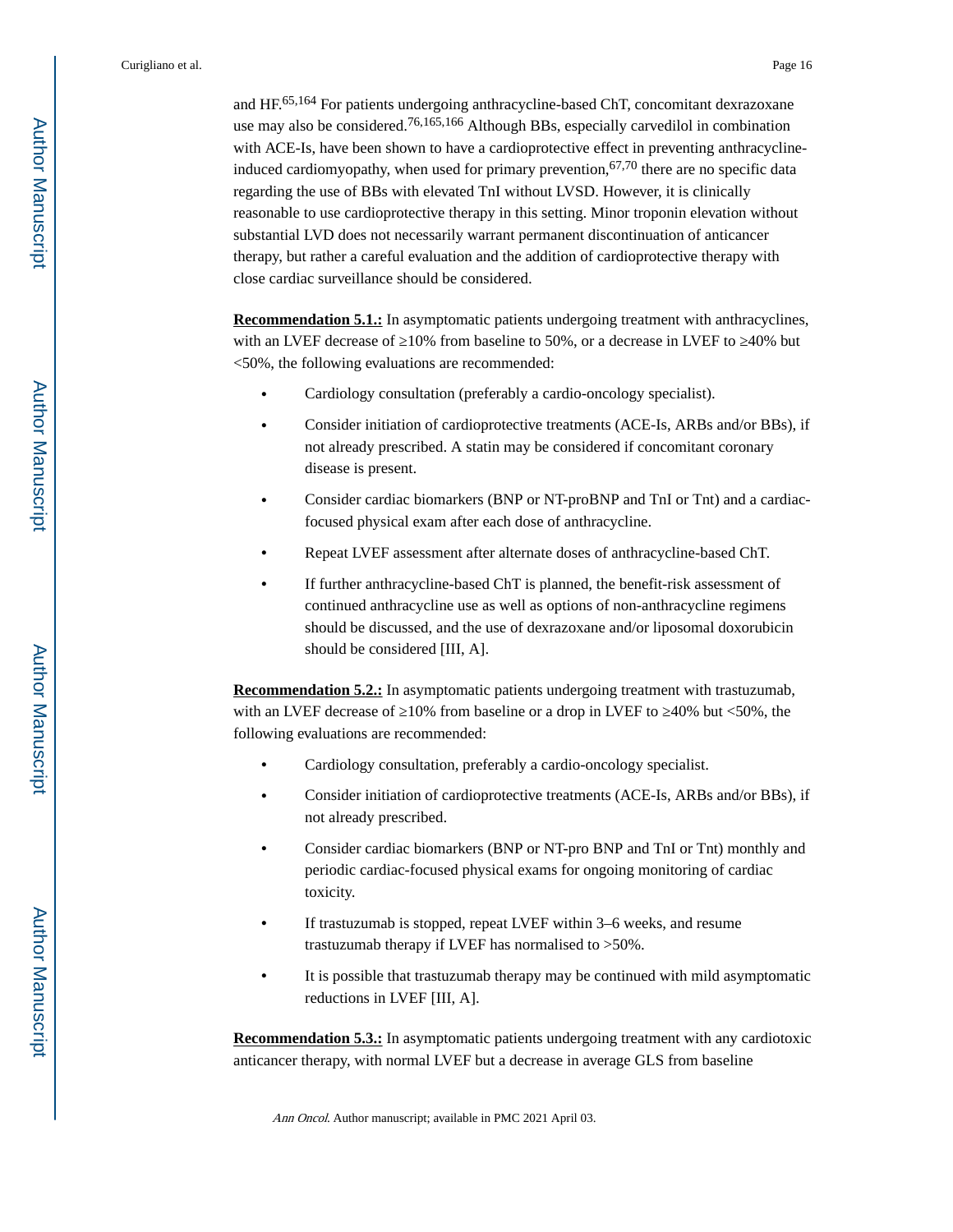and HF.65,164 For patients undergoing anthracycline-based ChT, concomitant dexrazoxane use may also be considered.76,165,166 Although BBs, especially carvedilol in combination with ACE-Is, have been shown to have a cardioprotective effect in preventing anthracyclineinduced cardiomyopathy, when used for primary prevention,  $67,70$  there are no specific data regarding the use of BBs with elevated TnI without LVSD. However, it is clinically reasonable to use cardioprotective therapy in this setting. Minor troponin elevation without substantial LVD does not necessarily warrant permanent discontinuation of anticancer therapy, but rather a careful evaluation and the addition of cardioprotective therapy with close cardiac surveillance should be considered.

**Recommendation 5.1.:** In asymptomatic patients undergoing treatment with anthracyclines, with an LVEF decrease of  $10\%$  from baseline to 50%, or a decrease in LVEF to  $40\%$  but <50%, the following evaluations are recommended:

- **•** Cardiology consultation (preferably a cardio-oncology specialist).
- **•** Consider initiation of cardioprotective treatments (ACE-Is, ARBs and/or BBs), if not already prescribed. A statin may be considered if concomitant coronary disease is present.
- **•** Consider cardiac biomarkers (BNP or NT-proBNP and TnI or Tnt) and a cardiacfocused physical exam after each dose of anthracycline.
- **•** Repeat LVEF assessment after alternate doses of anthracycline-based ChT.
- **•** If further anthracycline-based ChT is planned, the benefit-risk assessment of continued anthracycline use as well as options of non-anthracycline regimens should be discussed, and the use of dexrazoxane and/or liposomal doxorubicin should be considered [III, A].

**Recommendation 5.2.:** In asymptomatic patients undergoing treatment with trastuzumab, with an LVEF decrease of  $10\%$  from baseline or a drop in LVEF to  $40\%$  but <50%, the following evaluations are recommended:

- **•** Cardiology consultation, preferably a cardio-oncology specialist.
- **•** Consider initiation of cardioprotective treatments (ACE-Is, ARBs and/or BBs), if not already prescribed.
- **•** Consider cardiac biomarkers (BNP or NT-pro BNP and TnI or Tnt) monthly and periodic cardiac-focused physical exams for ongoing monitoring of cardiac toxicity.
- **•** If trastuzumab is stopped, repeat LVEF within 3–6 weeks, and resume trastuzumab therapy if LVEF has normalised to >50%.
- **•** It is possible that trastuzumab therapy may be continued with mild asymptomatic reductions in LVEF [III, A].

**Recommendation 5.3.:** In asymptomatic patients undergoing treatment with any cardiotoxic anticancer therapy, with normal LVEF but a decrease in average GLS from baseline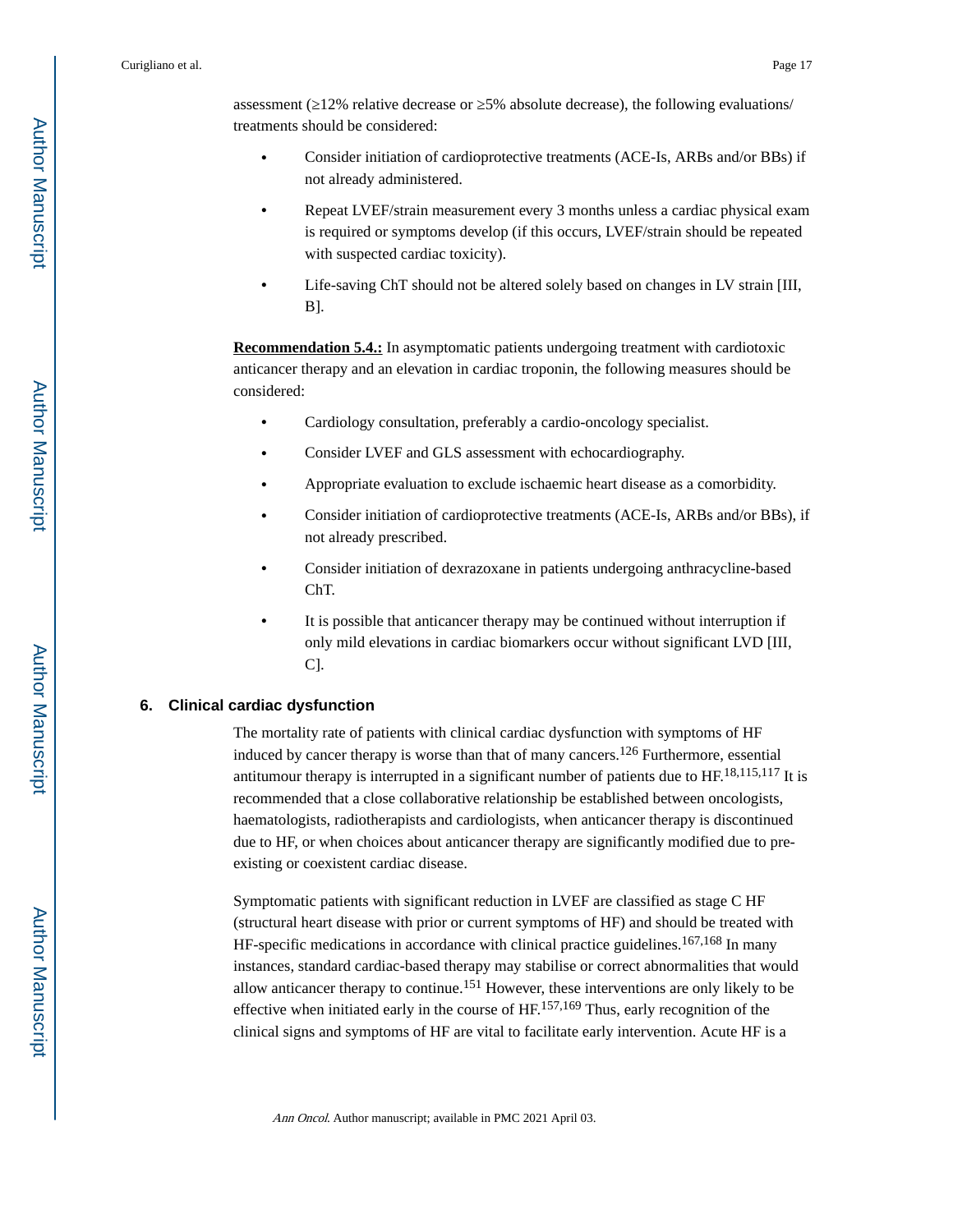assessment ( $12\%$  relative decrease or  $5\%$  absolute decrease), the following evaluations/ treatments should be considered:

- **•** Consider initiation of cardioprotective treatments (ACE-Is, ARBs and/or BBs) if not already administered.
- **•** Repeat LVEF/strain measurement every 3 months unless a cardiac physical exam is required or symptoms develop (if this occurs, LVEF/strain should be repeated with suspected cardiac toxicity).
- **•** Life-saving ChT should not be altered solely based on changes in LV strain [III, B].

**Recommendation 5.4.:** In asymptomatic patients undergoing treatment with cardiotoxic anticancer therapy and an elevation in cardiac troponin, the following measures should be considered:

- **•** Cardiology consultation, preferably a cardio-oncology specialist.
- **•** Consider LVEF and GLS assessment with echocardiography.
- **•** Appropriate evaluation to exclude ischaemic heart disease as a comorbidity.
- **•** Consider initiation of cardioprotective treatments (ACE-Is, ARBs and/or BBs), if not already prescribed.
- **•** Consider initiation of dexrazoxane in patients undergoing anthracycline-based ChT.
- **•** It is possible that anticancer therapy may be continued without interruption if only mild elevations in cardiac biomarkers occur without significant LVD [III, C].

#### **6. Clinical cardiac dysfunction**

The mortality rate of patients with clinical cardiac dysfunction with symptoms of HF induced by cancer therapy is worse than that of many cancers.<sup>126</sup> Furthermore, essential antitumour therapy is interrupted in a significant number of patients due to  $HF^{18,115,117}$  It is recommended that a close collaborative relationship be established between oncologists, haematologists, radiotherapists and cardiologists, when anticancer therapy is discontinued due to HF, or when choices about anticancer therapy are significantly modified due to preexisting or coexistent cardiac disease.

Symptomatic patients with significant reduction in LVEF are classified as stage C HF (structural heart disease with prior or current symptoms of HF) and should be treated with HF-specific medications in accordance with clinical practice guidelines.<sup>167,168</sup> In many instances, standard cardiac-based therapy may stabilise or correct abnormalities that would allow anticancer therapy to continue.151 However, these interventions are only likely to be effective when initiated early in the course of HF.157,169 Thus, early recognition of the clinical signs and symptoms of HF are vital to facilitate early intervention. Acute HF is a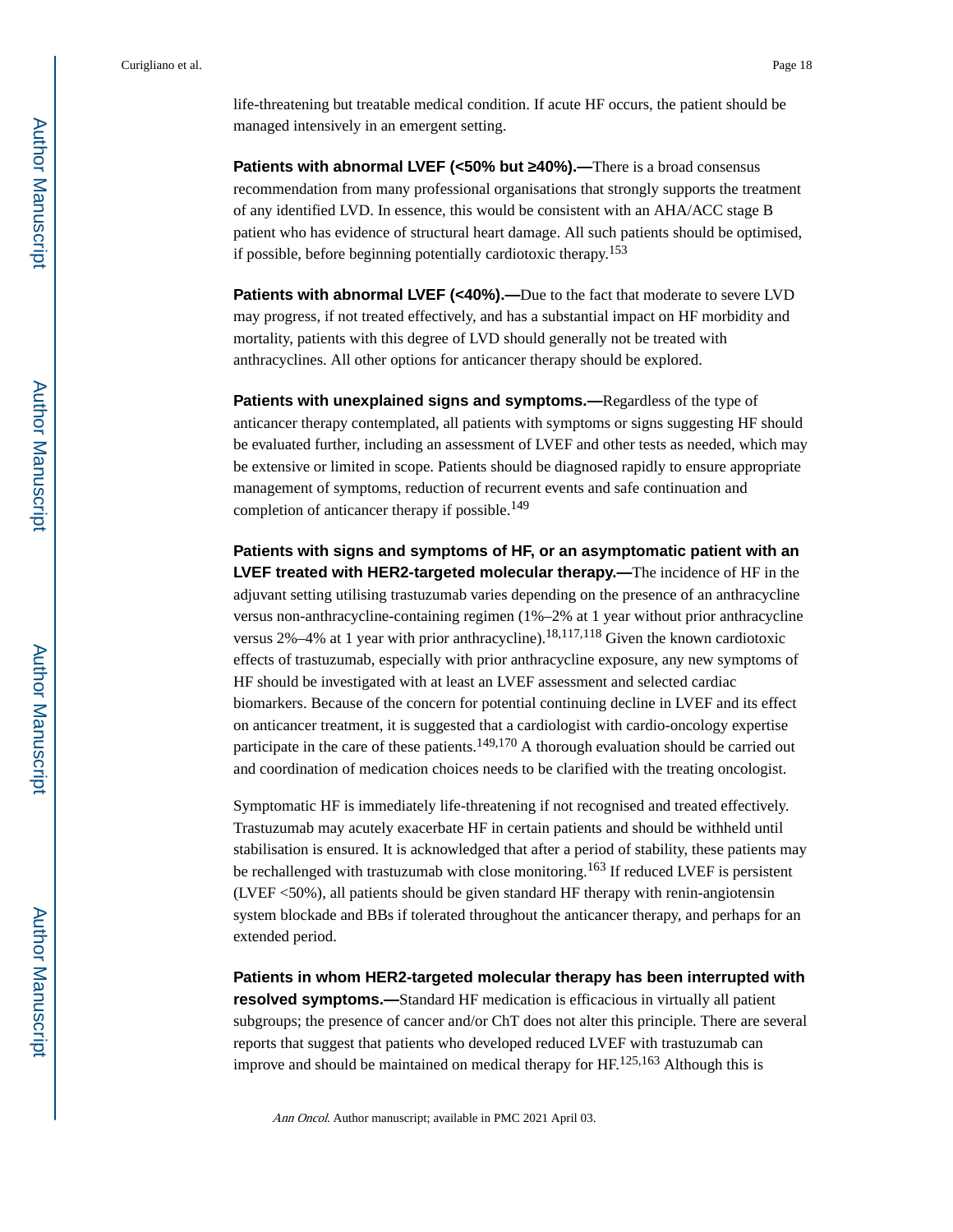life-threatening but treatable medical condition. If acute HF occurs, the patient should be managed intensively in an emergent setting.

**Patients with abnormal LVEF (<50% but 40%).—There is a broad consensus** recommendation from many professional organisations that strongly supports the treatment of any identified LVD. In essence, this would be consistent with an AHA/ACC stage B patient who has evidence of structural heart damage. All such patients should be optimised, if possible, before beginning potentially cardiotoxic therapy.<sup>153</sup>

**Patients with abnormal LVEF (<40%).—Due to the fact that moderate to severe LVD** may progress, if not treated effectively, and has a substantial impact on HF morbidity and mortality, patients with this degree of LVD should generally not be treated with anthracyclines. All other options for anticancer therapy should be explored.

**Patients with unexplained signs and symptoms.—**Regardless of the type of anticancer therapy contemplated, all patients with symptoms or signs suggesting HF should be evaluated further, including an assessment of LVEF and other tests as needed, which may be extensive or limited in scope. Patients should be diagnosed rapidly to ensure appropriate management of symptoms, reduction of recurrent events and safe continuation and completion of anticancer therapy if possible.<sup>149</sup>

**Patients with signs and symptoms of HF, or an asymptomatic patient with an LVEF treated with HER2-targeted molecular therapy.—**The incidence of HF in the adjuvant setting utilising trastuzumab varies depending on the presence of an anthracycline versus non-anthracycline-containing regimen (1%–2% at 1 year without prior anthracycline versus 2%–4% at 1 year with prior anthracycline).<sup>18,117,118</sup> Given the known cardiotoxic effects of trastuzumab, especially with prior anthracycline exposure, any new symptoms of HF should be investigated with at least an LVEF assessment and selected cardiac biomarkers. Because of the concern for potential continuing decline in LVEF and its effect on anticancer treatment, it is suggested that a cardiologist with cardio-oncology expertise participate in the care of these patients.<sup>149,170</sup> A thorough evaluation should be carried out and coordination of medication choices needs to be clarified with the treating oncologist.

Symptomatic HF is immediately life-threatening if not recognised and treated effectively. Trastuzumab may acutely exacerbate HF in certain patients and should be withheld until stabilisation is ensured. It is acknowledged that after a period of stability, these patients may be rechallenged with trastuzumab with close monitoring.<sup>163</sup> If reduced LVEF is persistent (LVEF <50%), all patients should be given standard HF therapy with renin-angiotensin system blockade and BBs if tolerated throughout the anticancer therapy, and perhaps for an extended period.

**Patients in whom HER2-targeted molecular therapy has been interrupted with resolved symptoms.—**Standard HF medication is efficacious in virtually all patient subgroups; the presence of cancer and/or ChT does not alter this principle. There are several reports that suggest that patients who developed reduced LVEF with trastuzumab can improve and should be maintained on medical therapy for  $HF<sup>125,163</sup>$  Although this is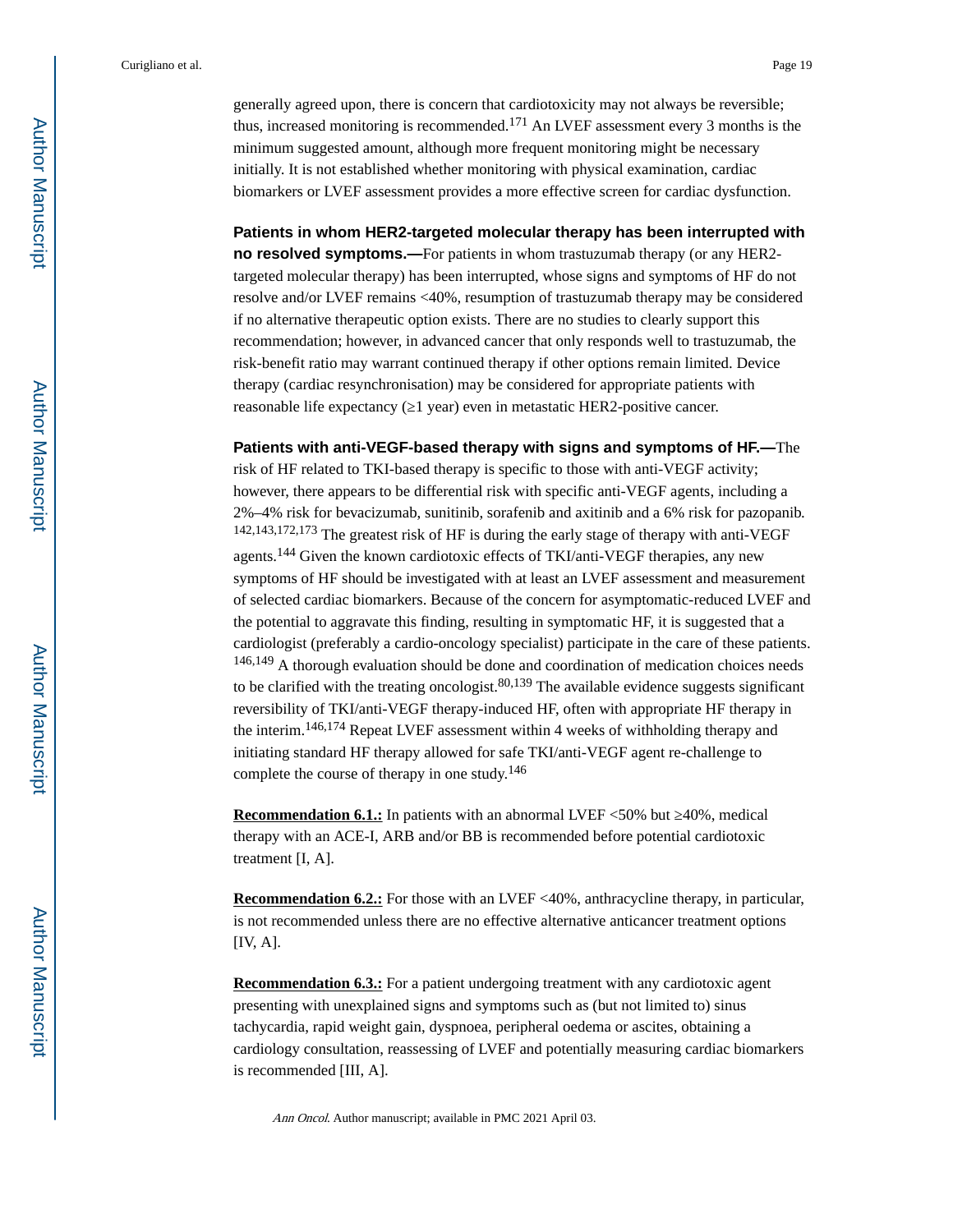generally agreed upon, there is concern that cardiotoxicity may not always be reversible; thus, increased monitoring is recommended.171 An LVEF assessment every 3 months is the minimum suggested amount, although more frequent monitoring might be necessary initially. It is not established whether monitoring with physical examination, cardiac biomarkers or LVEF assessment provides a more effective screen for cardiac dysfunction.

**Patients in whom HER2-targeted molecular therapy has been interrupted with no resolved symptoms.—**For patients in whom trastuzumab therapy (or any HER2targeted molecular therapy) has been interrupted, whose signs and symptoms of HF do not resolve and/or LVEF remains <40%, resumption of trastuzumab therapy may be considered if no alternative therapeutic option exists. There are no studies to clearly support this recommendation; however, in advanced cancer that only responds well to trastuzumab, the risk-benefit ratio may warrant continued therapy if other options remain limited. Device therapy (cardiac resynchronisation) may be considered for appropriate patients with reasonable life expectancy ( $\overline{1}$  year) even in metastatic HER2-positive cancer.

**Patients with anti-VEGF-based therapy with signs and symptoms of HF.—**The risk of HF related to TKI-based therapy is specific to those with anti-VEGF activity; however, there appears to be differential risk with specific anti-VEGF agents, including a 2%–4% risk for bevacizumab, sunitinib, sorafenib and axitinib and a 6% risk for pazopanib. 142,143,172,173 The greatest risk of HF is during the early stage of therapy with anti-VEGF agents.144 Given the known cardiotoxic effects of TKI/anti-VEGF therapies, any new symptoms of HF should be investigated with at least an LVEF assessment and measurement of selected cardiac biomarkers. Because of the concern for asymptomatic-reduced LVEF and the potential to aggravate this finding, resulting in symptomatic HF, it is suggested that a cardiologist (preferably a cardio-oncology specialist) participate in the care of these patients. 146,149 A thorough evaluation should be done and coordination of medication choices needs to be clarified with the treating oncologist.  $80,139$  The available evidence suggests significant reversibility of TKI/anti-VEGF therapy-induced HF, often with appropriate HF therapy in the interim.146,174 Repeat LVEF assessment within 4 weeks of withholding therapy and initiating standard HF therapy allowed for safe TKI/anti-VEGF agent re-challenge to complete the course of therapy in one study.<sup>146</sup>

**Recommendation 6.1.:** In patients with an abnormal LVEF <50% but 40%, medical therapy with an ACE-I, ARB and/or BB is recommended before potential cardiotoxic treatment [I, A].

**Recommendation 6.2.:** For those with an LVEF <40%, anthracycline therapy, in particular, is not recommended unless there are no effective alternative anticancer treatment options [IV, A].

**Recommendation 6.3.:** For a patient undergoing treatment with any cardiotoxic agent presenting with unexplained signs and symptoms such as (but not limited to) sinus tachycardia, rapid weight gain, dyspnoea, peripheral oedema or ascites, obtaining a cardiology consultation, reassessing of LVEF and potentially measuring cardiac biomarkers is recommended [III, A].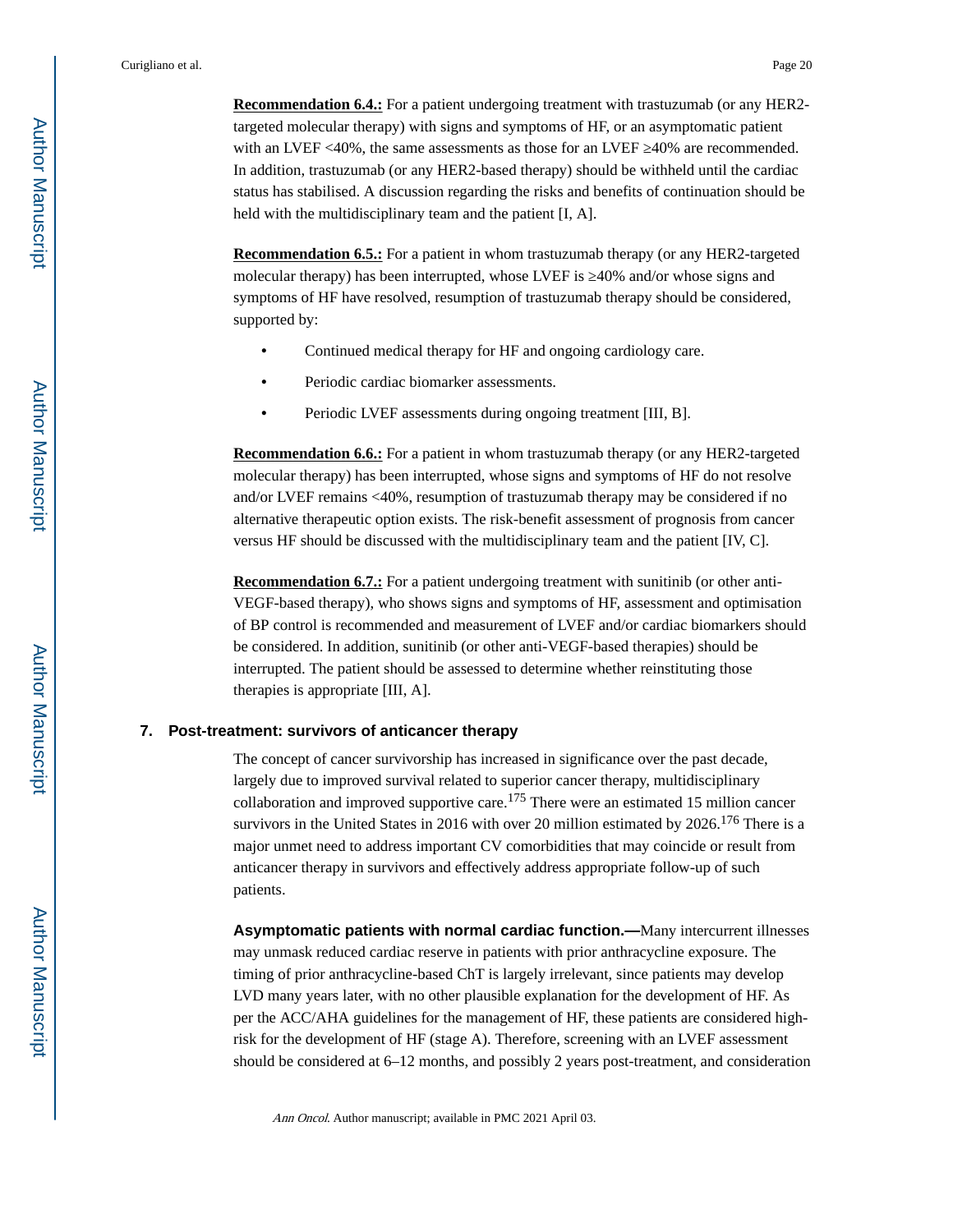**Recommendation 6.4.:** For a patient undergoing treatment with trastuzumab (or any HER2targeted molecular therapy) with signs and symptoms of HF, or an asymptomatic patient with an LVEF  $<40\%$ , the same assessments as those for an LVEF  $\,$  40% are recommended. In addition, trastuzumab (or any HER2-based therapy) should be withheld until the cardiac status has stabilised. A discussion regarding the risks and benefits of continuation should be held with the multidisciplinary team and the patient [I, A].

**Recommendation 6.5.:** For a patient in whom trastuzumab therapy (or any HER2-targeted molecular therapy) has been interrupted, whose LVEF is 40% and/or whose signs and symptoms of HF have resolved, resumption of trastuzumab therapy should be considered, supported by:

- **•** Continued medical therapy for HF and ongoing cardiology care.
- **•** Periodic cardiac biomarker assessments.
- **•** Periodic LVEF assessments during ongoing treatment [III, B].

**Recommendation 6.6.:** For a patient in whom trastuzumab therapy (or any HER2-targeted molecular therapy) has been interrupted, whose signs and symptoms of HF do not resolve and/or LVEF remains <40%, resumption of trastuzumab therapy may be considered if no alternative therapeutic option exists. The risk-benefit assessment of prognosis from cancer versus HF should be discussed with the multidisciplinary team and the patient [IV, C].

**Recommendation 6.7.:** For a patient undergoing treatment with sunitinib (or other anti-VEGF-based therapy), who shows signs and symptoms of HF, assessment and optimisation of BP control is recommended and measurement of LVEF and/or cardiac biomarkers should be considered. In addition, sunitinib (or other anti-VEGF-based therapies) should be interrupted. The patient should be assessed to determine whether reinstituting those therapies is appropriate [III, A].

#### **7. Post-treatment: survivors of anticancer therapy**

The concept of cancer survivorship has increased in significance over the past decade, largely due to improved survival related to superior cancer therapy, multidisciplinary collaboration and improved supportive care.175 There were an estimated 15 million cancer survivors in the United States in 2016 with over 20 million estimated by 2026.<sup>176</sup> There is a major unmet need to address important CV comorbidities that may coincide or result from anticancer therapy in survivors and effectively address appropriate follow-up of such patients.

**Asymptomatic patients with normal cardiac function.—**Many intercurrent illnesses may unmask reduced cardiac reserve in patients with prior anthracycline exposure. The timing of prior anthracycline-based ChT is largely irrelevant, since patients may develop LVD many years later, with no other plausible explanation for the development of HF. As per the ACC/AHA guidelines for the management of HF, these patients are considered highrisk for the development of HF (stage A). Therefore, screening with an LVEF assessment should be considered at 6–12 months, and possibly 2 years post-treatment, and consideration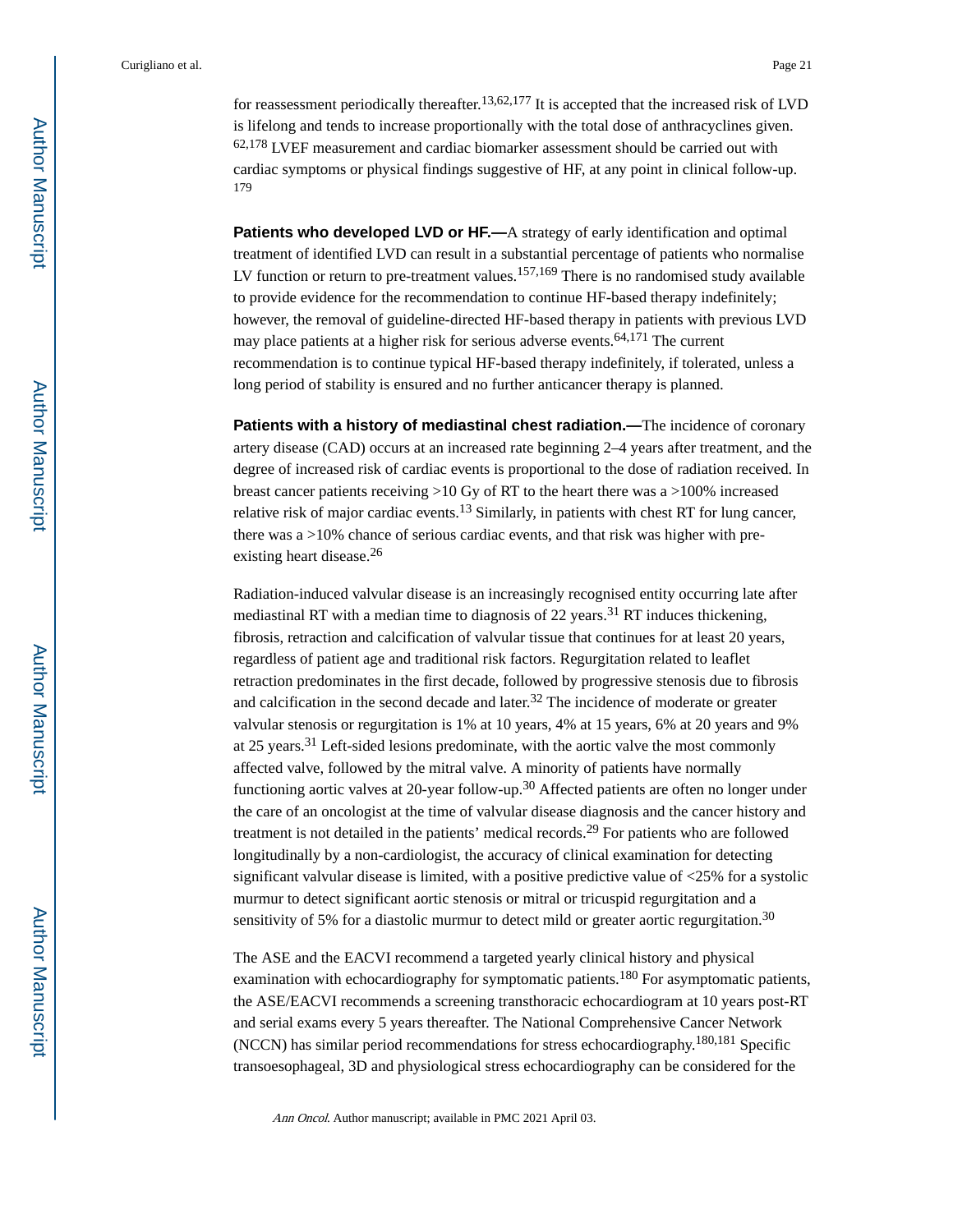for reassessment periodically thereafter.<sup>13,62,177</sup> It is accepted that the increased risk of LVD is lifelong and tends to increase proportionally with the total dose of anthracyclines given. 62,178 LVEF measurement and cardiac biomarker assessment should be carried out with cardiac symptoms or physical findings suggestive of HF, at any point in clinical follow-up. 179

**Patients who developed LVD or HF.—A** strategy of early identification and optimal treatment of identified LVD can result in a substantial percentage of patients who normalise LV function or return to pre-treatment values.<sup>157,169</sup> There is no randomised study available to provide evidence for the recommendation to continue HF-based therapy indefinitely; however, the removal of guideline-directed HF-based therapy in patients with previous LVD may place patients at a higher risk for serious adverse events.<sup>64,171</sup> The current recommendation is to continue typical HF-based therapy indefinitely, if tolerated, unless a long period of stability is ensured and no further anticancer therapy is planned.

**Patients with a history of mediastinal chest radiation.—**The incidence of coronary artery disease (CAD) occurs at an increased rate beginning 2–4 years after treatment, and the degree of increased risk of cardiac events is proportional to the dose of radiation received. In breast cancer patients receiving >10 Gy of RT to the heart there was a >100% increased relative risk of major cardiac events.13 Similarly, in patients with chest RT for lung cancer, there was a >10% chance of serious cardiac events, and that risk was higher with preexisting heart disease.<sup>26</sup>

Radiation-induced valvular disease is an increasingly recognised entity occurring late after mediastinal RT with a median time to diagnosis of 22 years.<sup>31</sup> RT induces thickening, fibrosis, retraction and calcification of valvular tissue that continues for at least 20 years, regardless of patient age and traditional risk factors. Regurgitation related to leaflet retraction predominates in the first decade, followed by progressive stenosis due to fibrosis and calcification in the second decade and later.<sup>32</sup> The incidence of moderate or greater valvular stenosis or regurgitation is 1% at 10 years, 4% at 15 years, 6% at 20 years and 9% at 25 years.31 Left-sided lesions predominate, with the aortic valve the most commonly affected valve, followed by the mitral valve. A minority of patients have normally functioning aortic valves at 20-year follow-up.<sup>30</sup> Affected patients are often no longer under the care of an oncologist at the time of valvular disease diagnosis and the cancer history and treatment is not detailed in the patients' medical records.29 For patients who are followed longitudinally by a non-cardiologist, the accuracy of clinical examination for detecting significant valvular disease is limited, with a positive predictive value of  $\langle 25\%$  for a systolic murmur to detect significant aortic stenosis or mitral or tricuspid regurgitation and a sensitivity of 5% for a diastolic murmur to detect mild or greater aortic regurgitation.<sup>30</sup>

The ASE and the EACVI recommend a targeted yearly clinical history and physical examination with echocardiography for symptomatic patients.<sup>180</sup> For asymptomatic patients, the ASE/EACVI recommends a screening transthoracic echocardiogram at 10 years post-RT and serial exams every 5 years thereafter. The National Comprehensive Cancer Network (NCCN) has similar period recommendations for stress echocardiography.180,181 Specific transoesophageal, 3D and physiological stress echocardiography can be considered for the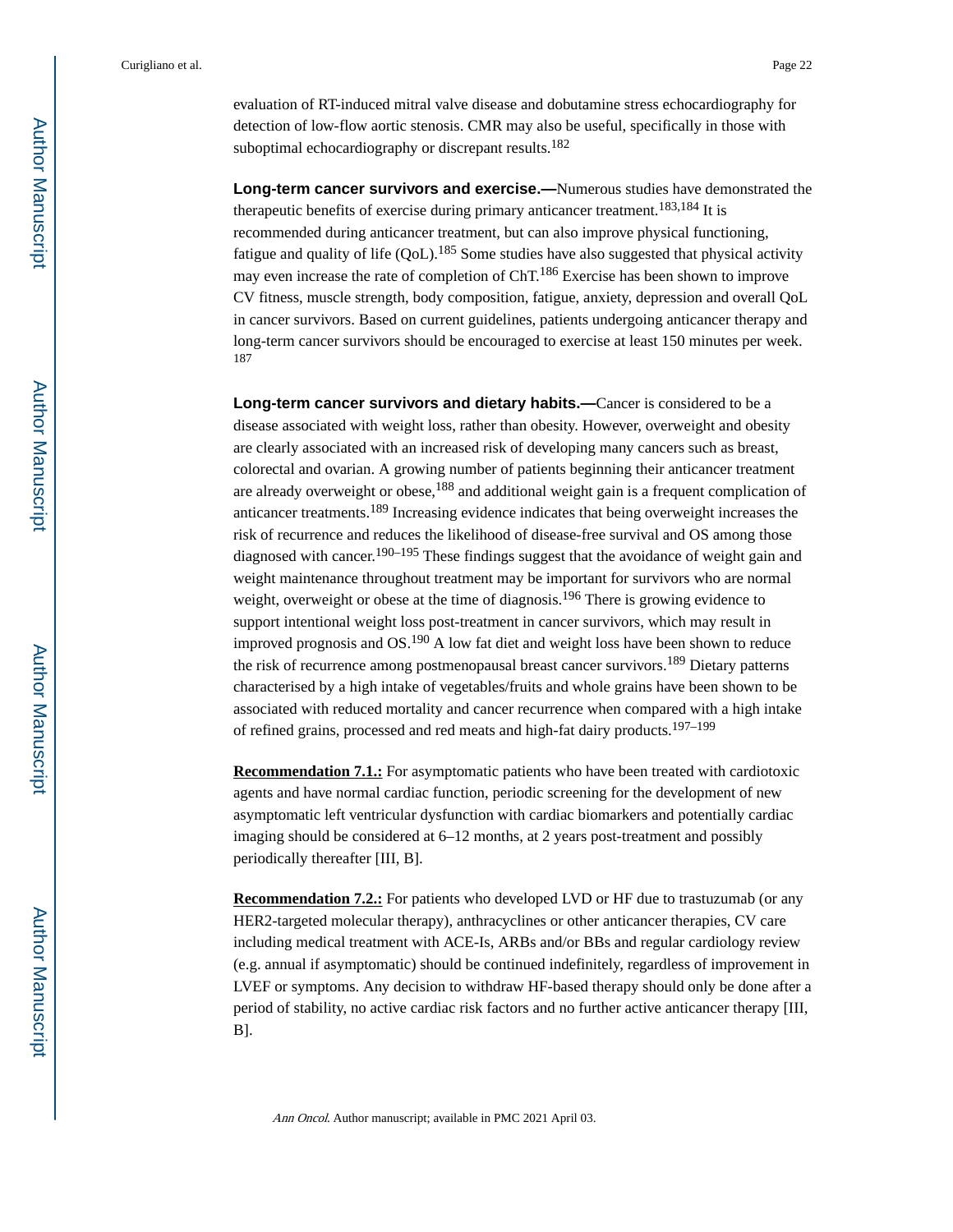evaluation of RT-induced mitral valve disease and dobutamine stress echocardiography for detection of low-flow aortic stenosis. CMR may also be useful, specifically in those with suboptimal echocardiography or discrepant results.<sup>182</sup>

**Long-term cancer survivors and exercise.—**Numerous studies have demonstrated the therapeutic benefits of exercise during primary anticancer treatment.183,184 It is recommended during anticancer treatment, but can also improve physical functioning, fatigue and quality of life  $(QoL)$ .<sup>185</sup> Some studies have also suggested that physical activity may even increase the rate of completion of ChT.186 Exercise has been shown to improve CV fitness, muscle strength, body composition, fatigue, anxiety, depression and overall QoL in cancer survivors. Based on current guidelines, patients undergoing anticancer therapy and long-term cancer survivors should be encouraged to exercise at least 150 minutes per week. 187

**Long-term cancer survivors and dietary habits.—**Cancer is considered to be a disease associated with weight loss, rather than obesity. However, overweight and obesity are clearly associated with an increased risk of developing many cancers such as breast, colorectal and ovarian. A growing number of patients beginning their anticancer treatment are already overweight or obese,  $188$  and additional weight gain is a frequent complication of anticancer treatments.189 Increasing evidence indicates that being overweight increases the risk of recurrence and reduces the likelihood of disease-free survival and OS among those diagnosed with cancer.<sup>190–195</sup> These findings suggest that the avoidance of weight gain and weight maintenance throughout treatment may be important for survivors who are normal weight, overweight or obese at the time of diagnosis.<sup>196</sup> There is growing evidence to support intentional weight loss post-treatment in cancer survivors, which may result in improved prognosis and  $OS^{190}$  A low fat diet and weight loss have been shown to reduce the risk of recurrence among postmenopausal breast cancer survivors.<sup>189</sup> Dietary patterns characterised by a high intake of vegetables/fruits and whole grains have been shown to be associated with reduced mortality and cancer recurrence when compared with a high intake of refined grains, processed and red meats and high-fat dairy products.197–199

**Recommendation 7.1.:** For asymptomatic patients who have been treated with cardiotoxic agents and have normal cardiac function, periodic screening for the development of new asymptomatic left ventricular dysfunction with cardiac biomarkers and potentially cardiac imaging should be considered at 6–12 months, at 2 years post-treatment and possibly periodically thereafter [III, B].

**Recommendation 7.2.:** For patients who developed LVD or HF due to trastuzumab (or any HER2-targeted molecular therapy), anthracyclines or other anticancer therapies, CV care including medical treatment with ACE-Is, ARBs and/or BBs and regular cardiology review (e.g. annual if asymptomatic) should be continued indefinitely, regardless of improvement in LVEF or symptoms. Any decision to withdraw HF-based therapy should only be done after a period of stability, no active cardiac risk factors and no further active anticancer therapy [III, B].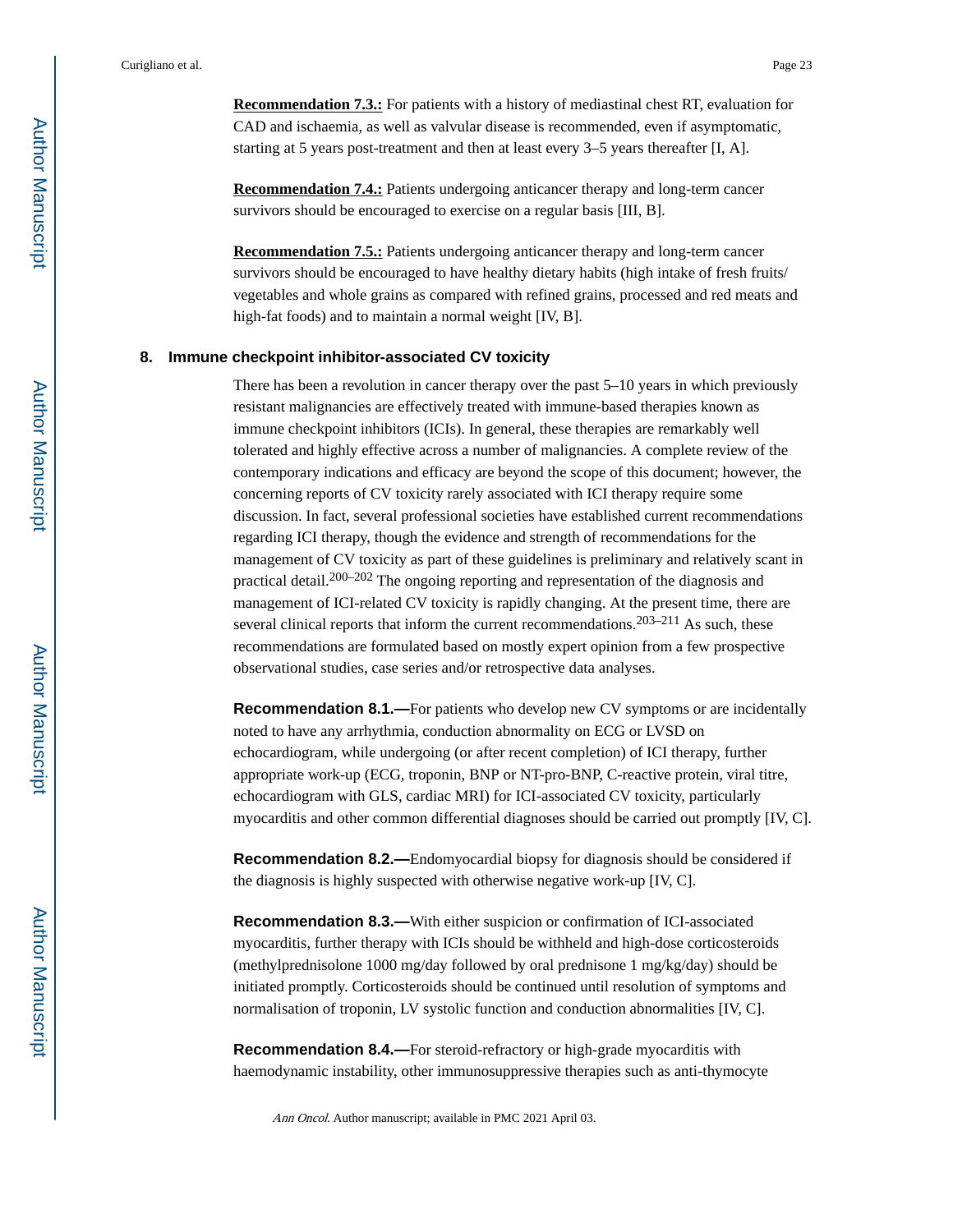**Recommendation 7.3.:** For patients with a history of mediastinal chest RT, evaluation for CAD and ischaemia, as well as valvular disease is recommended, even if asymptomatic, starting at 5 years post-treatment and then at least every 3–5 years thereafter [I, A].

**Recommendation 7.4.:** Patients undergoing anticancer therapy and long-term cancer survivors should be encouraged to exercise on a regular basis [III, B].

**Recommendation 7.5.:** Patients undergoing anticancer therapy and long-term cancer survivors should be encouraged to have healthy dietary habits (high intake of fresh fruits/ vegetables and whole grains as compared with refined grains, processed and red meats and high-fat foods) and to maintain a normal weight [IV, B].

#### **8. Immune checkpoint inhibitor-associated CV toxicity**

There has been a revolution in cancer therapy over the past 5–10 years in which previously resistant malignancies are effectively treated with immune-based therapies known as immune checkpoint inhibitors (ICIs). In general, these therapies are remarkably well tolerated and highly effective across a number of malignancies. A complete review of the contemporary indications and efficacy are beyond the scope of this document; however, the concerning reports of CV toxicity rarely associated with ICI therapy require some discussion. In fact, several professional societies have established current recommendations regarding ICI therapy, though the evidence and strength of recommendations for the management of CV toxicity as part of these guidelines is preliminary and relatively scant in practical detail.<sup>200–202</sup> The ongoing reporting and representation of the diagnosis and management of ICI-related CV toxicity is rapidly changing. At the present time, there are several clinical reports that inform the current recommendations.<sup>203–211</sup> As such, these recommendations are formulated based on mostly expert opinion from a few prospective observational studies, case series and/or retrospective data analyses.

**Recommendation 8.1.—**For patients who develop new CV symptoms or are incidentally noted to have any arrhythmia, conduction abnormality on ECG or LVSD on echocardiogram, while undergoing (or after recent completion) of ICI therapy, further appropriate work-up (ECG, troponin, BNP or NT-pro-BNP, C-reactive protein, viral titre, echocardiogram with GLS, cardiac MRI) for ICI-associated CV toxicity, particularly myocarditis and other common differential diagnoses should be carried out promptly [IV, C].

**Recommendation 8.2.—**Endomyocardial biopsy for diagnosis should be considered if the diagnosis is highly suspected with otherwise negative work-up [IV, C].

**Recommendation 8.3.—**With either suspicion or confirmation of ICI-associated myocarditis, further therapy with ICIs should be withheld and high-dose corticosteroids (methylprednisolone 1000 mg/day followed by oral prednisone 1 mg/kg/day) should be initiated promptly. Corticosteroids should be continued until resolution of symptoms and normalisation of troponin, LV systolic function and conduction abnormalities [IV, C].

**Recommendation 8.4.—**For steroid-refractory or high-grade myocarditis with haemodynamic instability, other immunosuppressive therapies such as anti-thymocyte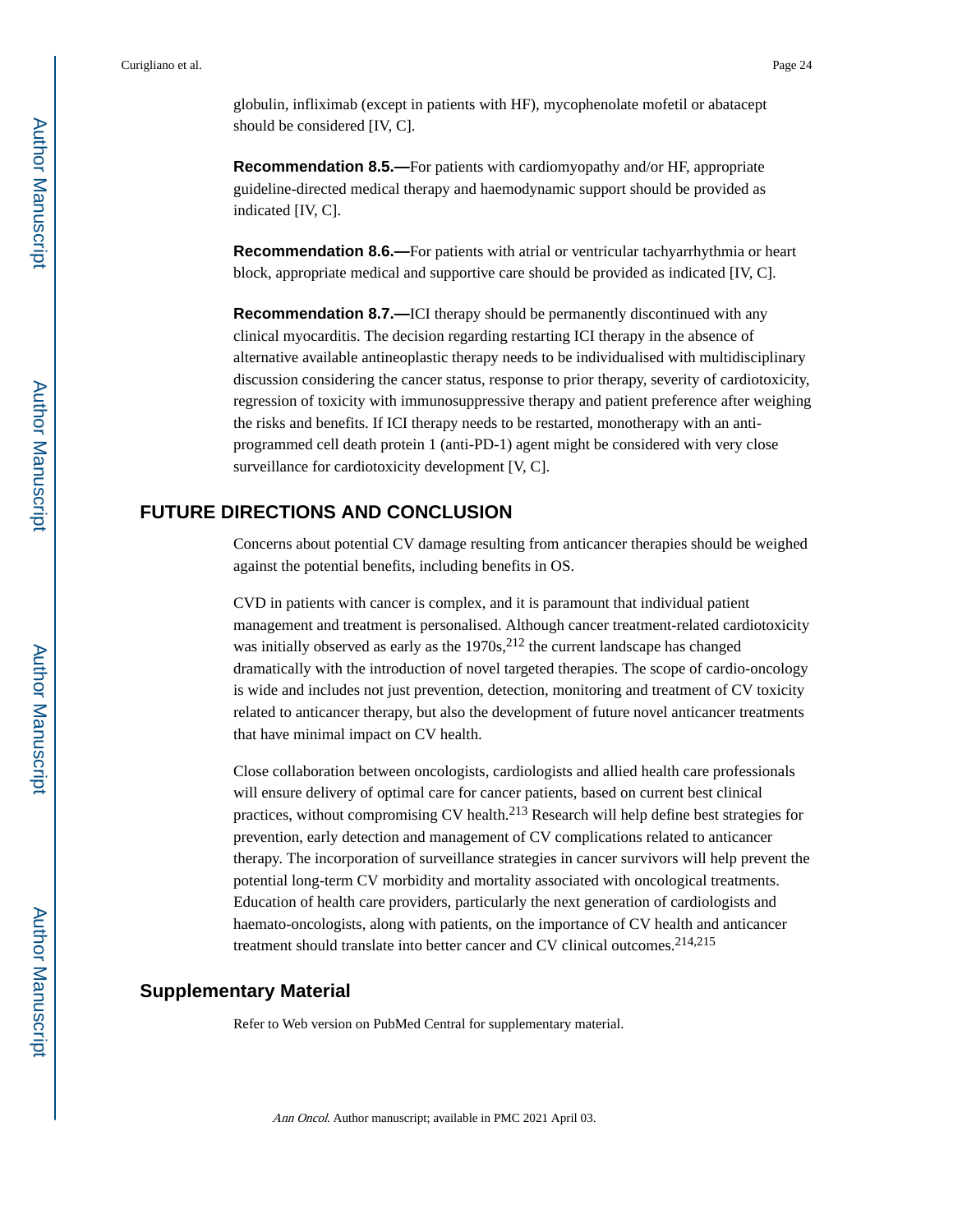globulin, infliximab (except in patients with HF), mycophenolate mofetil or abatacept should be considered [IV, C].

**Recommendation 8.5.—**For patients with cardiomyopathy and/or HF, appropriate guideline-directed medical therapy and haemodynamic support should be provided as indicated [IV, C].

**Recommendation 8.6.—**For patients with atrial or ventricular tachyarrhythmia or heart block, appropriate medical and supportive care should be provided as indicated [IV, C].

**Recommendation 8.7.—ICI** therapy should be permanently discontinued with any clinical myocarditis. The decision regarding restarting ICI therapy in the absence of alternative available antineoplastic therapy needs to be individualised with multidisciplinary discussion considering the cancer status, response to prior therapy, severity of cardiotoxicity, regression of toxicity with immunosuppressive therapy and patient preference after weighing the risks and benefits. If ICI therapy needs to be restarted, monotherapy with an antiprogrammed cell death protein 1 (anti-PD-1) agent might be considered with very close surveillance for cardiotoxicity development [V, C].

### **FUTURE DIRECTIONS AND CONCLUSION**

Concerns about potential CV damage resulting from anticancer therapies should be weighed against the potential benefits, including benefits in OS.

CVD in patients with cancer is complex, and it is paramount that individual patient management and treatment is personalised. Although cancer treatment-related cardiotoxicity was initially observed as early as the  $1970s$ ,  $^{212}$  the current landscape has changed dramatically with the introduction of novel targeted therapies. The scope of cardio-oncology is wide and includes not just prevention, detection, monitoring and treatment of CV toxicity related to anticancer therapy, but also the development of future novel anticancer treatments that have minimal impact on CV health.

Close collaboration between oncologists, cardiologists and allied health care professionals will ensure delivery of optimal care for cancer patients, based on current best clinical practices, without compromising CV health.213 Research will help define best strategies for prevention, early detection and management of CV complications related to anticancer therapy. The incorporation of surveillance strategies in cancer survivors will help prevent the potential long-term CV morbidity and mortality associated with oncological treatments. Education of health care providers, particularly the next generation of cardiologists and haemato-oncologists, along with patients, on the importance of CV health and anticancer treatment should translate into better cancer and CV clinical outcomes.<sup>214,215</sup>

#### **Supplementary Material**

Refer to Web version on PubMed Central for supplementary material.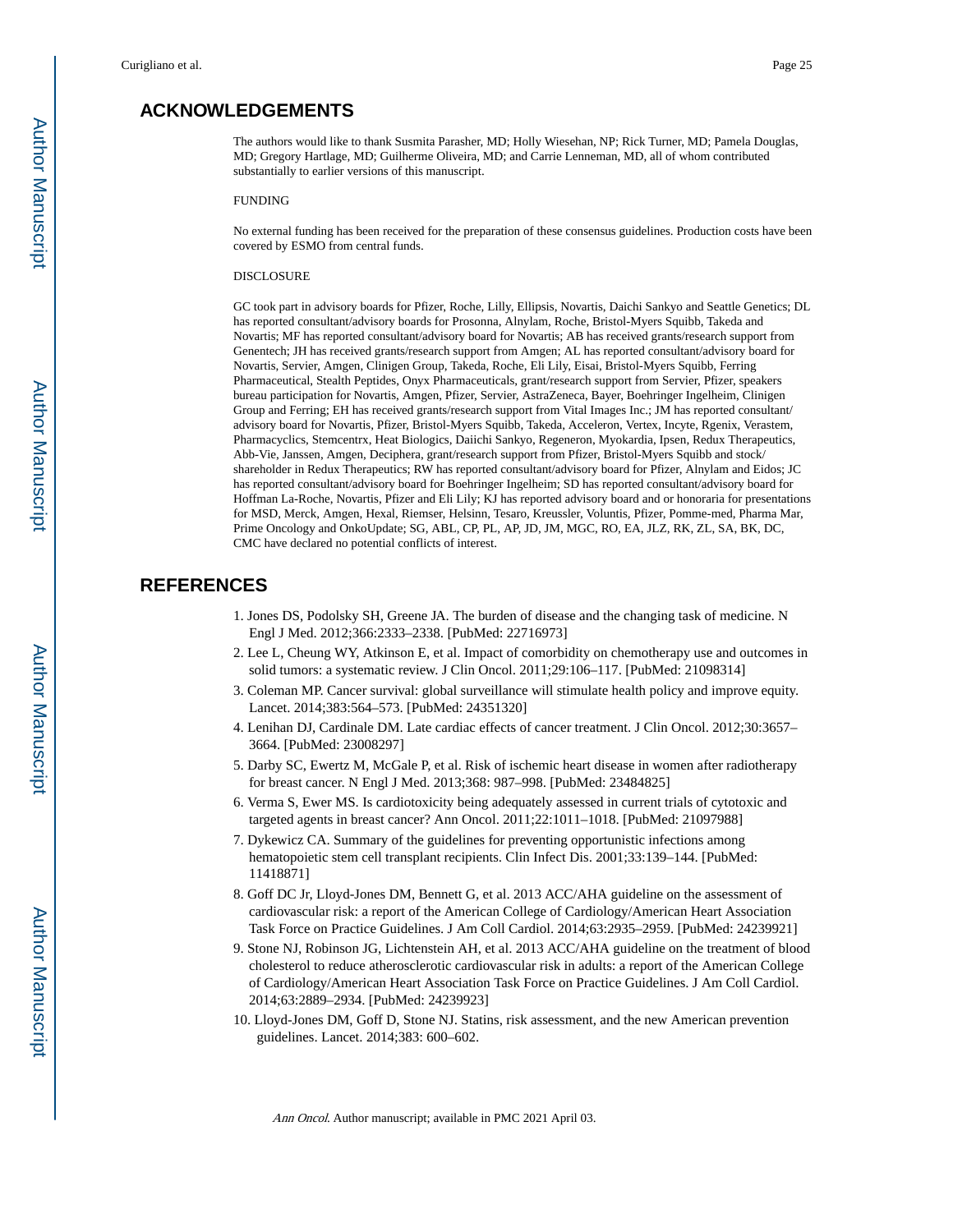## **ACKNOWLEDGEMENTS**

The authors would like to thank Susmita Parasher, MD; Holly Wiesehan, NP; Rick Turner, MD; Pamela Douglas, MD; Gregory Hartlage, MD; Guilherme Oliveira, MD; and Carrie Lenneman, MD, all of whom contributed substantially to earlier versions of this manuscript.

#### FUNDING

No external funding has been received for the preparation of these consensus guidelines. Production costs have been covered by ESMO from central funds.

#### DISCLOSURE

GC took part in advisory boards for Pfizer, Roche, Lilly, Ellipsis, Novartis, Daichi Sankyo and Seattle Genetics; DL has reported consultant/advisory boards for Prosonna, Alnylam, Roche, Bristol-Myers Squibb, Takeda and Novartis; MF has reported consultant/advisory board for Novartis; AB has received grants/research support from Genentech; JH has received grants/research support from Amgen; AL has reported consultant/advisory board for Novartis, Servier, Amgen, Clinigen Group, Takeda, Roche, Eli Lily, Eisai, Bristol-Myers Squibb, Ferring Pharmaceutical, Stealth Peptides, Onyx Pharmaceuticals, grant/research support from Servier, Pfizer, speakers bureau participation for Novartis, Amgen, Pfizer, Servier, AstraZeneca, Bayer, Boehringer Ingelheim, Clinigen Group and Ferring; EH has received grants/research support from Vital Images Inc.; JM has reported consultant/ advisory board for Novartis, Pfizer, Bristol-Myers Squibb, Takeda, Acceleron, Vertex, Incyte, Rgenix, Verastem, Pharmacyclics, Stemcentrx, Heat Biologics, Daiichi Sankyo, Regeneron, Myokardia, Ipsen, Redux Therapeutics, Abb-Vie, Janssen, Amgen, Deciphera, grant/research support from Pfizer, Bristol-Myers Squibb and stock/ shareholder in Redux Therapeutics; RW has reported consultant/advisory board for Pfizer, Alnylam and Eidos; JC has reported consultant/advisory board for Boehringer Ingelheim; SD has reported consultant/advisory board for Hoffman La-Roche, Novartis, Pfizer and Eli Lily; KJ has reported advisory board and or honoraria for presentations for MSD, Merck, Amgen, Hexal, Riemser, Helsinn, Tesaro, Kreussler, Voluntis, Pfizer, Pomme-med, Pharma Mar, Prime Oncology and OnkoUpdate; SG, ABL, CP, PL, AP, JD, JM, MGC, RO, EA, JLZ, RK, ZL, SA, BK, DC, CMC have declared no potential conflicts of interest.

#### **REFERENCES**

- 1. Jones DS, Podolsky SH, Greene JA. The burden of disease and the changing task of medicine. N Engl J Med. 2012;366:2333–2338. [PubMed: 22716973]
- 2. Lee L, Cheung WY, Atkinson E, et al. Impact of comorbidity on chemotherapy use and outcomes in solid tumors: a systematic review. J Clin Oncol. 2011;29:106–117. [PubMed: 21098314]
- 3. Coleman MP. Cancer survival: global surveillance will stimulate health policy and improve equity. Lancet. 2014;383:564–573. [PubMed: 24351320]
- 4. Lenihan DJ, Cardinale DM. Late cardiac effects of cancer treatment. J Clin Oncol. 2012;30:3657– 3664. [PubMed: 23008297]
- 5. Darby SC, Ewertz M, McGale P, et al. Risk of ischemic heart disease in women after radiotherapy for breast cancer. N Engl J Med. 2013;368: 987–998. [PubMed: 23484825]
- 6. Verma S, Ewer MS. Is cardiotoxicity being adequately assessed in current trials of cytotoxic and targeted agents in breast cancer? Ann Oncol. 2011;22:1011–1018. [PubMed: 21097988]
- 7. Dykewicz CA. Summary of the guidelines for preventing opportunistic infections among hematopoietic stem cell transplant recipients. Clin Infect Dis. 2001;33:139–144. [PubMed: 11418871]
- 8. Goff DC Jr, Lloyd-Jones DM, Bennett G, et al. 2013 ACC/AHA guideline on the assessment of cardiovascular risk: a report of the American College of Cardiology/American Heart Association Task Force on Practice Guidelines. J Am Coll Cardiol. 2014;63:2935–2959. [PubMed: 24239921]
- 9. Stone NJ, Robinson JG, Lichtenstein AH, et al. 2013 ACC/AHA guideline on the treatment of blood cholesterol to reduce atherosclerotic cardiovascular risk in adults: a report of the American College of Cardiology/American Heart Association Task Force on Practice Guidelines. J Am Coll Cardiol. 2014;63:2889–2934. [PubMed: 24239923]
- 10. Lloyd-Jones DM, Goff D, Stone NJ. Statins, risk assessment, and the new American prevention guidelines. Lancet. 2014;383: 600–602.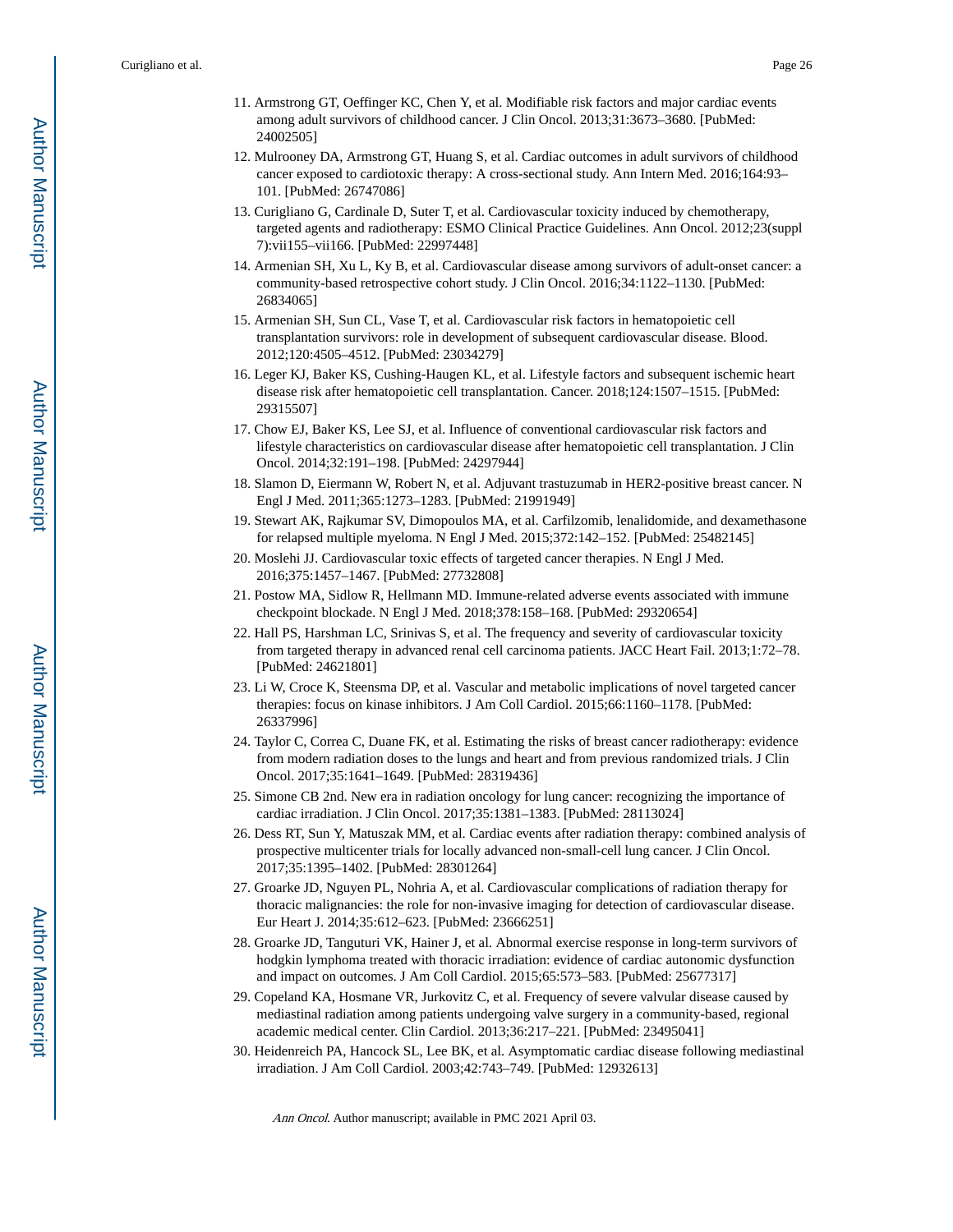- 11. Armstrong GT, Oeffinger KC, Chen Y, et al. Modifiable risk factors and major cardiac events among adult survivors of childhood cancer. J Clin Oncol. 2013;31:3673–3680. [PubMed: 24002505]
- 12. Mulrooney DA, Armstrong GT, Huang S, et al. Cardiac outcomes in adult survivors of childhood cancer exposed to cardiotoxic therapy: A cross-sectional study. Ann Intern Med. 2016;164:93– 101. [PubMed: 26747086]
- 13. Curigliano G, Cardinale D, Suter T, et al. Cardiovascular toxicity induced by chemotherapy, targeted agents and radiotherapy: ESMO Clinical Practice Guidelines. Ann Oncol. 2012;23(suppl 7):vii155–vii166. [PubMed: 22997448]
- 14. Armenian SH, Xu L, Ky B, et al. Cardiovascular disease among survivors of adult-onset cancer: a community-based retrospective cohort study. J Clin Oncol. 2016;34:1122–1130. [PubMed: 26834065]
- 15. Armenian SH, Sun CL, Vase T, et al. Cardiovascular risk factors in hematopoietic cell transplantation survivors: role in development of subsequent cardiovascular disease. Blood. 2012;120:4505–4512. [PubMed: 23034279]
- 16. Leger KJ, Baker KS, Cushing-Haugen KL, et al. Lifestyle factors and subsequent ischemic heart disease risk after hematopoietic cell transplantation. Cancer. 2018;124:1507–1515. [PubMed: 29315507]
- 17. Chow EJ, Baker KS, Lee SJ, et al. Influence of conventional cardiovascular risk factors and lifestyle characteristics on cardiovascular disease after hematopoietic cell transplantation. J Clin Oncol. 2014;32:191–198. [PubMed: 24297944]
- 18. Slamon D, Eiermann W, Robert N, et al. Adjuvant trastuzumab in HER2-positive breast cancer. N Engl J Med. 2011;365:1273–1283. [PubMed: 21991949]
- 19. Stewart AK, Rajkumar SV, Dimopoulos MA, et al. Carfilzomib, lenalidomide, and dexamethasone for relapsed multiple myeloma. N Engl J Med. 2015;372:142–152. [PubMed: 25482145]
- 20. Moslehi JJ. Cardiovascular toxic effects of targeted cancer therapies. N Engl J Med. 2016;375:1457–1467. [PubMed: 27732808]
- 21. Postow MA, Sidlow R, Hellmann MD. Immune-related adverse events associated with immune checkpoint blockade. N Engl J Med. 2018;378:158–168. [PubMed: 29320654]
- 22. Hall PS, Harshman LC, Srinivas S, et al. The frequency and severity of cardiovascular toxicity from targeted therapy in advanced renal cell carcinoma patients. JACC Heart Fail. 2013;1:72–78. [PubMed: 24621801]
- 23. Li W, Croce K, Steensma DP, et al. Vascular and metabolic implications of novel targeted cancer therapies: focus on kinase inhibitors. J Am Coll Cardiol. 2015;66:1160–1178. [PubMed: 26337996]
- 24. Taylor C, Correa C, Duane FK, et al. Estimating the risks of breast cancer radiotherapy: evidence from modern radiation doses to the lungs and heart and from previous randomized trials. J Clin Oncol. 2017;35:1641–1649. [PubMed: 28319436]
- 25. Simone CB 2nd. New era in radiation oncology for lung cancer: recognizing the importance of cardiac irradiation. J Clin Oncol. 2017;35:1381–1383. [PubMed: 28113024]
- 26. Dess RT, Sun Y, Matuszak MM, et al. Cardiac events after radiation therapy: combined analysis of prospective multicenter trials for locally advanced non-small-cell lung cancer. J Clin Oncol. 2017;35:1395–1402. [PubMed: 28301264]
- 27. Groarke JD, Nguyen PL, Nohria A, et al. Cardiovascular complications of radiation therapy for thoracic malignancies: the role for non-invasive imaging for detection of cardiovascular disease. Eur Heart J. 2014;35:612–623. [PubMed: 23666251]
- 28. Groarke JD, Tanguturi VK, Hainer J, et al. Abnormal exercise response in long-term survivors of hodgkin lymphoma treated with thoracic irradiation: evidence of cardiac autonomic dysfunction and impact on outcomes. J Am Coll Cardiol. 2015;65:573–583. [PubMed: 25677317]
- 29. Copeland KA, Hosmane VR, Jurkovitz C, et al. Frequency of severe valvular disease caused by mediastinal radiation among patients undergoing valve surgery in a community-based, regional academic medical center. Clin Cardiol. 2013;36:217–221. [PubMed: 23495041]
- 30. Heidenreich PA, Hancock SL, Lee BK, et al. Asymptomatic cardiac disease following mediastinal irradiation. J Am Coll Cardiol. 2003;42:743–749. [PubMed: 12932613]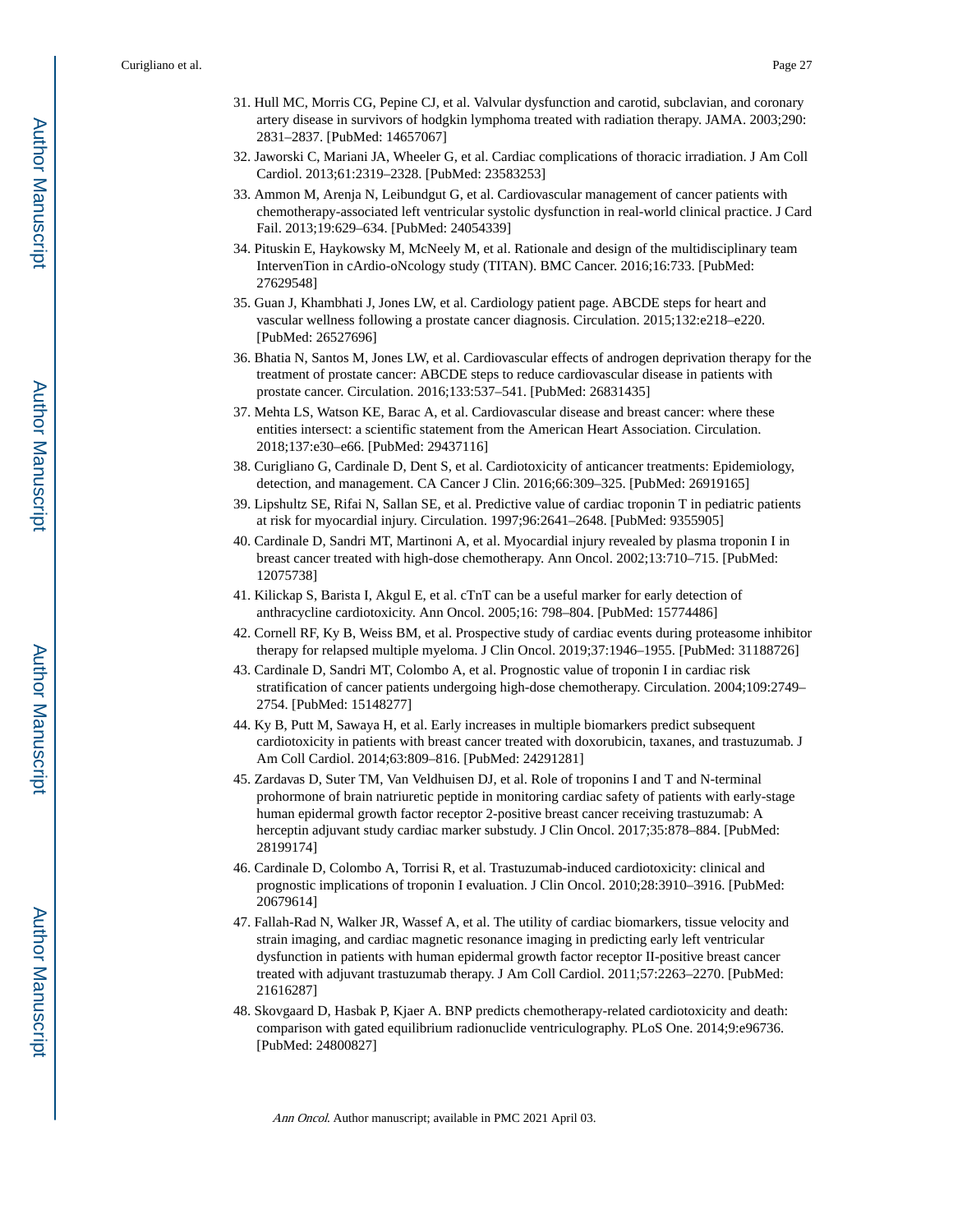- 31. Hull MC, Morris CG, Pepine CJ, et al. Valvular dysfunction and carotid, subclavian, and coronary artery disease in survivors of hodgkin lymphoma treated with radiation therapy. JAMA. 2003;290: 2831–2837. [PubMed: 14657067]
- 32. Jaworski C, Mariani JA, Wheeler G, et al. Cardiac complications of thoracic irradiation. J Am Coll Cardiol. 2013;61:2319–2328. [PubMed: 23583253]
- 33. Ammon M, Arenja N, Leibundgut G, et al. Cardiovascular management of cancer patients with chemotherapy-associated left ventricular systolic dysfunction in real-world clinical practice. J Card Fail. 2013;19:629–634. [PubMed: 24054339]
- 34. Pituskin E, Haykowsky M, McNeely M, et al. Rationale and design of the multidisciplinary team IntervenTion in cArdio-oNcology study (TITAN). BMC Cancer. 2016;16:733. [PubMed: 27629548]
- 35. Guan J, Khambhati J, Jones LW, et al. Cardiology patient page. ABCDE steps for heart and vascular wellness following a prostate cancer diagnosis. Circulation. 2015;132:e218–e220. [PubMed: 26527696]
- 36. Bhatia N, Santos M, Jones LW, et al. Cardiovascular effects of androgen deprivation therapy for the treatment of prostate cancer: ABCDE steps to reduce cardiovascular disease in patients with prostate cancer. Circulation. 2016;133:537–541. [PubMed: 26831435]
- 37. Mehta LS, Watson KE, Barac A, et al. Cardiovascular disease and breast cancer: where these entities intersect: a scientific statement from the American Heart Association. Circulation. 2018;137:e30–e66. [PubMed: 29437116]
- 38. Curigliano G, Cardinale D, Dent S, et al. Cardiotoxicity of anticancer treatments: Epidemiology, detection, and management. CA Cancer J Clin. 2016;66:309–325. [PubMed: 26919165]
- 39. Lipshultz SE, Rifai N, Sallan SE, et al. Predictive value of cardiac troponin T in pediatric patients at risk for myocardial injury. Circulation. 1997;96:2641–2648. [PubMed: 9355905]
- 40. Cardinale D, Sandri MT, Martinoni A, et al. Myocardial injury revealed by plasma troponin I in breast cancer treated with high-dose chemotherapy. Ann Oncol. 2002;13:710–715. [PubMed: 12075738]
- 41. Kilickap S, Barista I, Akgul E, et al. cTnT can be a useful marker for early detection of anthracycline cardiotoxicity. Ann Oncol. 2005;16: 798–804. [PubMed: 15774486]
- 42. Cornell RF, Ky B, Weiss BM, et al. Prospective study of cardiac events during proteasome inhibitor therapy for relapsed multiple myeloma. J Clin Oncol. 2019;37:1946–1955. [PubMed: 31188726]
- 43. Cardinale D, Sandri MT, Colombo A, et al. Prognostic value of troponin I in cardiac risk stratification of cancer patients undergoing high-dose chemotherapy. Circulation. 2004;109:2749– 2754. [PubMed: 15148277]
- 44. Ky B, Putt M, Sawaya H, et al. Early increases in multiple biomarkers predict subsequent cardiotoxicity in patients with breast cancer treated with doxorubicin, taxanes, and trastuzumab. J Am Coll Cardiol. 2014;63:809–816. [PubMed: 24291281]
- 45. Zardavas D, Suter TM, Van Veldhuisen DJ, et al. Role of troponins I and T and N-terminal prohormone of brain natriuretic peptide in monitoring cardiac safety of patients with early-stage human epidermal growth factor receptor 2-positive breast cancer receiving trastuzumab: A herceptin adjuvant study cardiac marker substudy. J Clin Oncol. 2017;35:878–884. [PubMed: 28199174]
- 46. Cardinale D, Colombo A, Torrisi R, et al. Trastuzumab-induced cardiotoxicity: clinical and prognostic implications of troponin I evaluation. J Clin Oncol. 2010;28:3910–3916. [PubMed: 20679614]
- 47. Fallah-Rad N, Walker JR, Wassef A, et al. The utility of cardiac biomarkers, tissue velocity and strain imaging, and cardiac magnetic resonance imaging in predicting early left ventricular dysfunction in patients with human epidermal growth factor receptor II-positive breast cancer treated with adjuvant trastuzumab therapy. J Am Coll Cardiol. 2011;57:2263–2270. [PubMed: 21616287]
- 48. Skovgaard D, Hasbak P, Kjaer A. BNP predicts chemotherapy-related cardiotoxicity and death: comparison with gated equilibrium radionuclide ventriculography. PLoS One. 2014;9:e96736. [PubMed: 24800827]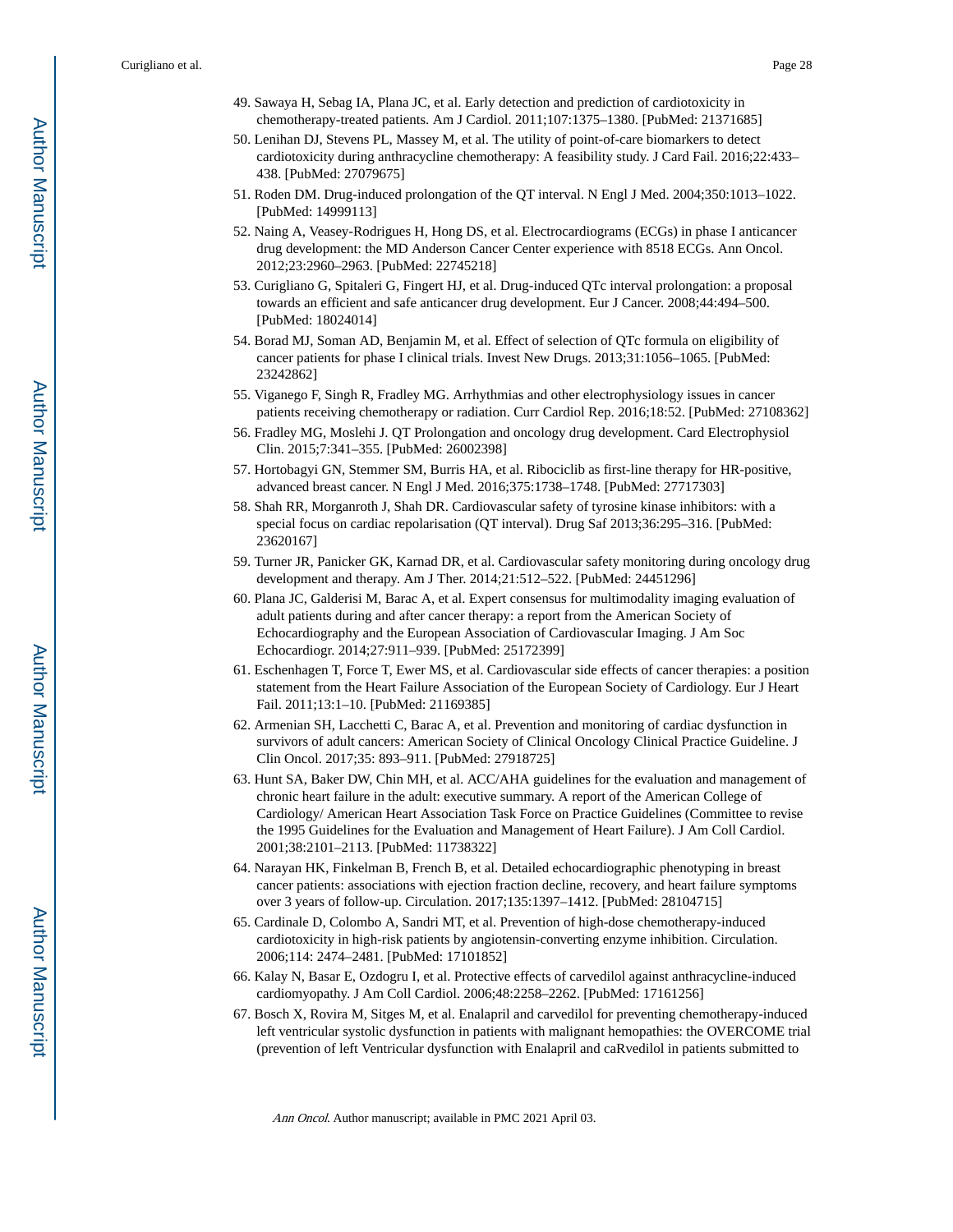- 49. Sawaya H, Sebag IA, Plana JC, et al. Early detection and prediction of cardiotoxicity in chemotherapy-treated patients. Am J Cardiol. 2011;107:1375–1380. [PubMed: 21371685]
- 50. Lenihan DJ, Stevens PL, Massey M, et al. The utility of point-of-care biomarkers to detect cardiotoxicity during anthracycline chemotherapy: A feasibility study. J Card Fail. 2016;22:433– 438. [PubMed: 27079675]
- 51. Roden DM. Drug-induced prolongation of the QT interval. N Engl J Med. 2004;350:1013–1022. [PubMed: 14999113]
- 52. Naing A, Veasey-Rodrigues H, Hong DS, et al. Electrocardiograms (ECGs) in phase I anticancer drug development: the MD Anderson Cancer Center experience with 8518 ECGs. Ann Oncol. 2012;23:2960–2963. [PubMed: 22745218]
- 53. Curigliano G, Spitaleri G, Fingert HJ, et al. Drug-induced QTc interval prolongation: a proposal towards an efficient and safe anticancer drug development. Eur J Cancer. 2008;44:494–500. [PubMed: 18024014]
- 54. Borad MJ, Soman AD, Benjamin M, et al. Effect of selection of QTc formula on eligibility of cancer patients for phase I clinical trials. Invest New Drugs. 2013;31:1056–1065. [PubMed: 23242862]
- 55. Viganego F, Singh R, Fradley MG. Arrhythmias and other electrophysiology issues in cancer patients receiving chemotherapy or radiation. Curr Cardiol Rep. 2016;18:52. [PubMed: 27108362]
- 56. Fradley MG, Moslehi J. QT Prolongation and oncology drug development. Card Electrophysiol Clin. 2015;7:341–355. [PubMed: 26002398]
- 57. Hortobagyi GN, Stemmer SM, Burris HA, et al. Ribociclib as first-line therapy for HR-positive, advanced breast cancer. N Engl J Med. 2016;375:1738–1748. [PubMed: 27717303]
- 58. Shah RR, Morganroth J, Shah DR. Cardiovascular safety of tyrosine kinase inhibitors: with a special focus on cardiac repolarisation (QT interval). Drug Saf 2013;36:295–316. [PubMed: 23620167]
- 59. Turner JR, Panicker GK, Karnad DR, et al. Cardiovascular safety monitoring during oncology drug development and therapy. Am J Ther. 2014;21:512–522. [PubMed: 24451296]
- 60. Plana JC, Galderisi M, Barac A, et al. Expert consensus for multimodality imaging evaluation of adult patients during and after cancer therapy: a report from the American Society of Echocardiography and the European Association of Cardiovascular Imaging. J Am Soc Echocardiogr. 2014;27:911–939. [PubMed: 25172399]
- 61. Eschenhagen T, Force T, Ewer MS, et al. Cardiovascular side effects of cancer therapies: a position statement from the Heart Failure Association of the European Society of Cardiology. Eur J Heart Fail. 2011;13:1–10. [PubMed: 21169385]
- 62. Armenian SH, Lacchetti C, Barac A, et al. Prevention and monitoring of cardiac dysfunction in survivors of adult cancers: American Society of Clinical Oncology Clinical Practice Guideline. J Clin Oncol. 2017;35: 893–911. [PubMed: 27918725]
- 63. Hunt SA, Baker DW, Chin MH, et al. ACC/AHA guidelines for the evaluation and management of chronic heart failure in the adult: executive summary. A report of the American College of Cardiology/ American Heart Association Task Force on Practice Guidelines (Committee to revise the 1995 Guidelines for the Evaluation and Management of Heart Failure). J Am Coll Cardiol. 2001;38:2101–2113. [PubMed: 11738322]
- 64. Narayan HK, Finkelman B, French B, et al. Detailed echocardiographic phenotyping in breast cancer patients: associations with ejection fraction decline, recovery, and heart failure symptoms over 3 years of follow-up. Circulation. 2017;135:1397–1412. [PubMed: 28104715]
- 65. Cardinale D, Colombo A, Sandri MT, et al. Prevention of high-dose chemotherapy-induced cardiotoxicity in high-risk patients by angiotensin-converting enzyme inhibition. Circulation. 2006;114: 2474–2481. [PubMed: 17101852]
- 66. Kalay N, Basar E, Ozdogru I, et al. Protective effects of carvedilol against anthracycline-induced cardiomyopathy. J Am Coll Cardiol. 2006;48:2258–2262. [PubMed: 17161256]
- 67. Bosch X, Rovira M, Sitges M, et al. Enalapril and carvedilol for preventing chemotherapy-induced left ventricular systolic dysfunction in patients with malignant hemopathies: the OVERCOME trial (prevention of left Ventricular dysfunction with Enalapril and caRvedilol in patients submitted to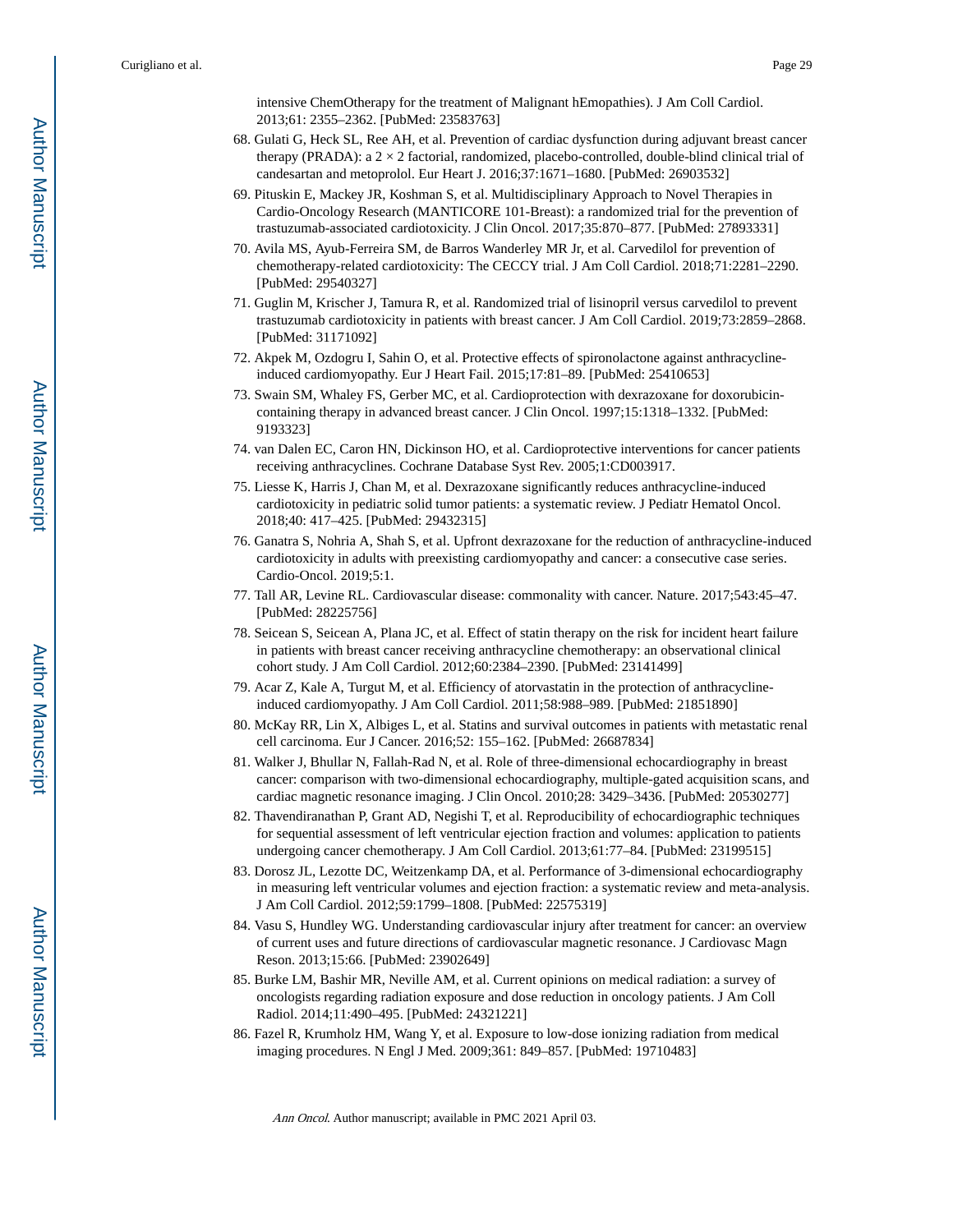intensive ChemOtherapy for the treatment of Malignant hEmopathies). J Am Coll Cardiol. 2013;61: 2355–2362. [PubMed: 23583763]

- 68. Gulati G, Heck SL, Ree AH, et al. Prevention of cardiac dysfunction during adjuvant breast cancer therapy (PRADA): a  $2 \times 2$  factorial, randomized, placebo-controlled, double-blind clinical trial of candesartan and metoprolol. Eur Heart J. 2016;37:1671–1680. [PubMed: 26903532]
- 69. Pituskin E, Mackey JR, Koshman S, et al. Multidisciplinary Approach to Novel Therapies in Cardio-Oncology Research (MANTICORE 101-Breast): a randomized trial for the prevention of trastuzumab-associated cardiotoxicity. J Clin Oncol. 2017;35:870–877. [PubMed: 27893331]
- 70. Avila MS, Ayub-Ferreira SM, de Barros Wanderley MR Jr, et al. Carvedilol for prevention of chemotherapy-related cardiotoxicity: The CECCY trial. J Am Coll Cardiol. 2018;71:2281–2290. [PubMed: 29540327]
- 71. Guglin M, Krischer J, Tamura R, et al. Randomized trial of lisinopril versus carvedilol to prevent trastuzumab cardiotoxicity in patients with breast cancer. J Am Coll Cardiol. 2019;73:2859–2868. [PubMed: 31171092]
- 72. Akpek M, Ozdogru I, Sahin O, et al. Protective effects of spironolactone against anthracyclineinduced cardiomyopathy. Eur J Heart Fail. 2015;17:81–89. [PubMed: 25410653]
- 73. Swain SM, Whaley FS, Gerber MC, et al. Cardioprotection with dexrazoxane for doxorubicincontaining therapy in advanced breast cancer. J Clin Oncol. 1997;15:1318–1332. [PubMed: 9193323]
- 74. van Dalen EC, Caron HN, Dickinson HO, et al. Cardioprotective interventions for cancer patients receiving anthracyclines. Cochrane Database Syst Rev. 2005;1:CD003917.
- 75. Liesse K, Harris J, Chan M, et al. Dexrazoxane significantly reduces anthracycline-induced cardiotoxicity in pediatric solid tumor patients: a systematic review. J Pediatr Hematol Oncol. 2018;40: 417–425. [PubMed: 29432315]
- 76. Ganatra S, Nohria A, Shah S, et al. Upfront dexrazoxane for the reduction of anthracycline-induced cardiotoxicity in adults with preexisting cardiomyopathy and cancer: a consecutive case series. Cardio-Oncol. 2019;5:1.
- 77. Tall AR, Levine RL. Cardiovascular disease: commonality with cancer. Nature. 2017;543:45–47. [PubMed: 28225756]
- 78. Seicean S, Seicean A, Plana JC, et al. Effect of statin therapy on the risk for incident heart failure in patients with breast cancer receiving anthracycline chemotherapy: an observational clinical cohort study. J Am Coll Cardiol. 2012;60:2384–2390. [PubMed: 23141499]
- 79. Acar Z, Kale A, Turgut M, et al. Efficiency of atorvastatin in the protection of anthracyclineinduced cardiomyopathy. J Am Coll Cardiol. 2011;58:988–989. [PubMed: 21851890]
- 80. McKay RR, Lin X, Albiges L, et al. Statins and survival outcomes in patients with metastatic renal cell carcinoma. Eur J Cancer. 2016;52: 155–162. [PubMed: 26687834]
- 81. Walker J, Bhullar N, Fallah-Rad N, et al. Role of three-dimensional echocardiography in breast cancer: comparison with two-dimensional echocardiography, multiple-gated acquisition scans, and cardiac magnetic resonance imaging. J Clin Oncol. 2010;28: 3429–3436. [PubMed: 20530277]
- 82. Thavendiranathan P, Grant AD, Negishi T, et al. Reproducibility of echocardiographic techniques for sequential assessment of left ventricular ejection fraction and volumes: application to patients undergoing cancer chemotherapy. J Am Coll Cardiol. 2013;61:77–84. [PubMed: 23199515]
- 83. Dorosz JL, Lezotte DC, Weitzenkamp DA, et al. Performance of 3-dimensional echocardiography in measuring left ventricular volumes and ejection fraction: a systematic review and meta-analysis. J Am Coll Cardiol. 2012;59:1799–1808. [PubMed: 22575319]
- 84. Vasu S, Hundley WG. Understanding cardiovascular injury after treatment for cancer: an overview of current uses and future directions of cardiovascular magnetic resonance. J Cardiovasc Magn Reson. 2013;15:66. [PubMed: 23902649]
- 85. Burke LM, Bashir MR, Neville AM, et al. Current opinions on medical radiation: a survey of oncologists regarding radiation exposure and dose reduction in oncology patients. J Am Coll Radiol. 2014;11:490–495. [PubMed: 24321221]
- 86. Fazel R, Krumholz HM, Wang Y, et al. Exposure to low-dose ionizing radiation from medical imaging procedures. N Engl J Med. 2009;361: 849–857. [PubMed: 19710483]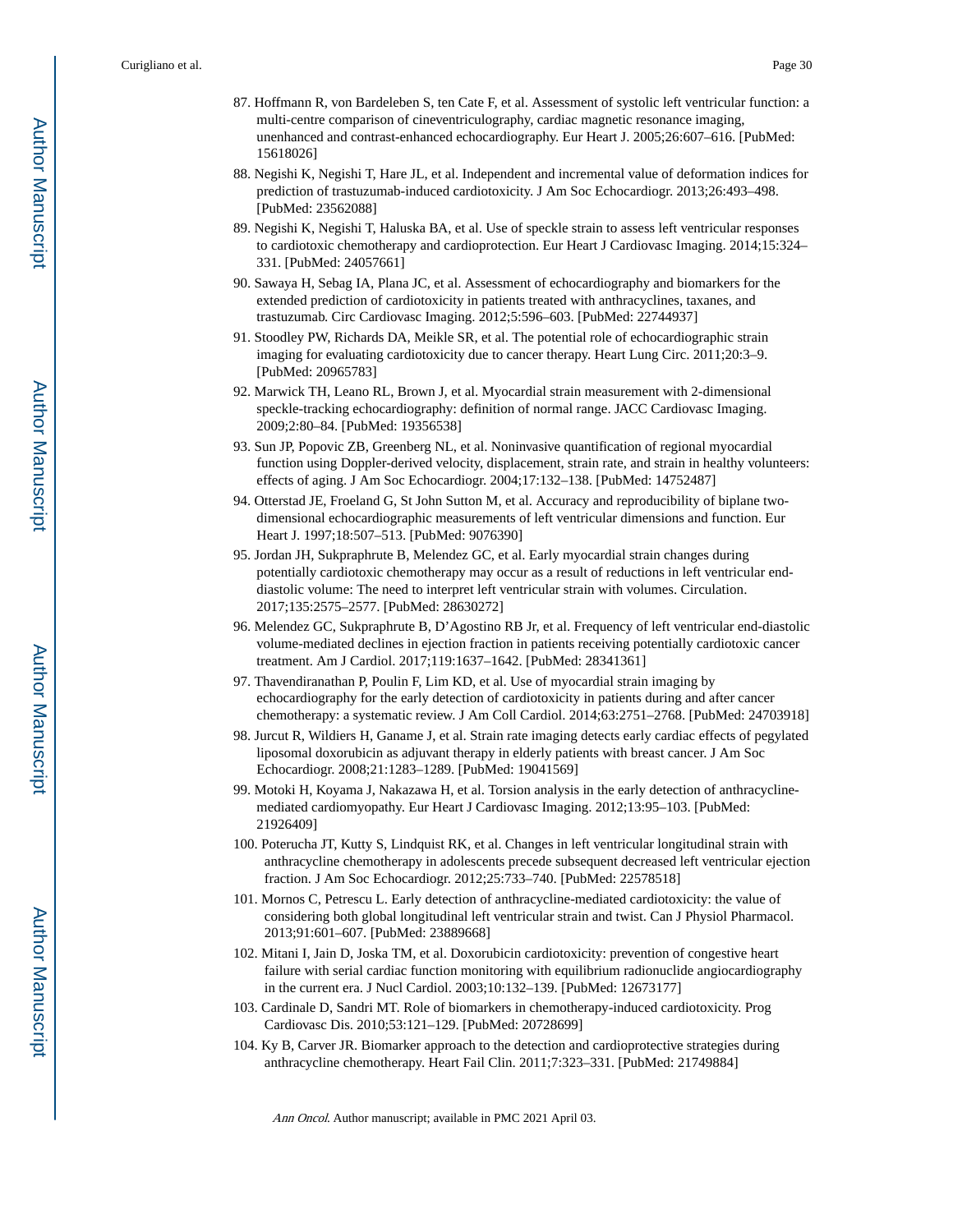- 87. Hoffmann R, von Bardeleben S, ten Cate F, et al. Assessment of systolic left ventricular function: a multi-centre comparison of cineventriculography, cardiac magnetic resonance imaging, unenhanced and contrast-enhanced echocardiography. Eur Heart J. 2005;26:607–616. [PubMed: 15618026]
- 88. Negishi K, Negishi T, Hare JL, et al. Independent and incremental value of deformation indices for prediction of trastuzumab-induced cardiotoxicity. J Am Soc Echocardiogr. 2013;26:493–498. [PubMed: 23562088]
- 89. Negishi K, Negishi T, Haluska BA, et al. Use of speckle strain to assess left ventricular responses to cardiotoxic chemotherapy and cardioprotection. Eur Heart J Cardiovasc Imaging. 2014;15:324– 331. [PubMed: 24057661]
- 90. Sawaya H, Sebag IA, Plana JC, et al. Assessment of echocardiography and biomarkers for the extended prediction of cardiotoxicity in patients treated with anthracyclines, taxanes, and trastuzumab. Circ Cardiovasc Imaging. 2012;5:596–603. [PubMed: 22744937]
- 91. Stoodley PW, Richards DA, Meikle SR, et al. The potential role of echocardiographic strain imaging for evaluating cardiotoxicity due to cancer therapy. Heart Lung Circ. 2011;20:3–9. [PubMed: 20965783]
- 92. Marwick TH, Leano RL, Brown J, et al. Myocardial strain measurement with 2-dimensional speckle-tracking echocardiography: definition of normal range. JACC Cardiovasc Imaging. 2009;2:80–84. [PubMed: 19356538]
- 93. Sun JP, Popovic ZB, Greenberg NL, et al. Noninvasive quantification of regional myocardial function using Doppler-derived velocity, displacement, strain rate, and strain in healthy volunteers: effects of aging. J Am Soc Echocardiogr. 2004;17:132–138. [PubMed: 14752487]
- 94. Otterstad JE, Froeland G, St John Sutton M, et al. Accuracy and reproducibility of biplane twodimensional echocardiographic measurements of left ventricular dimensions and function. Eur Heart J. 1997;18:507–513. [PubMed: 9076390]
- 95. Jordan JH, Sukpraphrute B, Melendez GC, et al. Early myocardial strain changes during potentially cardiotoxic chemotherapy may occur as a result of reductions in left ventricular enddiastolic volume: The need to interpret left ventricular strain with volumes. Circulation. 2017;135:2575–2577. [PubMed: 28630272]
- 96. Melendez GC, Sukpraphrute B, D'Agostino RB Jr, et al. Frequency of left ventricular end-diastolic volume-mediated declines in ejection fraction in patients receiving potentially cardiotoxic cancer treatment. Am J Cardiol. 2017;119:1637–1642. [PubMed: 28341361]
- 97. Thavendiranathan P, Poulin F, Lim KD, et al. Use of myocardial strain imaging by echocardiography for the early detection of cardiotoxicity in patients during and after cancer chemotherapy: a systematic review. J Am Coll Cardiol. 2014;63:2751–2768. [PubMed: 24703918]
- 98. Jurcut R, Wildiers H, Ganame J, et al. Strain rate imaging detects early cardiac effects of pegylated liposomal doxorubicin as adjuvant therapy in elderly patients with breast cancer. J Am Soc Echocardiogr. 2008;21:1283–1289. [PubMed: 19041569]
- 99. Motoki H, Koyama J, Nakazawa H, et al. Torsion analysis in the early detection of anthracyclinemediated cardiomyopathy. Eur Heart J Cardiovasc Imaging. 2012;13:95–103. [PubMed: 21926409]
- 100. Poterucha JT, Kutty S, Lindquist RK, et al. Changes in left ventricular longitudinal strain with anthracycline chemotherapy in adolescents precede subsequent decreased left ventricular ejection fraction. J Am Soc Echocardiogr. 2012;25:733–740. [PubMed: 22578518]
- 101. Mornos C, Petrescu L. Early detection of anthracycline-mediated cardiotoxicity: the value of considering both global longitudinal left ventricular strain and twist. Can J Physiol Pharmacol. 2013;91:601–607. [PubMed: 23889668]
- 102. Mitani I, Jain D, Joska TM, et al. Doxorubicin cardiotoxicity: prevention of congestive heart failure with serial cardiac function monitoring with equilibrium radionuclide angiocardiography in the current era. J Nucl Cardiol. 2003;10:132–139. [PubMed: 12673177]
- 103. Cardinale D, Sandri MT. Role of biomarkers in chemotherapy-induced cardiotoxicity. Prog Cardiovasc Dis. 2010;53:121–129. [PubMed: 20728699]
- 104. Ky B, Carver JR. Biomarker approach to the detection and cardioprotective strategies during anthracycline chemotherapy. Heart Fail Clin. 2011;7:323–331. [PubMed: 21749884]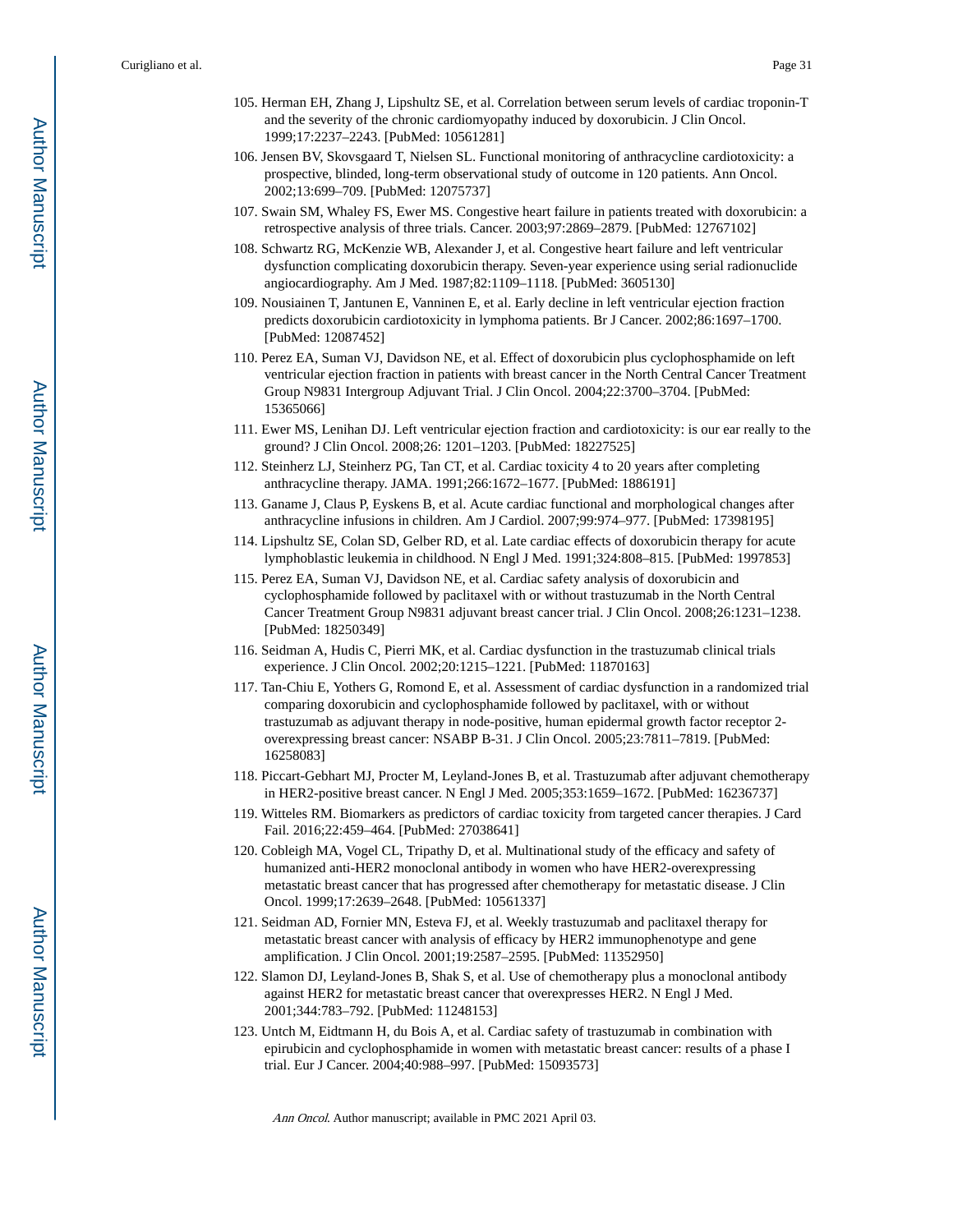- 105. Herman EH, Zhang J, Lipshultz SE, et al. Correlation between serum levels of cardiac troponin-T and the severity of the chronic cardiomyopathy induced by doxorubicin. J Clin Oncol. 1999;17:2237–2243. [PubMed: 10561281]
- 106. Jensen BV, Skovsgaard T, Nielsen SL. Functional monitoring of anthracycline cardiotoxicity: a prospective, blinded, long-term observational study of outcome in 120 patients. Ann Oncol. 2002;13:699–709. [PubMed: 12075737]
- 107. Swain SM, Whaley FS, Ewer MS. Congestive heart failure in patients treated with doxorubicin: a retrospective analysis of three trials. Cancer. 2003;97:2869–2879. [PubMed: 12767102]
- 108. Schwartz RG, McKenzie WB, Alexander J, et al. Congestive heart failure and left ventricular dysfunction complicating doxorubicin therapy. Seven-year experience using serial radionuclide angiocardiography. Am J Med. 1987;82:1109–1118. [PubMed: 3605130]
- 109. Nousiainen T, Jantunen E, Vanninen E, et al. Early decline in left ventricular ejection fraction predicts doxorubicin cardiotoxicity in lymphoma patients. Br J Cancer. 2002;86:1697–1700. [PubMed: 12087452]
- 110. Perez EA, Suman VJ, Davidson NE, et al. Effect of doxorubicin plus cyclophosphamide on left ventricular ejection fraction in patients with breast cancer in the North Central Cancer Treatment Group N9831 Intergroup Adjuvant Trial. J Clin Oncol. 2004;22:3700–3704. [PubMed: 15365066]
- 111. Ewer MS, Lenihan DJ. Left ventricular ejection fraction and cardiotoxicity: is our ear really to the ground? J Clin Oncol. 2008;26: 1201–1203. [PubMed: 18227525]
- 112. Steinherz LJ, Steinherz PG, Tan CT, et al. Cardiac toxicity 4 to 20 years after completing anthracycline therapy. JAMA. 1991;266:1672–1677. [PubMed: 1886191]
- 113. Ganame J, Claus P, Eyskens B, et al. Acute cardiac functional and morphological changes after anthracycline infusions in children. Am J Cardiol. 2007;99:974–977. [PubMed: 17398195]
- 114. Lipshultz SE, Colan SD, Gelber RD, et al. Late cardiac effects of doxorubicin therapy for acute lymphoblastic leukemia in childhood. N Engl J Med. 1991;324:808–815. [PubMed: 1997853]
- 115. Perez EA, Suman VJ, Davidson NE, et al. Cardiac safety analysis of doxorubicin and cyclophosphamide followed by paclitaxel with or without trastuzumab in the North Central Cancer Treatment Group N9831 adjuvant breast cancer trial. J Clin Oncol. 2008;26:1231–1238. [PubMed: 18250349]
- 116. Seidman A, Hudis C, Pierri MK, et al. Cardiac dysfunction in the trastuzumab clinical trials experience. J Clin Oncol. 2002;20:1215–1221. [PubMed: 11870163]
- 117. Tan-Chiu E, Yothers G, Romond E, et al. Assessment of cardiac dysfunction in a randomized trial comparing doxorubicin and cyclophosphamide followed by paclitaxel, with or without trastuzumab as adjuvant therapy in node-positive, human epidermal growth factor receptor 2 overexpressing breast cancer: NSABP B-31. J Clin Oncol. 2005;23:7811–7819. [PubMed: 16258083]
- 118. Piccart-Gebhart MJ, Procter M, Leyland-Jones B, et al. Trastuzumab after adjuvant chemotherapy in HER2-positive breast cancer. N Engl J Med. 2005;353:1659–1672. [PubMed: 16236737]
- 119. Witteles RM. Biomarkers as predictors of cardiac toxicity from targeted cancer therapies. J Card Fail. 2016;22:459–464. [PubMed: 27038641]
- 120. Cobleigh MA, Vogel CL, Tripathy D, et al. Multinational study of the efficacy and safety of humanized anti-HER2 monoclonal antibody in women who have HER2-overexpressing metastatic breast cancer that has progressed after chemotherapy for metastatic disease. J Clin Oncol. 1999;17:2639–2648. [PubMed: 10561337]
- 121. Seidman AD, Fornier MN, Esteva FJ, et al. Weekly trastuzumab and paclitaxel therapy for metastatic breast cancer with analysis of efficacy by HER2 immunophenotype and gene amplification. J Clin Oncol. 2001;19:2587–2595. [PubMed: 11352950]
- 122. Slamon DJ, Leyland-Jones B, Shak S, et al. Use of chemotherapy plus a monoclonal antibody against HER2 for metastatic breast cancer that overexpresses HER2. N Engl J Med. 2001;344:783–792. [PubMed: 11248153]
- 123. Untch M, Eidtmann H, du Bois A, et al. Cardiac safety of trastuzumab in combination with epirubicin and cyclophosphamide in women with metastatic breast cancer: results of a phase I trial. Eur J Cancer. 2004;40:988–997. [PubMed: 15093573]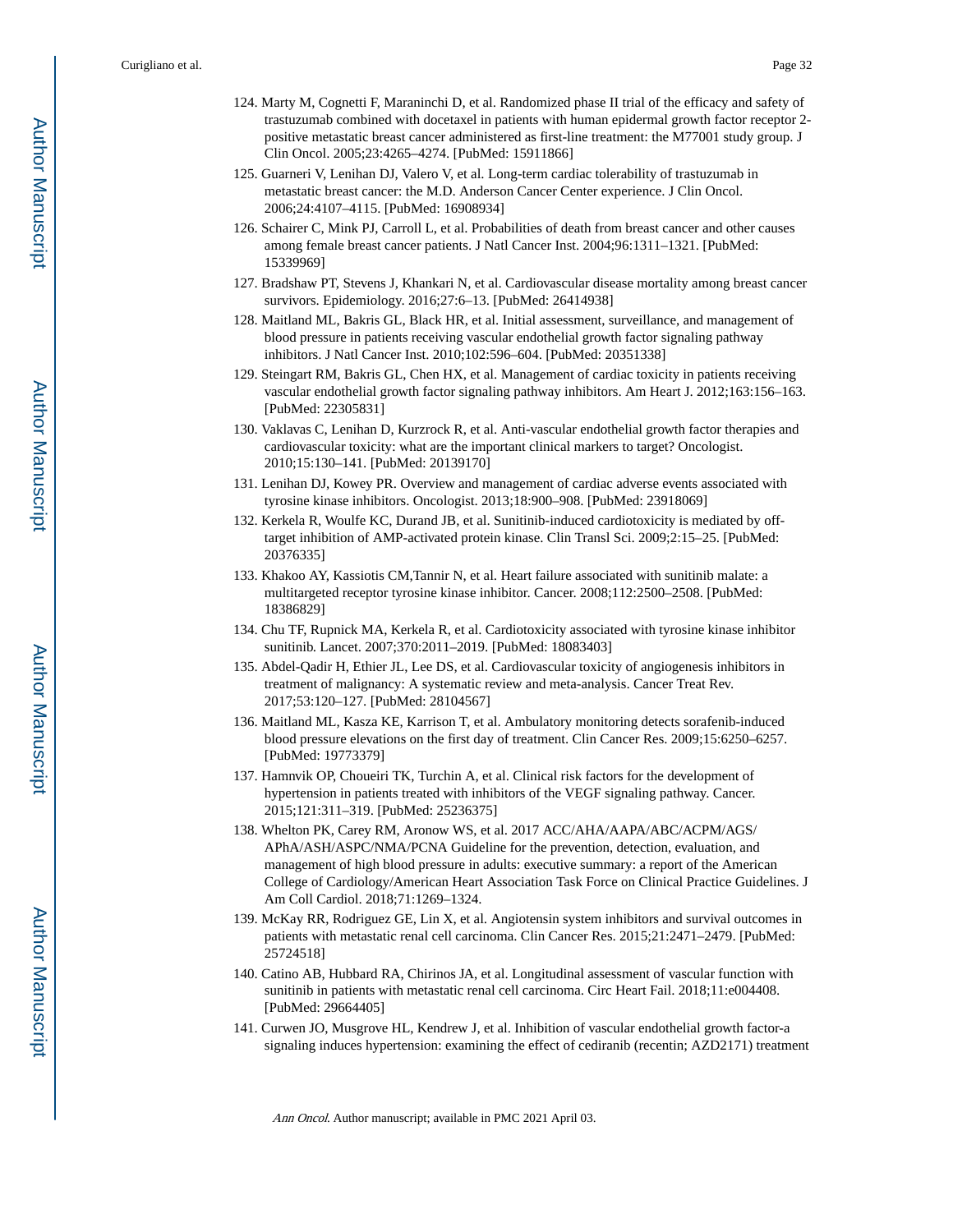- 124. Marty M, Cognetti F, Maraninchi D, et al. Randomized phase II trial of the efficacy and safety of trastuzumab combined with docetaxel in patients with human epidermal growth factor receptor 2 positive metastatic breast cancer administered as first-line treatment: the M77001 study group. J Clin Oncol. 2005;23:4265–4274. [PubMed: 15911866]
- 125. Guarneri V, Lenihan DJ, Valero V, et al. Long-term cardiac tolerability of trastuzumab in metastatic breast cancer: the M.D. Anderson Cancer Center experience. J Clin Oncol. 2006;24:4107–4115. [PubMed: 16908934]
- 126. Schairer C, Mink PJ, Carroll L, et al. Probabilities of death from breast cancer and other causes among female breast cancer patients. J Natl Cancer Inst. 2004;96:1311–1321. [PubMed: 15339969]
- 127. Bradshaw PT, Stevens J, Khankari N, et al. Cardiovascular disease mortality among breast cancer survivors. Epidemiology. 2016;27:6–13. [PubMed: 26414938]
- 128. Maitland ML, Bakris GL, Black HR, et al. Initial assessment, surveillance, and management of blood pressure in patients receiving vascular endothelial growth factor signaling pathway inhibitors. J Natl Cancer Inst. 2010;102:596–604. [PubMed: 20351338]
- 129. Steingart RM, Bakris GL, Chen HX, et al. Management of cardiac toxicity in patients receiving vascular endothelial growth factor signaling pathway inhibitors. Am Heart J. 2012;163:156–163. [PubMed: 22305831]
- 130. Vaklavas C, Lenihan D, Kurzrock R, et al. Anti-vascular endothelial growth factor therapies and cardiovascular toxicity: what are the important clinical markers to target? Oncologist. 2010;15:130–141. [PubMed: 20139170]
- 131. Lenihan DJ, Kowey PR. Overview and management of cardiac adverse events associated with tyrosine kinase inhibitors. Oncologist. 2013;18:900–908. [PubMed: 23918069]
- 132. Kerkela R, Woulfe KC, Durand JB, et al. Sunitinib-induced cardiotoxicity is mediated by offtarget inhibition of AMP-activated protein kinase. Clin Transl Sci. 2009;2:15–25. [PubMed: 20376335]
- 133. Khakoo AY, Kassiotis CM,Tannir N, et al. Heart failure associated with sunitinib malate: a multitargeted receptor tyrosine kinase inhibitor. Cancer. 2008;112:2500–2508. [PubMed: 18386829]
- 134. Chu TF, Rupnick MA, Kerkela R, et al. Cardiotoxicity associated with tyrosine kinase inhibitor sunitinib. Lancet. 2007;370:2011–2019. [PubMed: 18083403]
- 135. Abdel-Qadir H, Ethier JL, Lee DS, et al. Cardiovascular toxicity of angiogenesis inhibitors in treatment of malignancy: A systematic review and meta-analysis. Cancer Treat Rev. 2017;53:120–127. [PubMed: 28104567]
- 136. Maitland ML, Kasza KE, Karrison T, et al. Ambulatory monitoring detects sorafenib-induced blood pressure elevations on the first day of treatment. Clin Cancer Res. 2009;15:6250–6257. [PubMed: 19773379]
- 137. Hamnvik OP, Choueiri TK, Turchin A, et al. Clinical risk factors for the development of hypertension in patients treated with inhibitors of the VEGF signaling pathway. Cancer. 2015;121:311–319. [PubMed: 25236375]
- 138. Whelton PK, Carey RM, Aronow WS, et al. 2017 ACC/AHA/AAPA/ABC/ACPM/AGS/ APhA/ASH/ASPC/NMA/PCNA Guideline for the prevention, detection, evaluation, and management of high blood pressure in adults: executive summary: a report of the American College of Cardiology/American Heart Association Task Force on Clinical Practice Guidelines. J Am Coll Cardiol. 2018;71:1269–1324.
- 139. McKay RR, Rodriguez GE, Lin X, et al. Angiotensin system inhibitors and survival outcomes in patients with metastatic renal cell carcinoma. Clin Cancer Res. 2015;21:2471–2479. [PubMed: 25724518]
- 140. Catino AB, Hubbard RA, Chirinos JA, et al. Longitudinal assessment of vascular function with sunitinib in patients with metastatic renal cell carcinoma. Circ Heart Fail. 2018;11:e004408. [PubMed: 29664405]
- 141. Curwen JO, Musgrove HL, Kendrew J, et al. Inhibition of vascular endothelial growth factor-a signaling induces hypertension: examining the effect of cediranib (recentin; AZD2171) treatment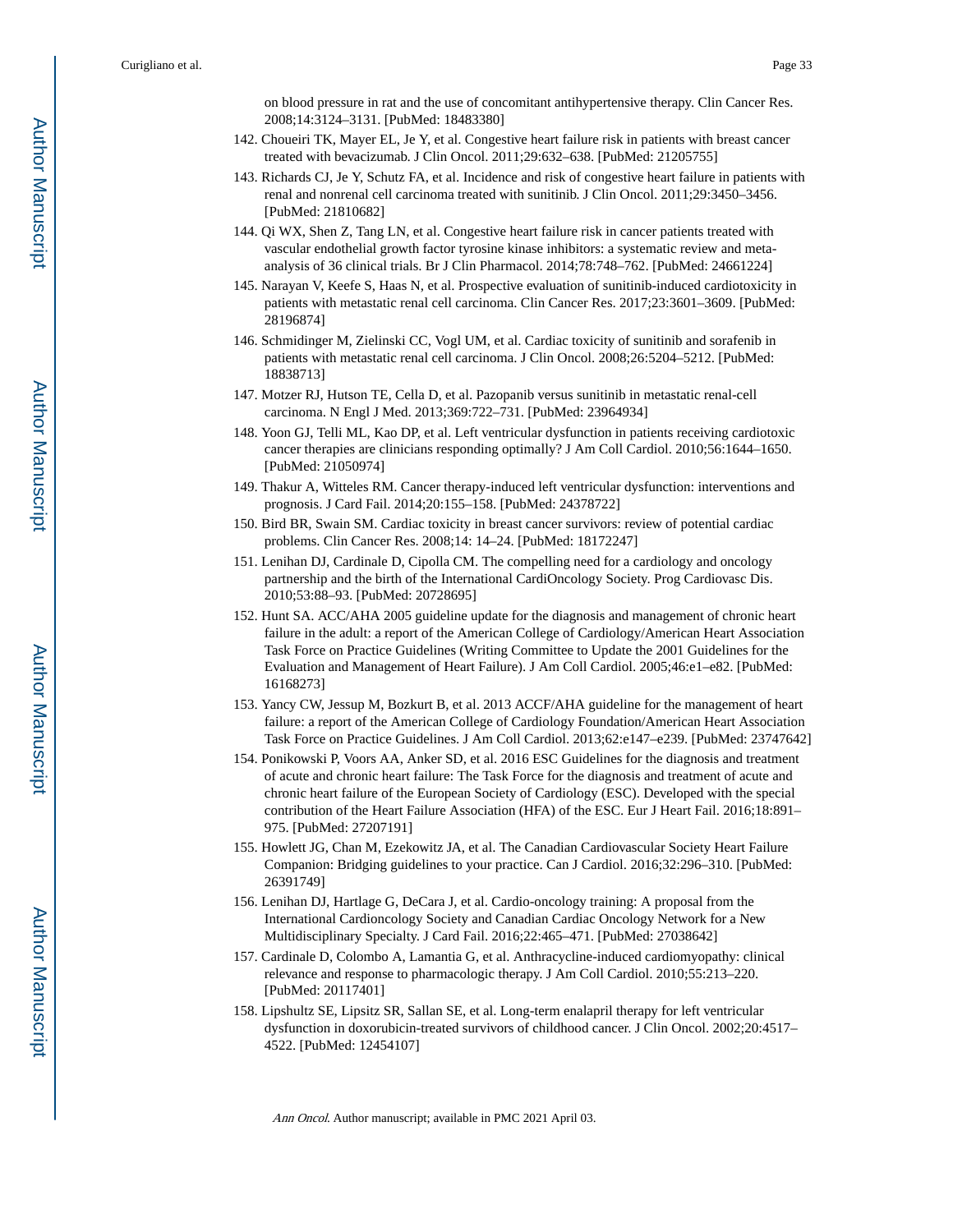on blood pressure in rat and the use of concomitant antihypertensive therapy. Clin Cancer Res. 2008;14:3124–3131. [PubMed: 18483380]

- 142. Choueiri TK, Mayer EL, Je Y, et al. Congestive heart failure risk in patients with breast cancer treated with bevacizumab. J Clin Oncol. 2011;29:632–638. [PubMed: 21205755]
- 143. Richards CJ, Je Y, Schutz FA, et al. Incidence and risk of congestive heart failure in patients with renal and nonrenal cell carcinoma treated with sunitinib. J Clin Oncol. 2011;29:3450–3456. [PubMed: 21810682]
- 144. Qi WX, Shen Z, Tang LN, et al. Congestive heart failure risk in cancer patients treated with vascular endothelial growth factor tyrosine kinase inhibitors: a systematic review and metaanalysis of 36 clinical trials. Br J Clin Pharmacol. 2014;78:748–762. [PubMed: 24661224]
- 145. Narayan V, Keefe S, Haas N, et al. Prospective evaluation of sunitinib-induced cardiotoxicity in patients with metastatic renal cell carcinoma. Clin Cancer Res. 2017;23:3601–3609. [PubMed: 28196874]
- 146. Schmidinger M, Zielinski CC, Vogl UM, et al. Cardiac toxicity of sunitinib and sorafenib in patients with metastatic renal cell carcinoma. J Clin Oncol. 2008;26:5204–5212. [PubMed: 18838713]
- 147. Motzer RJ, Hutson TE, Cella D, et al. Pazopanib versus sunitinib in metastatic renal-cell carcinoma. N Engl J Med. 2013;369:722–731. [PubMed: 23964934]
- 148. Yoon GJ, Telli ML, Kao DP, et al. Left ventricular dysfunction in patients receiving cardiotoxic cancer therapies are clinicians responding optimally? J Am Coll Cardiol. 2010;56:1644–1650. [PubMed: 21050974]
- 149. Thakur A, Witteles RM. Cancer therapy-induced left ventricular dysfunction: interventions and prognosis. J Card Fail. 2014;20:155–158. [PubMed: 24378722]
- 150. Bird BR, Swain SM. Cardiac toxicity in breast cancer survivors: review of potential cardiac problems. Clin Cancer Res. 2008;14: 14–24. [PubMed: 18172247]
- 151. Lenihan DJ, Cardinale D, Cipolla CM. The compelling need for a cardiology and oncology partnership and the birth of the International CardiOncology Society. Prog Cardiovasc Dis. 2010;53:88–93. [PubMed: 20728695]
- 152. Hunt SA. ACC/AHA 2005 guideline update for the diagnosis and management of chronic heart failure in the adult: a report of the American College of Cardiology/American Heart Association Task Force on Practice Guidelines (Writing Committee to Update the 2001 Guidelines for the Evaluation and Management of Heart Failure). J Am Coll Cardiol. 2005;46:e1–e82. [PubMed: 16168273]
- 153. Yancy CW, Jessup M, Bozkurt B, et al. 2013 ACCF/AHA guideline for the management of heart failure: a report of the American College of Cardiology Foundation/American Heart Association Task Force on Practice Guidelines. J Am Coll Cardiol. 2013;62:e147–e239. [PubMed: 23747642]
- 154. Ponikowski P, Voors AA, Anker SD, et al. 2016 ESC Guidelines for the diagnosis and treatment of acute and chronic heart failure: The Task Force for the diagnosis and treatment of acute and chronic heart failure of the European Society of Cardiology (ESC). Developed with the special contribution of the Heart Failure Association (HFA) of the ESC. Eur J Heart Fail. 2016;18:891– 975. [PubMed: 27207191]
- 155. Howlett JG, Chan M, Ezekowitz JA, et al. The Canadian Cardiovascular Society Heart Failure Companion: Bridging guidelines to your practice. Can J Cardiol. 2016;32:296–310. [PubMed: 26391749]
- 156. Lenihan DJ, Hartlage G, DeCara J, et al. Cardio-oncology training: A proposal from the International Cardioncology Society and Canadian Cardiac Oncology Network for a New Multidisciplinary Specialty. J Card Fail. 2016;22:465–471. [PubMed: 27038642]
- 157. Cardinale D, Colombo A, Lamantia G, et al. Anthracycline-induced cardiomyopathy: clinical relevance and response to pharmacologic therapy. J Am Coll Cardiol. 2010;55:213–220. [PubMed: 20117401]
- 158. Lipshultz SE, Lipsitz SR, Sallan SE, et al. Long-term enalapril therapy for left ventricular dysfunction in doxorubicin-treated survivors of childhood cancer. J Clin Oncol. 2002;20:4517– 4522. [PubMed: 12454107]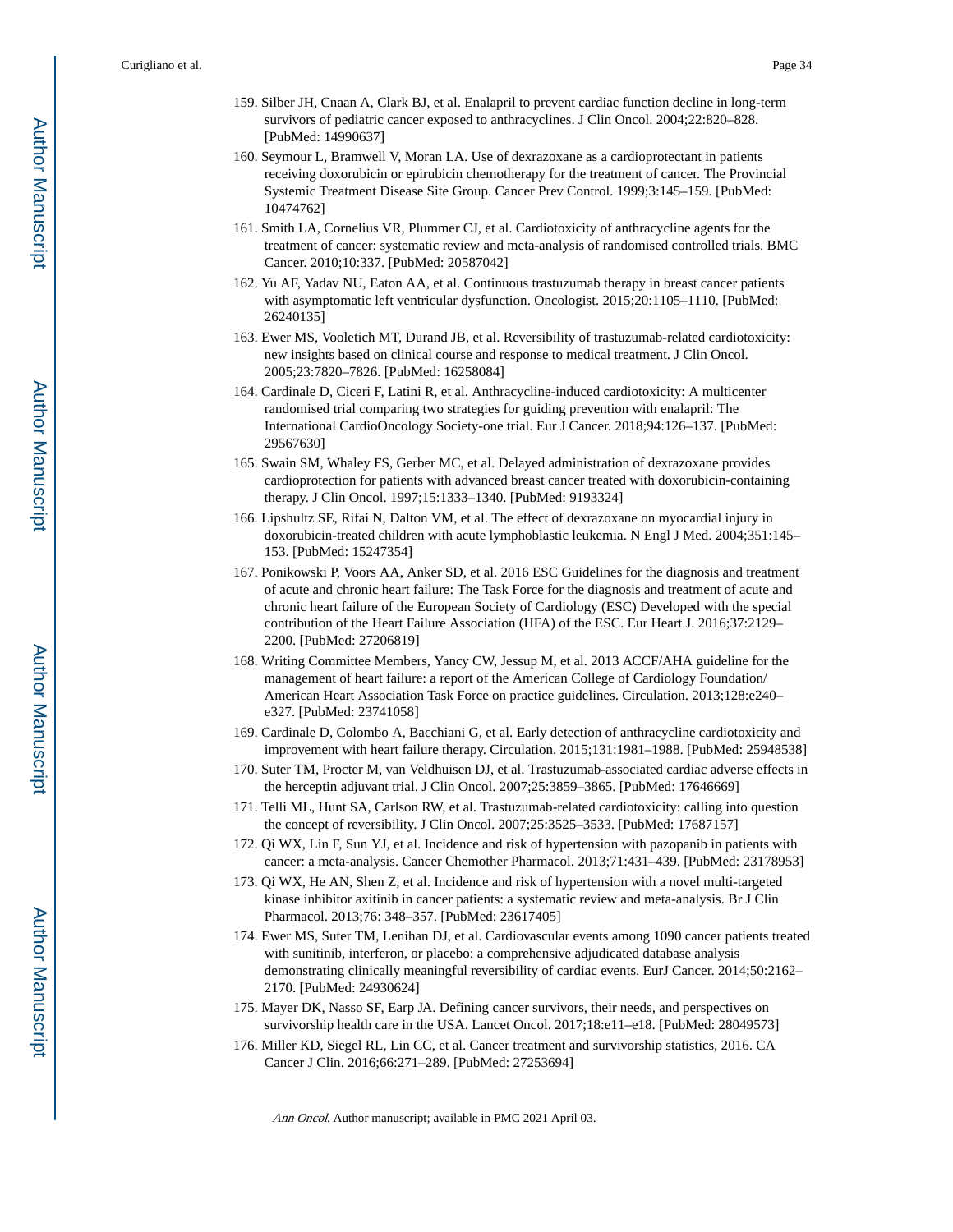- 159. Silber JH, Cnaan A, Clark BJ, et al. Enalapril to prevent cardiac function decline in long-term survivors of pediatric cancer exposed to anthracyclines. J Clin Oncol. 2004;22:820–828. [PubMed: 14990637]
- 160. Seymour L, Bramwell V, Moran LA. Use of dexrazoxane as a cardioprotectant in patients receiving doxorubicin or epirubicin chemotherapy for the treatment of cancer. The Provincial Systemic Treatment Disease Site Group. Cancer Prev Control. 1999;3:145–159. [PubMed: 10474762]
- 161. Smith LA, Cornelius VR, Plummer CJ, et al. Cardiotoxicity of anthracycline agents for the treatment of cancer: systematic review and meta-analysis of randomised controlled trials. BMC Cancer. 2010;10:337. [PubMed: 20587042]
- 162. Yu AF, Yadav NU, Eaton AA, et al. Continuous trastuzumab therapy in breast cancer patients with asymptomatic left ventricular dysfunction. Oncologist. 2015;20:1105–1110. [PubMed: 26240135]
- 163. Ewer MS, Vooletich MT, Durand JB, et al. Reversibility of trastuzumab-related cardiotoxicity: new insights based on clinical course and response to medical treatment. J Clin Oncol. 2005;23:7820–7826. [PubMed: 16258084]
- 164. Cardinale D, Ciceri F, Latini R, et al. Anthracycline-induced cardiotoxicity: A multicenter randomised trial comparing two strategies for guiding prevention with enalapril: The International CardioOncology Society-one trial. Eur J Cancer. 2018;94:126–137. [PubMed: 29567630]
- 165. Swain SM, Whaley FS, Gerber MC, et al. Delayed administration of dexrazoxane provides cardioprotection for patients with advanced breast cancer treated with doxorubicin-containing therapy. J Clin Oncol. 1997;15:1333–1340. [PubMed: 9193324]
- 166. Lipshultz SE, Rifai N, Dalton VM, et al. The effect of dexrazoxane on myocardial injury in doxorubicin-treated children with acute lymphoblastic leukemia. N Engl J Med. 2004;351:145– 153. [PubMed: 15247354]
- 167. Ponikowski P, Voors AA, Anker SD, et al. 2016 ESC Guidelines for the diagnosis and treatment of acute and chronic heart failure: The Task Force for the diagnosis and treatment of acute and chronic heart failure of the European Society of Cardiology (ESC) Developed with the special contribution of the Heart Failure Association (HFA) of the ESC. Eur Heart J. 2016;37:2129– 2200. [PubMed: 27206819]
- 168. Writing Committee Members, Yancy CW, Jessup M, et al. 2013 ACCF/AHA guideline for the management of heart failure: a report of the American College of Cardiology Foundation/ American Heart Association Task Force on practice guidelines. Circulation. 2013;128:e240– e327. [PubMed: 23741058]
- 169. Cardinale D, Colombo A, Bacchiani G, et al. Early detection of anthracycline cardiotoxicity and improvement with heart failure therapy. Circulation. 2015;131:1981–1988. [PubMed: 25948538]
- 170. Suter TM, Procter M, van Veldhuisen DJ, et al. Trastuzumab-associated cardiac adverse effects in the herceptin adjuvant trial. J Clin Oncol. 2007;25:3859–3865. [PubMed: 17646669]
- 171. Telli ML, Hunt SA, Carlson RW, et al. Trastuzumab-related cardiotoxicity: calling into question the concept of reversibility. J Clin Oncol. 2007;25:3525–3533. [PubMed: 17687157]
- 172. Qi WX, Lin F, Sun YJ, et al. Incidence and risk of hypertension with pazopanib in patients with cancer: a meta-analysis. Cancer Chemother Pharmacol. 2013;71:431–439. [PubMed: 23178953]
- 173. Qi WX, He AN, Shen Z, et al. Incidence and risk of hypertension with a novel multi-targeted kinase inhibitor axitinib in cancer patients: a systematic review and meta-analysis. Br J Clin Pharmacol. 2013;76: 348–357. [PubMed: 23617405]
- 174. Ewer MS, Suter TM, Lenihan DJ, et al. Cardiovascular events among 1090 cancer patients treated with sunitinib, interferon, or placebo: a comprehensive adjudicated database analysis demonstrating clinically meaningful reversibility of cardiac events. EurJ Cancer. 2014;50:2162– 2170. [PubMed: 24930624]
- 175. Mayer DK, Nasso SF, Earp JA. Defining cancer survivors, their needs, and perspectives on survivorship health care in the USA. Lancet Oncol. 2017;18:e11–e18. [PubMed: 28049573]
- 176. Miller KD, Siegel RL, Lin CC, et al. Cancer treatment and survivorship statistics, 2016. CA Cancer J Clin. 2016;66:271–289. [PubMed: 27253694]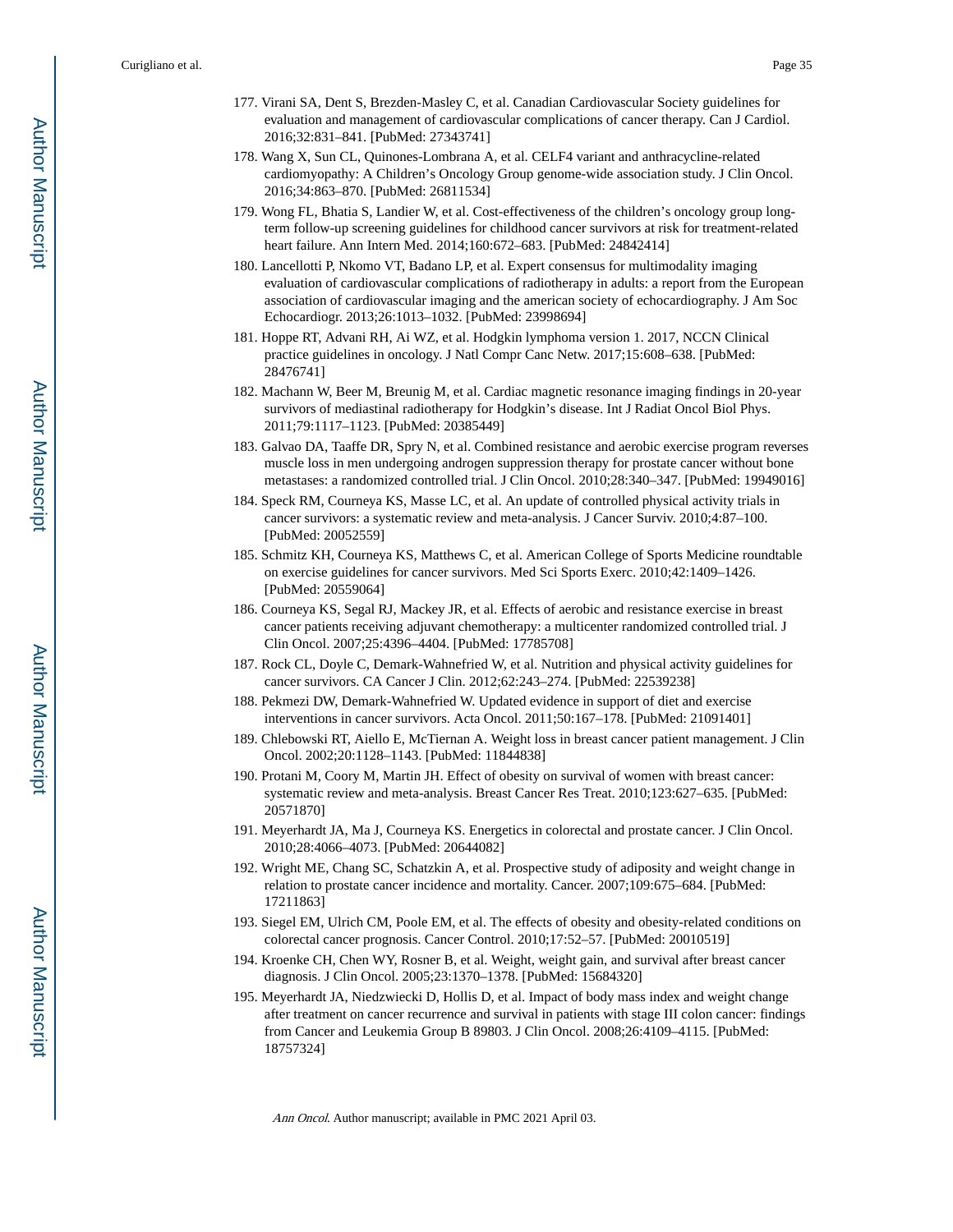- 177. Virani SA, Dent S, Brezden-Masley C, et al. Canadian Cardiovascular Society guidelines for evaluation and management of cardiovascular complications of cancer therapy. Can J Cardiol. 2016;32:831–841. [PubMed: 27343741]
- 178. Wang X, Sun CL, Quinones-Lombrana A, et al. CELF4 variant and anthracycline-related cardiomyopathy: A Children's Oncology Group genome-wide association study. J Clin Oncol. 2016;34:863–870. [PubMed: 26811534]
- 179. Wong FL, Bhatia S, Landier W, et al. Cost-effectiveness of the children's oncology group longterm follow-up screening guidelines for childhood cancer survivors at risk for treatment-related heart failure. Ann Intern Med. 2014;160:672–683. [PubMed: 24842414]
- 180. Lancellotti P, Nkomo VT, Badano LP, et al. Expert consensus for multimodality imaging evaluation of cardiovascular complications of radiotherapy in adults: a report from the European association of cardiovascular imaging and the american society of echocardiography. J Am Soc Echocardiogr. 2013;26:1013–1032. [PubMed: 23998694]
- 181. Hoppe RT, Advani RH, Ai WZ, et al. Hodgkin lymphoma version 1. 2017, NCCN Clinical practice guidelines in oncology. J Natl Compr Canc Netw. 2017;15:608–638. [PubMed: 28476741]
- 182. Machann W, Beer M, Breunig M, et al. Cardiac magnetic resonance imaging findings in 20-year survivors of mediastinal radiotherapy for Hodgkin's disease. Int J Radiat Oncol Biol Phys. 2011;79:1117–1123. [PubMed: 20385449]
- 183. Galvao DA, Taaffe DR, Spry N, et al. Combined resistance and aerobic exercise program reverses muscle loss in men undergoing androgen suppression therapy for prostate cancer without bone metastases: a randomized controlled trial. J Clin Oncol. 2010;28:340–347. [PubMed: 19949016]
- 184. Speck RM, Courneya KS, Masse LC, et al. An update of controlled physical activity trials in cancer survivors: a systematic review and meta-analysis. J Cancer Surviv. 2010;4:87–100. [PubMed: 20052559]
- 185. Schmitz KH, Courneya KS, Matthews C, et al. American College of Sports Medicine roundtable on exercise guidelines for cancer survivors. Med Sci Sports Exerc. 2010;42:1409–1426. [PubMed: 20559064]
- 186. Courneya KS, Segal RJ, Mackey JR, et al. Effects of aerobic and resistance exercise in breast cancer patients receiving adjuvant chemotherapy: a multicenter randomized controlled trial. J Clin Oncol. 2007;25:4396–4404. [PubMed: 17785708]
- 187. Rock CL, Doyle C, Demark-Wahnefried W, et al. Nutrition and physical activity guidelines for cancer survivors. CA Cancer J Clin. 2012;62:243–274. [PubMed: 22539238]
- 188. Pekmezi DW, Demark-Wahnefried W. Updated evidence in support of diet and exercise interventions in cancer survivors. Acta Oncol. 2011;50:167–178. [PubMed: 21091401]
- 189. Chlebowski RT, Aiello E, McTiernan A. Weight loss in breast cancer patient management. J Clin Oncol. 2002;20:1128–1143. [PubMed: 11844838]
- 190. Protani M, Coory M, Martin JH. Effect of obesity on survival of women with breast cancer: systematic review and meta-analysis. Breast Cancer Res Treat. 2010;123:627–635. [PubMed: 20571870]
- 191. Meyerhardt JA, Ma J, Courneya KS. Energetics in colorectal and prostate cancer. J Clin Oncol. 2010;28:4066–4073. [PubMed: 20644082]
- 192. Wright ME, Chang SC, Schatzkin A, et al. Prospective study of adiposity and weight change in relation to prostate cancer incidence and mortality. Cancer. 2007;109:675–684. [PubMed: 17211863]
- 193. Siegel EM, Ulrich CM, Poole EM, et al. The effects of obesity and obesity-related conditions on colorectal cancer prognosis. Cancer Control. 2010;17:52–57. [PubMed: 20010519]
- 194. Kroenke CH, Chen WY, Rosner B, et al. Weight, weight gain, and survival after breast cancer diagnosis. J Clin Oncol. 2005;23:1370–1378. [PubMed: 15684320]
- 195. Meyerhardt JA, Niedzwiecki D, Hollis D, et al. Impact of body mass index and weight change after treatment on cancer recurrence and survival in patients with stage III colon cancer: findings from Cancer and Leukemia Group B 89803. J Clin Oncol. 2008;26:4109–4115. [PubMed: 18757324]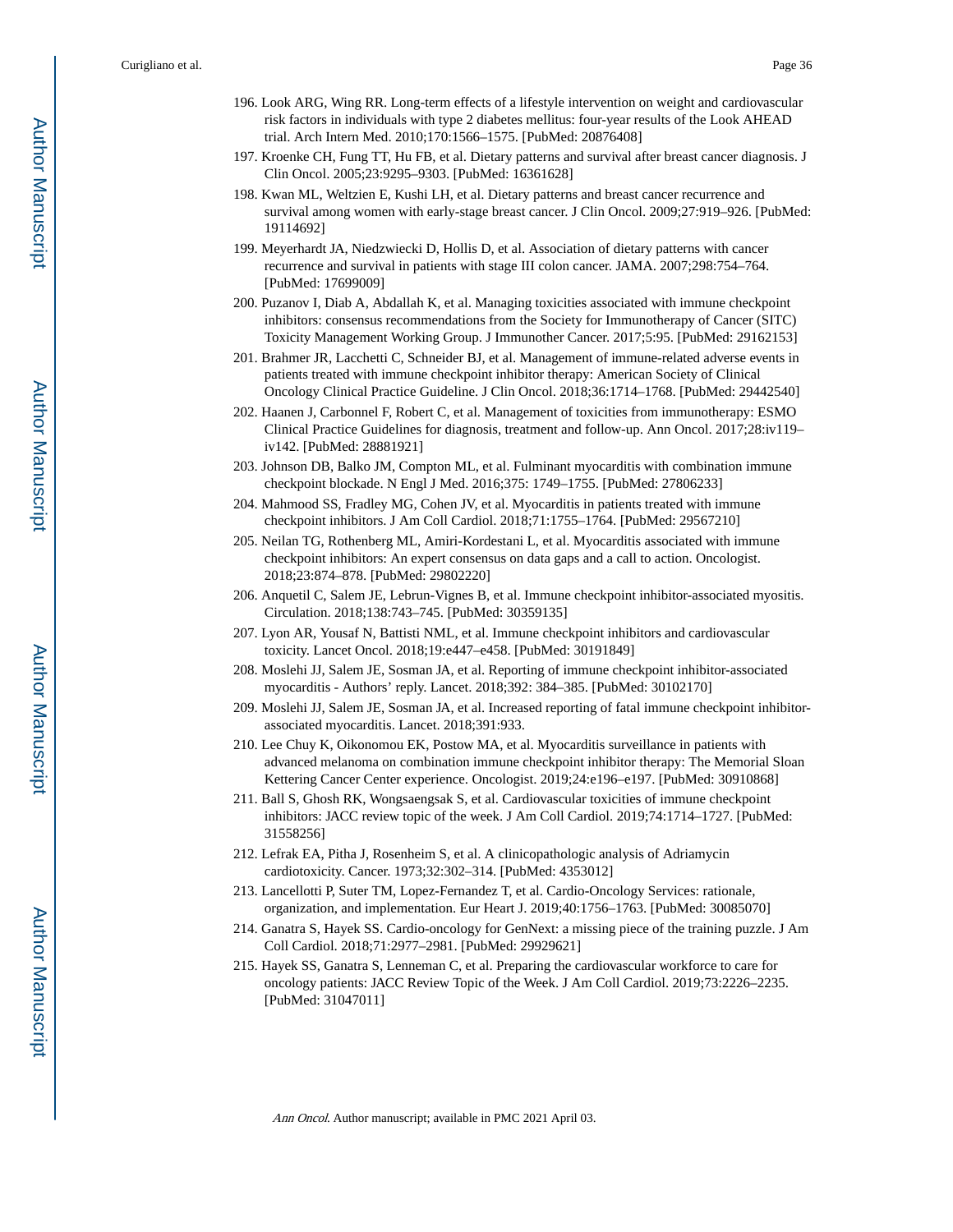- 196. Look ARG, Wing RR. Long-term effects of a lifestyle intervention on weight and cardiovascular risk factors in individuals with type 2 diabetes mellitus: four-year results of the Look AHEAD trial. Arch Intern Med. 2010;170:1566–1575. [PubMed: 20876408]
- 197. Kroenke CH, Fung TT, Hu FB, et al. Dietary patterns and survival after breast cancer diagnosis. J Clin Oncol. 2005;23:9295–9303. [PubMed: 16361628]
- 198. Kwan ML, Weltzien E, Kushi LH, et al. Dietary patterns and breast cancer recurrence and survival among women with early-stage breast cancer. J Clin Oncol. 2009;27:919–926. [PubMed: 19114692]
- 199. Meyerhardt JA, Niedzwiecki D, Hollis D, et al. Association of dietary patterns with cancer recurrence and survival in patients with stage III colon cancer. JAMA. 2007;298:754–764. [PubMed: 17699009]
- 200. Puzanov I, Diab A, Abdallah K, et al. Managing toxicities associated with immune checkpoint inhibitors: consensus recommendations from the Society for Immunotherapy of Cancer (SITC) Toxicity Management Working Group. J Immunother Cancer. 2017;5:95. [PubMed: 29162153]
- 201. Brahmer JR, Lacchetti C, Schneider BJ, et al. Management of immune-related adverse events in patients treated with immune checkpoint inhibitor therapy: American Society of Clinical Oncology Clinical Practice Guideline. J Clin Oncol. 2018;36:1714–1768. [PubMed: 29442540]
- 202. Haanen J, Carbonnel F, Robert C, et al. Management of toxicities from immunotherapy: ESMO Clinical Practice Guidelines for diagnosis, treatment and follow-up. Ann Oncol. 2017;28:iv119– iv142. [PubMed: 28881921]
- 203. Johnson DB, Balko JM, Compton ML, et al. Fulminant myocarditis with combination immune checkpoint blockade. N Engl J Med. 2016;375: 1749–1755. [PubMed: 27806233]
- 204. Mahmood SS, Fradley MG, Cohen JV, et al. Myocarditis in patients treated with immune checkpoint inhibitors. J Am Coll Cardiol. 2018;71:1755–1764. [PubMed: 29567210]
- 205. Neilan TG, Rothenberg ML, Amiri-Kordestani L, et al. Myocarditis associated with immune checkpoint inhibitors: An expert consensus on data gaps and a call to action. Oncologist. 2018;23:874–878. [PubMed: 29802220]
- 206. Anquetil C, Salem JE, Lebrun-Vignes B, et al. Immune checkpoint inhibitor-associated myositis. Circulation. 2018;138:743–745. [PubMed: 30359135]
- 207. Lyon AR, Yousaf N, Battisti NML, et al. Immune checkpoint inhibitors and cardiovascular toxicity. Lancet Oncol. 2018;19:e447–e458. [PubMed: 30191849]
- 208. Moslehi JJ, Salem JE, Sosman JA, et al. Reporting of immune checkpoint inhibitor-associated myocarditis - Authors' reply. Lancet. 2018;392: 384–385. [PubMed: 30102170]
- 209. Moslehi JJ, Salem JE, Sosman JA, et al. Increased reporting of fatal immune checkpoint inhibitorassociated myocarditis. Lancet. 2018;391:933.
- 210. Lee Chuy K, Oikonomou EK, Postow MA, et al. Myocarditis surveillance in patients with advanced melanoma on combination immune checkpoint inhibitor therapy: The Memorial Sloan Kettering Cancer Center experience. Oncologist. 2019;24:e196–e197. [PubMed: 30910868]
- 211. Ball S, Ghosh RK, Wongsaengsak S, et al. Cardiovascular toxicities of immune checkpoint inhibitors: JACC review topic of the week. J Am Coll Cardiol. 2019;74:1714–1727. [PubMed: 31558256]
- 212. Lefrak EA, Pitha J, Rosenheim S, et al. A clinicopathologic analysis of Adriamycin cardiotoxicity. Cancer. 1973;32:302–314. [PubMed: 4353012]
- 213. Lancellotti P, Suter TM, Lopez-Fernandez T, et al. Cardio-Oncology Services: rationale, organization, and implementation. Eur Heart J. 2019;40:1756–1763. [PubMed: 30085070]
- 214. Ganatra S, Hayek SS. Cardio-oncology for GenNext: a missing piece of the training puzzle. J Am Coll Cardiol. 2018;71:2977–2981. [PubMed: 29929621]
- 215. Hayek SS, Ganatra S, Lenneman C, et al. Preparing the cardiovascular workforce to care for oncology patients: JACC Review Topic of the Week. J Am Coll Cardiol. 2019;73:2226–2235. [PubMed: 31047011]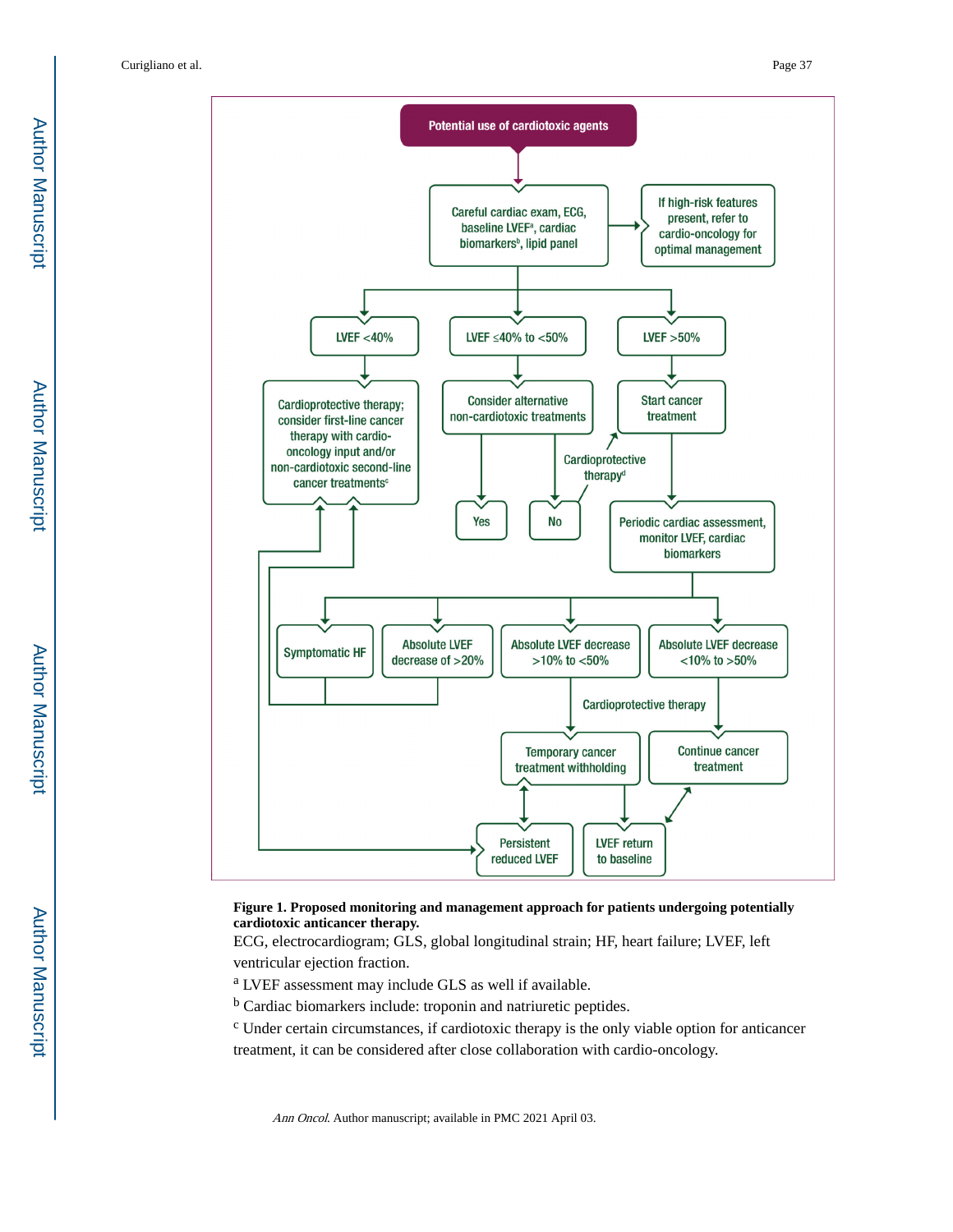



#### **Figure 1. Proposed monitoring and management approach for patients undergoing potentially cardiotoxic anticancer therapy.**

ECG, electrocardiogram; GLS, global longitudinal strain; HF, heart failure; LVEF, left ventricular ejection fraction.

<sup>a</sup> LVEF assessment may include GLS as well if available.

<sup>b</sup> Cardiac biomarkers include: troponin and natriuretic peptides.

c Under certain circumstances, if cardiotoxic therapy is the only viable option for anticancer treatment, it can be considered after close collaboration with cardio-oncology.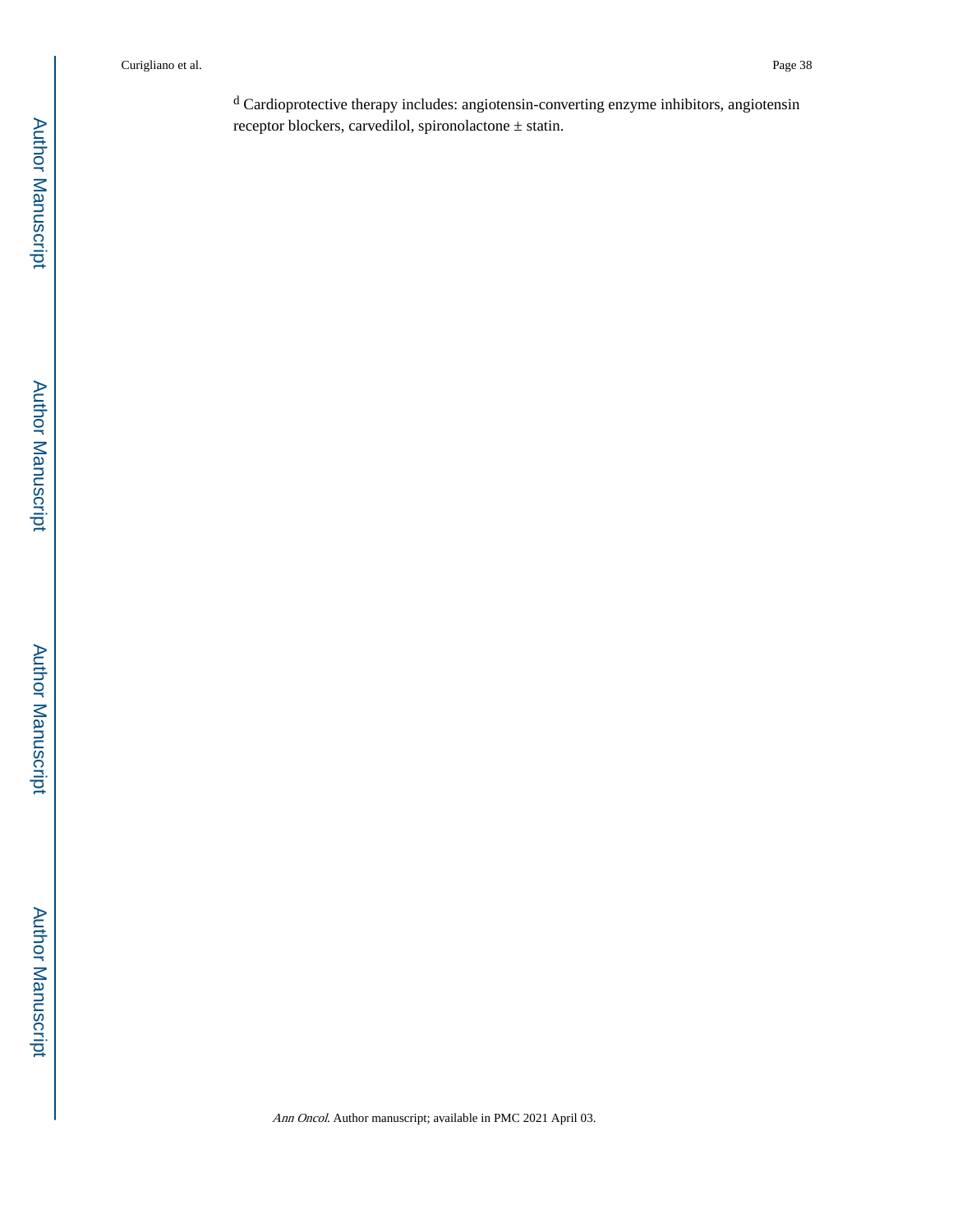<sup>d</sup> Cardioprotective therapy includes: angiotensin-converting enzyme inhibitors, angiotensin receptor blockers, carvedilol, spironolactone ± statin.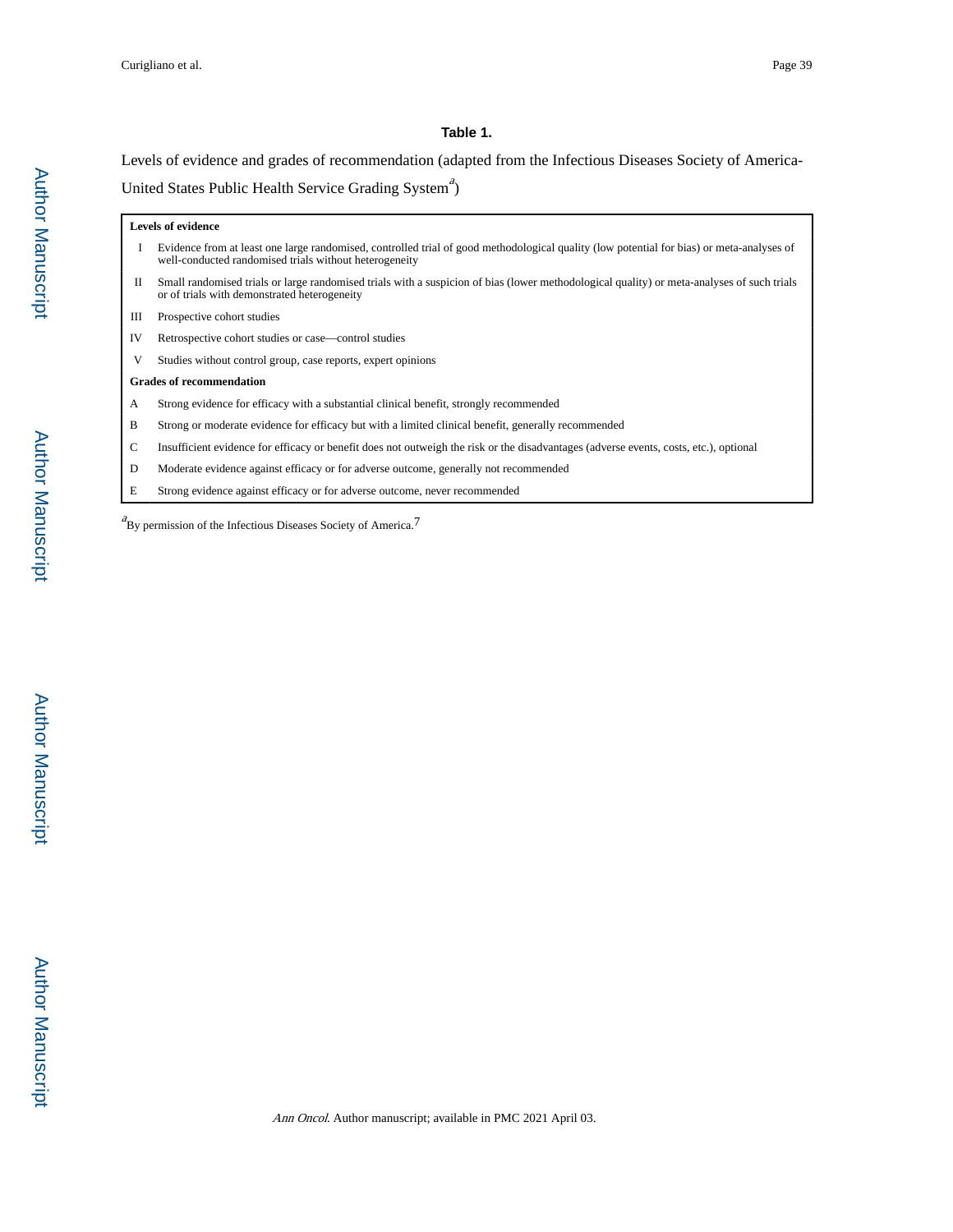#### **Table 1.**

Levels of evidence and grades of recommendation (adapted from the Infectious Diseases Society of America-United States Public Health Service Grading System<sup>4</sup>)

| <b>Levels of evidence</b>       |                                                                                                                                                                                                     |  |
|---------------------------------|-----------------------------------------------------------------------------------------------------------------------------------------------------------------------------------------------------|--|
| 1                               | Evidence from at least one large randomised, controlled trial of good methodological quality (low potential for bias) or meta-analyses of<br>well-conducted randomised trials without heterogeneity |  |
| П                               | Small randomised trials or large randomised trials with a suspicion of bias (lower methodological quality) or meta-analyses of such trials<br>or of trials with demonstrated heterogeneity          |  |
| Ш                               | Prospective cohort studies                                                                                                                                                                          |  |
| IV                              | Retrospective cohort studies or case—control studies                                                                                                                                                |  |
| V                               | Studies without control group, case reports, expert opinions                                                                                                                                        |  |
| <b>Grades of recommendation</b> |                                                                                                                                                                                                     |  |
| A                               | Strong evidence for efficacy with a substantial clinical benefit, strongly recommended                                                                                                              |  |
| B                               | Strong or moderate evidence for efficacy but with a limited clinical benefit, generally recommended                                                                                                 |  |
| $\mathsf{C}$                    | Insufficient evidence for efficacy or benefit does not outweigh the risk or the disadvantages (adverse events, costs, etc.), optional                                                               |  |
| D                               | Moderate evidence against efficacy or for adverse outcome, generally not recommended                                                                                                                |  |

E Strong evidence against efficacy or for adverse outcome, never recommended

 ${}^{a}_{\text{By permission}}$  of the Infectious Diseases Society of America.<sup>7</sup>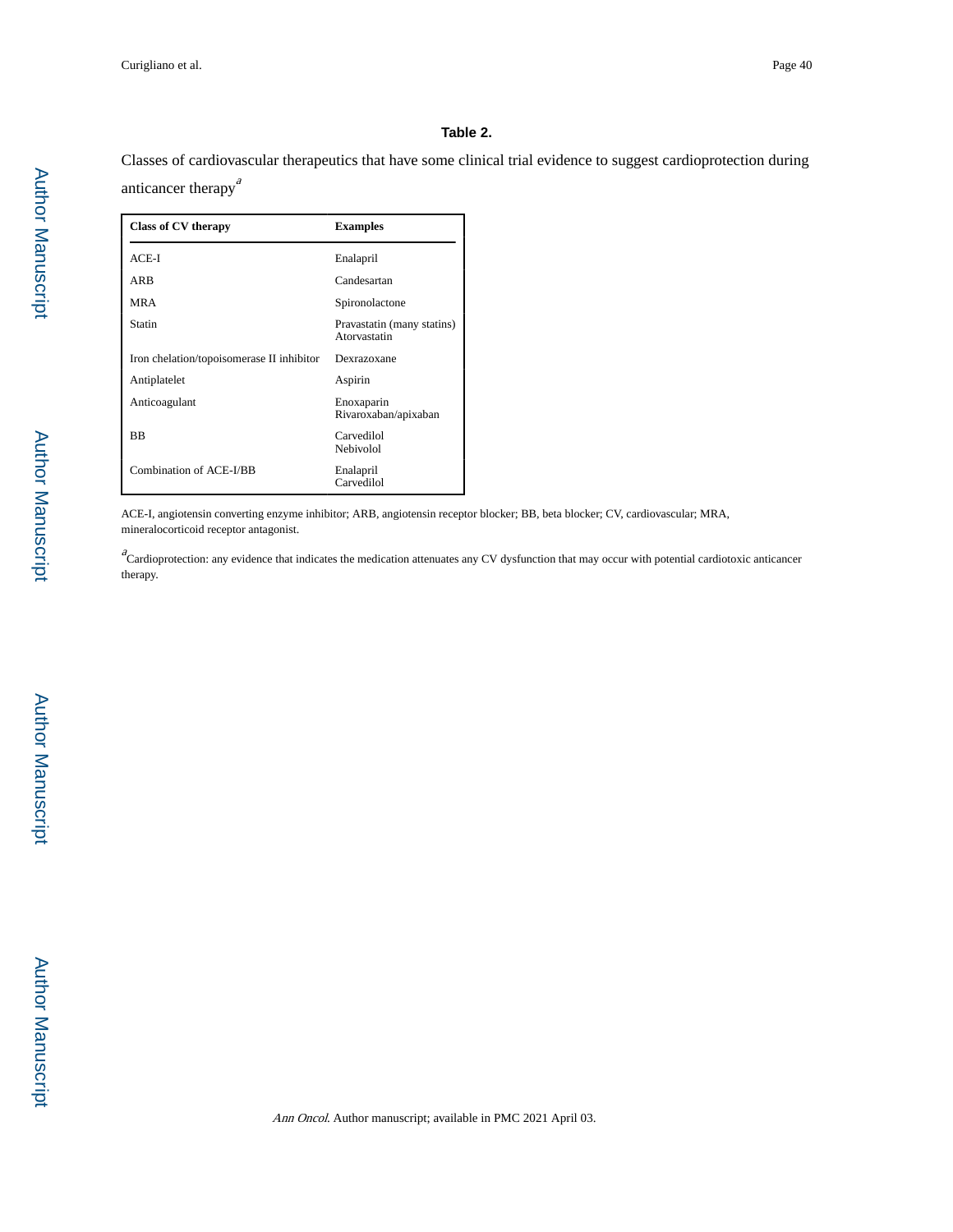#### **Table 2.**

Classes of cardiovascular therapeutics that have some clinical trial evidence to suggest cardioprotection during anticancer therapy<sup>a</sup>

| Class of CV therapy                       | <b>Examples</b>                            |
|-------------------------------------------|--------------------------------------------|
| $ACE-I$                                   | Enalapril                                  |
| ARB                                       | Candesartan                                |
| <b>MRA</b>                                | Spironolactone                             |
| Statin                                    | Pravastatin (many statins)<br>Atorvastatin |
| Iron chelation/topoisomerase II inhibitor | Dexrazoxane                                |
| Antiplatelet                              | Aspirin                                    |
| Anticoagulant                             | Enoxaparin<br>Rivaroxaban/apixaban         |
| <b>BB</b>                                 | Carvedilol<br>Nebivolol                    |
| Combination of ACE-I/BB                   | Enalapril<br>Carvedilol                    |

ACE-I, angiotensin converting enzyme inhibitor; ARB, angiotensin receptor blocker; BB, beta blocker; CV, cardiovascular; MRA, mineralocorticoid receptor antagonist.

 $a^2$ Cardioprotection: any evidence that indicates the medication attenuates any CV dysfunction that may occur with potential cardiotoxic anticancer therapy.